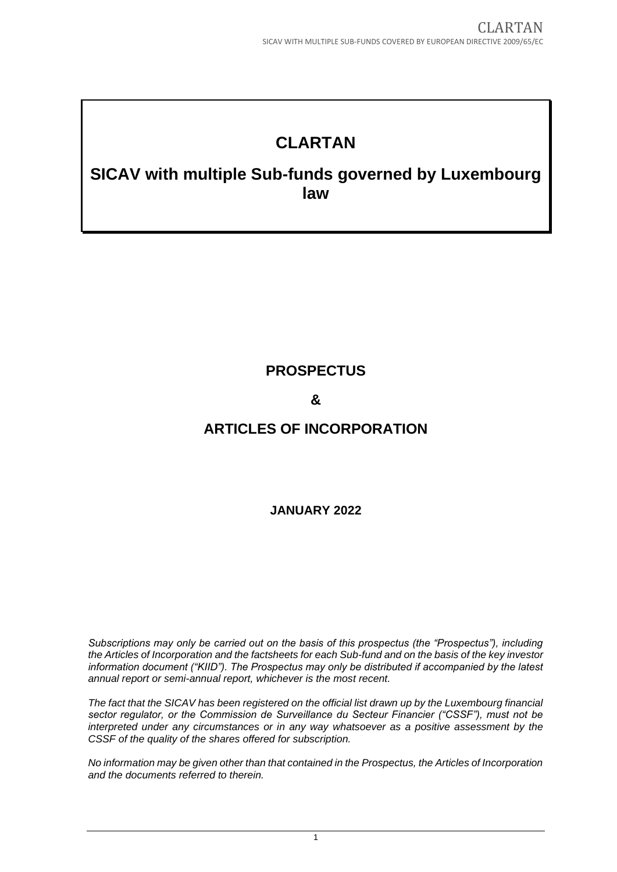# **CLARTAN**

# **SICAV with multiple Sub-funds governed by Luxembourg law**

# **PROSPECTUS**

# **&**

# **ARTICLES OF INCORPORATION**

# **JANUARY 2022**

*Subscriptions may only be carried out on the basis of this prospectus (the "Prospectus"), including the Articles of Incorporation and the factsheets for each Sub-fund and on the basis of the key investor information document ("KIID"). The Prospectus may only be distributed if accompanied by the latest annual report or semi-annual report, whichever is the most recent.*

*The fact that the SICAV has been registered on the official list drawn up by the Luxembourg financial sector regulator, or the Commission de Surveillance du Secteur Financier ("CSSF"), must not be interpreted under any circumstances or in any way whatsoever as a positive assessment by the CSSF of the quality of the shares offered for subscription.*

*No information may be given other than that contained in the Prospectus, the Articles of Incorporation and the documents referred to therein.*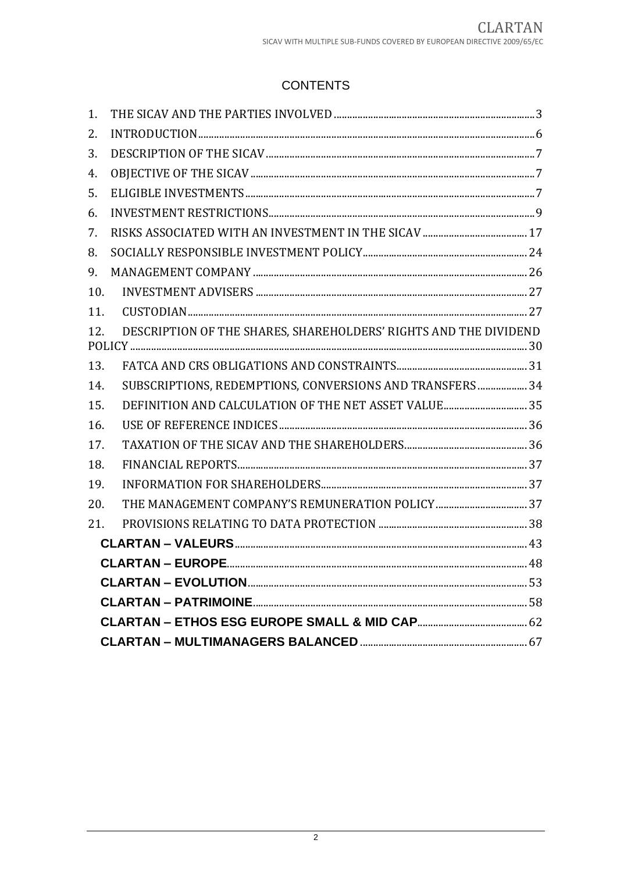# **CONTENTS**

| 1.  |                                                                  |  |  |  |
|-----|------------------------------------------------------------------|--|--|--|
| 2.  |                                                                  |  |  |  |
| 3.  |                                                                  |  |  |  |
| 4.  |                                                                  |  |  |  |
| 5.  |                                                                  |  |  |  |
| 6.  |                                                                  |  |  |  |
| 7.  |                                                                  |  |  |  |
| 8.  |                                                                  |  |  |  |
| 9.  |                                                                  |  |  |  |
| 10. |                                                                  |  |  |  |
| 11. |                                                                  |  |  |  |
| 12. | DESCRIPTION OF THE SHARES, SHAREHOLDERS' RIGHTS AND THE DIVIDEND |  |  |  |
| 13. |                                                                  |  |  |  |
| 14. | SUBSCRIPTIONS, REDEMPTIONS, CONVERSIONS AND TRANSFERS  34        |  |  |  |
| 15. |                                                                  |  |  |  |
| 16. |                                                                  |  |  |  |
| 17. |                                                                  |  |  |  |
| 18. |                                                                  |  |  |  |
| 19. |                                                                  |  |  |  |
| 20. |                                                                  |  |  |  |
| 21. |                                                                  |  |  |  |
|     |                                                                  |  |  |  |
|     |                                                                  |  |  |  |
|     |                                                                  |  |  |  |
|     |                                                                  |  |  |  |
|     |                                                                  |  |  |  |
|     |                                                                  |  |  |  |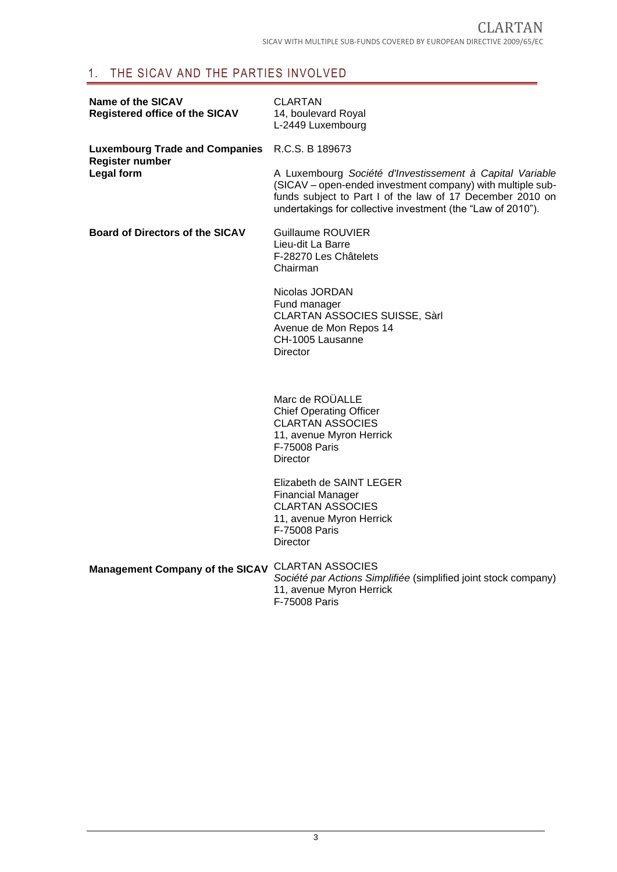# <span id="page-2-0"></span>1. THE SICAV AND THE PARTIES INVOLVED

| <b>Name of the SICAV</b><br><b>Registered office of the SICAV</b> | <b>CLARTAN</b><br>14, boulevard Royal<br>L-2449 Luxembourg                                                                                                                                                                                         |
|-------------------------------------------------------------------|----------------------------------------------------------------------------------------------------------------------------------------------------------------------------------------------------------------------------------------------------|
| Luxembourg Trade and Companies R.C.S. B 189673<br>Register number |                                                                                                                                                                                                                                                    |
| Legal form                                                        | A Luxembourg Société d'Investissement à Capital Variable<br>(SICAV – open-ended investment company) with multiple sub-<br>funds subject to Part I of the law of 17 December 2010 on<br>undertakings for collective investment (the "Law of 2010"). |
| <b>Board of Directors of the SICAV</b>                            | Guillaume ROUVIER<br>Lieu-dit La Barre<br>F-28270 Les Châtelets<br>Chairman                                                                                                                                                                        |
|                                                                   | Nicolas JORDAN<br>Fund manager<br><b>CLARTAN ASSOCIES SUISSE, Sàrl</b><br>Avenue de Mon Repos 14<br>CH-1005 Lausanne<br><b>Director</b>                                                                                                            |
|                                                                   | Marc de ROUALLE<br><b>Chief Operating Officer</b><br><b>CLARTAN ASSOCIES</b><br>11, avenue Myron Herrick<br><b>F-75008 Paris</b><br>Director                                                                                                       |
|                                                                   | Elizabeth de SAINT LEGER<br><b>Financial Manager</b><br><b>CLARTAN ASSOCIES</b><br>11, avenue Myron Herrick<br><b>F-75008 Paris</b><br>Director                                                                                                    |
| Management Company of the SICAV CLARTAN ASSOCIES                  | Société par Actions Simplifiée (simplified joint stock company)<br>11, avenue Myron Herrick<br>F-75008 Paris                                                                                                                                       |
|                                                                   |                                                                                                                                                                                                                                                    |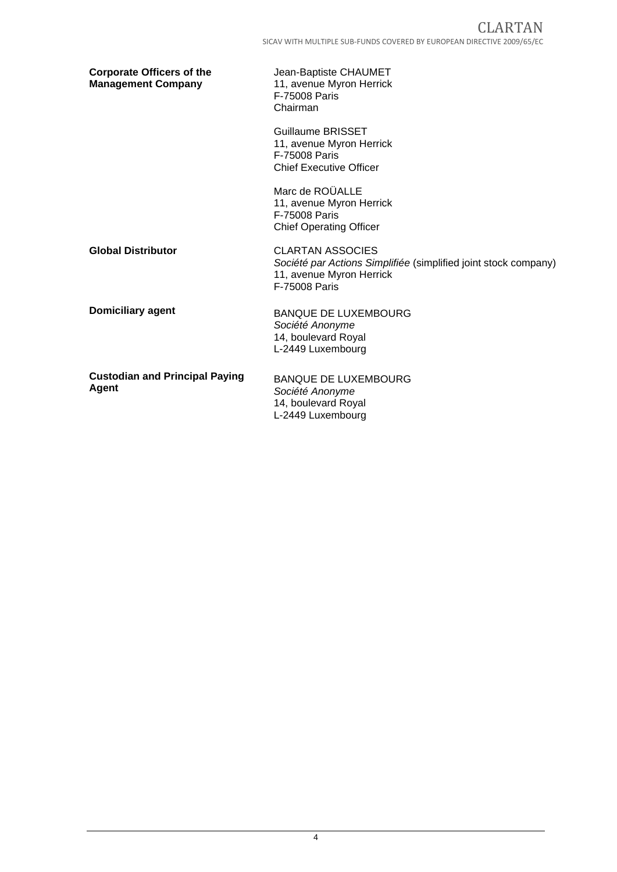| <b>Corporate Officers of the</b><br><b>Management Company</b> | Jean-Baptiste CHAUMET<br>11, avenue Myron Herrick<br>F-75008 Paris<br>Chairman                                                          |
|---------------------------------------------------------------|-----------------------------------------------------------------------------------------------------------------------------------------|
|                                                               | Guillaume BRISSET<br>11, avenue Myron Herrick<br>F-75008 Paris<br><b>Chief Executive Officer</b>                                        |
|                                                               | Marc de ROÜALLE<br>11, avenue Myron Herrick<br><b>F-75008 Paris</b><br><b>Chief Operating Officer</b>                                   |
| <b>Global Distributor</b>                                     | <b>CLARTAN ASSOCIES</b><br>Société par Actions Simplifiée (simplified joint stock company)<br>11, avenue Myron Herrick<br>F-75008 Paris |
| <b>Domiciliary agent</b>                                      | <b>BANQUE DE LUXEMBOURG</b><br>Société Anonyme<br>14, boulevard Royal<br>L-2449 Luxembourg                                              |
| <b>Custodian and Principal Paying</b><br>Agent                | <b>BANQUE DE LUXEMBOURG</b><br>Société Anonyme<br>14, boulevard Royal<br>L-2449 Luxembourg                                              |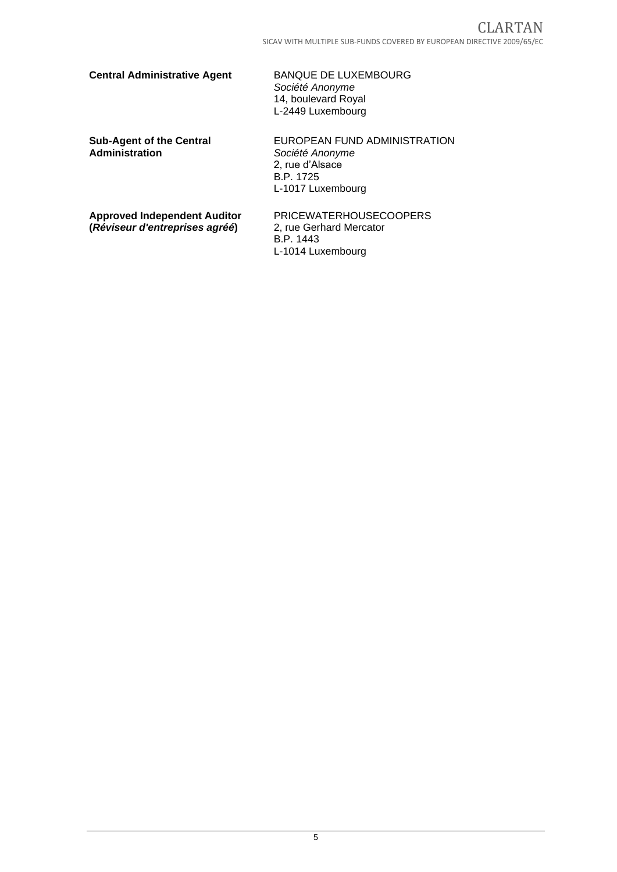### **Central Administrative Agent** BANQUE DE LUXEMBOURG

*Société Anonyme* 14, boulevard Royal L-2449 Luxembourg

**Sub-Agent of the Central Administration**

EUROPEAN FUND ADMINISTRATION *Société Anonyme* 2, rue d'Alsace B.P. 1725 L-1017 Luxembourg

**Approved Independent Auditor (***Réviseur d'entreprises agréé***)**

PRICEWATERHOUSECOOPERS 2, rue Gerhard Mercator B.P. 1443 L-1014 Luxembourg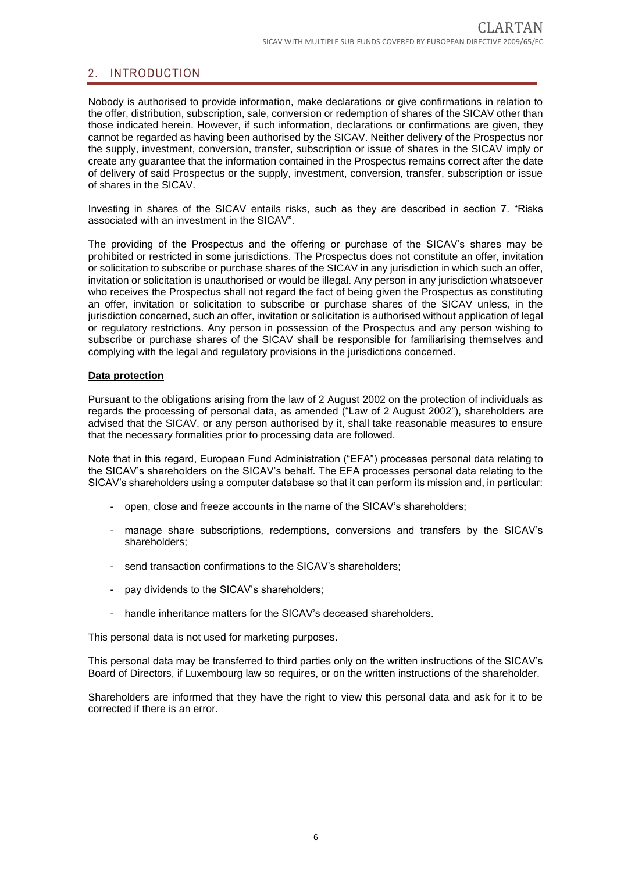# <span id="page-5-0"></span>2. INTRODUCTION

Nobody is authorised to provide information, make declarations or give confirmations in relation to the offer, distribution, subscription, sale, conversion or redemption of shares of the SICAV other than those indicated herein. However, if such information, declarations or confirmations are given, they cannot be regarded as having been authorised by the SICAV. Neither delivery of the Prospectus nor the supply, investment, conversion, transfer, subscription or issue of shares in the SICAV imply or create any guarantee that the information contained in the Prospectus remains correct after the date of delivery of said Prospectus or the supply, investment, conversion, transfer, subscription or issue of shares in the SICAV.

Investing in shares of the SICAV entails risks, such as they are described in section 7. "Risks associated with an investment in the SICAV".

The providing of the Prospectus and the offering or purchase of the SICAV's shares may be prohibited or restricted in some jurisdictions. The Prospectus does not constitute an offer, invitation or solicitation to subscribe or purchase shares of the SICAV in any jurisdiction in which such an offer, invitation or solicitation is unauthorised or would be illegal. Any person in any jurisdiction whatsoever who receives the Prospectus shall not regard the fact of being given the Prospectus as constituting an offer, invitation or solicitation to subscribe or purchase shares of the SICAV unless, in the jurisdiction concerned, such an offer, invitation or solicitation is authorised without application of legal or regulatory restrictions. Any person in possession of the Prospectus and any person wishing to subscribe or purchase shares of the SICAV shall be responsible for familiarising themselves and complying with the legal and regulatory provisions in the jurisdictions concerned.

#### **Data protection**

Pursuant to the obligations arising from the law of 2 August 2002 on the protection of individuals as regards the processing of personal data, as amended ("Law of 2 August 2002"), shareholders are advised that the SICAV, or any person authorised by it, shall take reasonable measures to ensure that the necessary formalities prior to processing data are followed.

Note that in this regard, European Fund Administration ("EFA") processes personal data relating to the SICAV's shareholders on the SICAV's behalf. The EFA processes personal data relating to the SICAV's shareholders using a computer database so that it can perform its mission and, in particular:

- open, close and freeze accounts in the name of the SICAV's shareholders;
- manage share subscriptions, redemptions, conversions and transfers by the SICAV's shareholders;
- send transaction confirmations to the SICAV's shareholders;
- pay dividends to the SICAV's shareholders;
- handle inheritance matters for the SICAV's deceased shareholders.

This personal data is not used for marketing purposes.

This personal data may be transferred to third parties only on the written instructions of the SICAV's Board of Directors, if Luxembourg law so requires, or on the written instructions of the shareholder.

Shareholders are informed that they have the right to view this personal data and ask for it to be corrected if there is an error.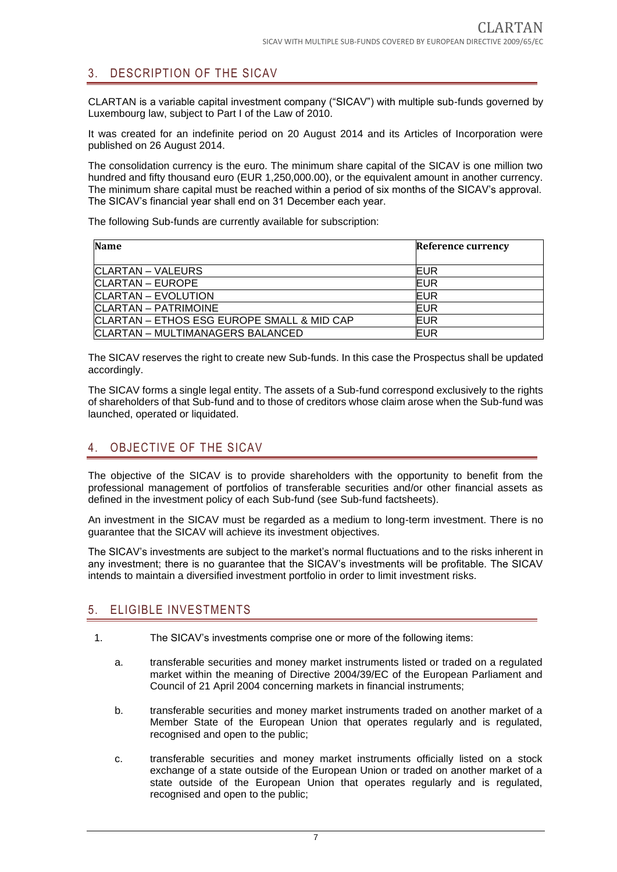# <span id="page-6-0"></span>3. DESCRIPTION OF THE SICAV

CLARTAN is a variable capital investment company ("SICAV") with multiple sub-funds governed by Luxembourg law, subject to Part I of the Law of 2010.

It was created for an indefinite period on 20 August 2014 and its Articles of Incorporation were published on 26 August 2014.

The consolidation currency is the euro. The minimum share capital of the SICAV is one million two hundred and fifty thousand euro (EUR 1,250,000.00), or the equivalent amount in another currency. The minimum share capital must be reached within a period of six months of the SICAV's approval. The SICAV's financial year shall end on 31 December each year.

The following Sub-funds are currently available for subscription:

| <b>Name</b>                                | Reference currency |
|--------------------------------------------|--------------------|
| CLARTAN – VALEURS                          | EUR                |
| CLARTAN – EUROPE                           | EUR                |
| CLARTAN - EVOLUTION                        | EUR                |
| CLARTAN - PATRIMOINE                       | EUR                |
| CLARTAN - ETHOS ESG EUROPE SMALL & MID CAP | EUR                |
| CLARTAN - MULTIMANAGERS BALANCED           | EUR                |

The SICAV reserves the right to create new Sub-funds. In this case the Prospectus shall be updated accordingly.

The SICAV forms a single legal entity. The assets of a Sub-fund correspond exclusively to the rights of shareholders of that Sub-fund and to those of creditors whose claim arose when the Sub-fund was launched, operated or liquidated.

# <span id="page-6-1"></span>4. OBJECTIVE OF THE SICAV

The objective of the SICAV is to provide shareholders with the opportunity to benefit from the professional management of portfolios of transferable securities and/or other financial assets as defined in the investment policy of each Sub-fund (see Sub-fund factsheets).

An investment in the SICAV must be regarded as a medium to long-term investment. There is no guarantee that the SICAV will achieve its investment objectives.

The SICAV's investments are subject to the market's normal fluctuations and to the risks inherent in any investment; there is no guarantee that the SICAV's investments will be profitable. The SICAV intends to maintain a diversified investment portfolio in order to limit investment risks.

## <span id="page-6-2"></span>5. ELIGIBLE INVESTMENTS

- 1. The SICAV's investments comprise one or more of the following items:
	- a. transferable securities and money market instruments listed or traded on a regulated market within the meaning of Directive 2004/39/EC of the European Parliament and Council of 21 April 2004 concerning markets in financial instruments;
	- b. transferable securities and money market instruments traded on another market of a Member State of the European Union that operates regularly and is regulated, recognised and open to the public;
	- c. transferable securities and money market instruments officially listed on a stock exchange of a state outside of the European Union or traded on another market of a state outside of the European Union that operates regularly and is regulated, recognised and open to the public;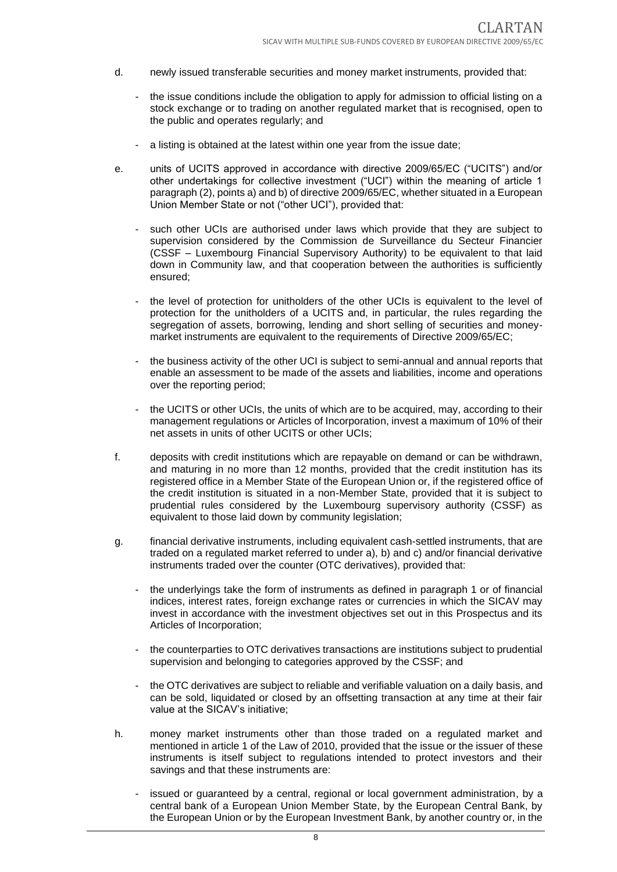- d. newly issued transferable securities and money market instruments, provided that:
	- the issue conditions include the obligation to apply for admission to official listing on a stock exchange or to trading on another regulated market that is recognised, open to the public and operates regularly; and
	- a listing is obtained at the latest within one year from the issue date;
- e. units of UCITS approved in accordance with directive 2009/65/EC ("UCITS") and/or other undertakings for collective investment ("UCI") within the meaning of article 1 paragraph (2), points a) and b) of directive 2009/65/EC, whether situated in a European Union Member State or not ("other UCI"), provided that:
	- such other UCIs are authorised under laws which provide that they are subject to supervision considered by the Commission de Surveillance du Secteur Financier (CSSF – Luxembourg Financial Supervisory Authority) to be equivalent to that laid down in Community law, and that cooperation between the authorities is sufficiently ensured;
	- the level of protection for unitholders of the other UCIs is equivalent to the level of protection for the unitholders of a UCITS and, in particular, the rules regarding the segregation of assets, borrowing, lending and short selling of securities and moneymarket instruments are equivalent to the requirements of Directive 2009/65/EC;
	- the business activity of the other UCI is subject to semi-annual and annual reports that enable an assessment to be made of the assets and liabilities, income and operations over the reporting period;
	- the UCITS or other UCIs, the units of which are to be acquired, may, according to their management regulations or Articles of Incorporation, invest a maximum of 10% of their net assets in units of other UCITS or other UCIs;
- f. deposits with credit institutions which are repayable on demand or can be withdrawn, and maturing in no more than 12 months, provided that the credit institution has its registered office in a Member State of the European Union or, if the registered office of the credit institution is situated in a non-Member State, provided that it is subject to prudential rules considered by the Luxembourg supervisory authority (CSSF) as equivalent to those laid down by community legislation;
- g. financial derivative instruments, including equivalent cash-settled instruments, that are traded on a regulated market referred to under a), b) and c) and/or financial derivative instruments traded over the counter (OTC derivatives), provided that:
	- the underlyings take the form of instruments as defined in paragraph 1 or of financial indices, interest rates, foreign exchange rates or currencies in which the SICAV may invest in accordance with the investment objectives set out in this Prospectus and its Articles of Incorporation;
	- the counterparties to OTC derivatives transactions are institutions subject to prudential supervision and belonging to categories approved by the CSSF; and
	- the OTC derivatives are subject to reliable and verifiable valuation on a daily basis, and can be sold, liquidated or closed by an offsetting transaction at any time at their fair value at the SICAV's initiative;
- h. money market instruments other than those traded on a regulated market and mentioned in article 1 of the Law of 2010, provided that the issue or the issuer of these instruments is itself subject to regulations intended to protect investors and their savings and that these instruments are:
	- issued or guaranteed by a central, regional or local government administration, by a central bank of a European Union Member State, by the European Central Bank, by the European Union or by the European Investment Bank, by another country or, in the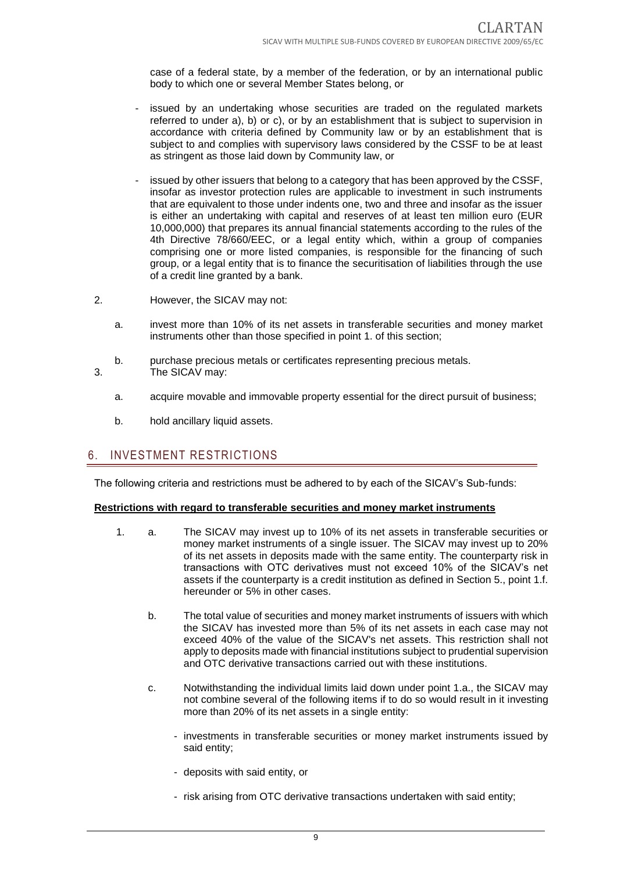case of a federal state, by a member of the federation, or by an international public body to which one or several Member States belong, or

- issued by an undertaking whose securities are traded on the regulated markets referred to under a), b) or c), or by an establishment that is subject to supervision in accordance with criteria defined by Community law or by an establishment that is subject to and complies with supervisory laws considered by the CSSF to be at least as stringent as those laid down by Community law, or
- issued by other issuers that belong to a category that has been approved by the CSSF, insofar as investor protection rules are applicable to investment in such instruments that are equivalent to those under indents one, two and three and insofar as the issuer is either an undertaking with capital and reserves of at least ten million euro (EUR 10,000,000) that prepares its annual financial statements according to the rules of the 4th Directive 78/660/EEC, or a legal entity which, within a group of companies comprising one or more listed companies, is responsible for the financing of such group, or a legal entity that is to finance the securitisation of liabilities through the use of a credit line granted by a bank.
- 2. However, the SICAV may not:
	- a. invest more than 10% of its net assets in transferable securities and money market instruments other than those specified in point 1. of this section;
- b. purchase precious metals or certificates representing precious metals. 3. The SICAV may:
	- a. acquire movable and immovable property essential for the direct pursuit of business;
	- b. hold ancillary liquid assets.

#### <span id="page-8-0"></span>6. INVESTMENT RESTRICTIONS

The following criteria and restrictions must be adhered to by each of the SICAV's Sub-funds:

#### **Restrictions with regard to transferable securities and money market instruments**

- 1. a. The SICAV may invest up to 10% of its net assets in transferable securities or money market instruments of a single issuer. The SICAV may invest up to 20% of its net assets in deposits made with the same entity. The counterparty risk in transactions with OTC derivatives must not exceed 10% of the SICAV's net assets if the counterparty is a credit institution as defined in Section 5., point 1.f. hereunder or 5% in other cases.
	- b. The total value of securities and money market instruments of issuers with which the SICAV has invested more than 5% of its net assets in each case may not exceed 40% of the value of the SICAV's net assets. This restriction shall not apply to deposits made with financial institutions subject to prudential supervision and OTC derivative transactions carried out with these institutions.
	- c. Notwithstanding the individual limits laid down under point 1.a., the SICAV may not combine several of the following items if to do so would result in it investing more than 20% of its net assets in a single entity:
		- investments in transferable securities or money market instruments issued by said entity;
		- deposits with said entity, or
		- risk arising from OTC derivative transactions undertaken with said entity;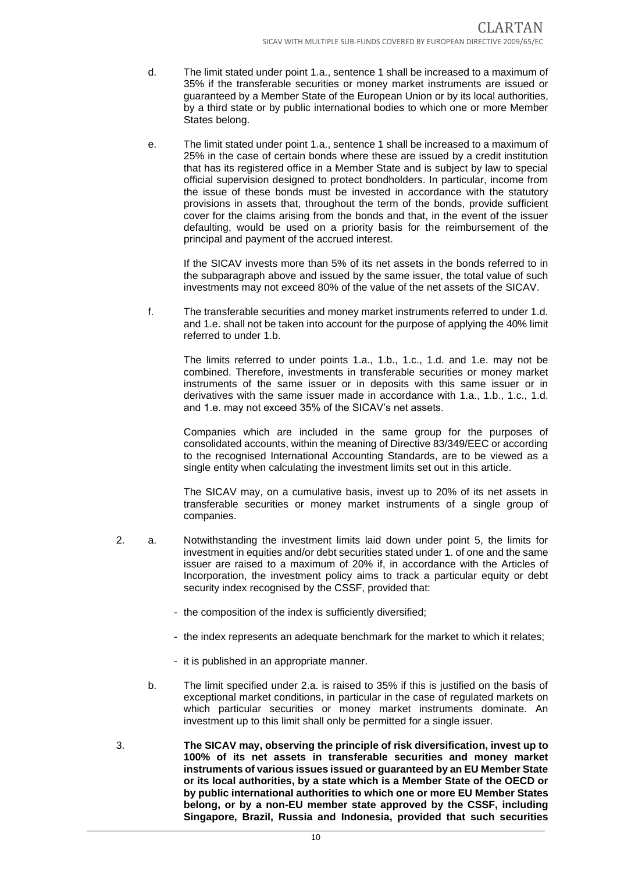- d. The limit stated under point 1.a., sentence 1 shall be increased to a maximum of 35% if the transferable securities or money market instruments are issued or guaranteed by a Member State of the European Union or by its local authorities, by a third state or by public international bodies to which one or more Member States belong.
- e. The limit stated under point 1.a., sentence 1 shall be increased to a maximum of 25% in the case of certain bonds where these are issued by a credit institution that has its registered office in a Member State and is subject by law to special official supervision designed to protect bondholders. In particular, income from the issue of these bonds must be invested in accordance with the statutory provisions in assets that, throughout the term of the bonds, provide sufficient cover for the claims arising from the bonds and that, in the event of the issuer defaulting, would be used on a priority basis for the reimbursement of the principal and payment of the accrued interest.

If the SICAV invests more than 5% of its net assets in the bonds referred to in the subparagraph above and issued by the same issuer, the total value of such investments may not exceed 80% of the value of the net assets of the SICAV.

f. The transferable securities and money market instruments referred to under 1.d. and 1.e. shall not be taken into account for the purpose of applying the 40% limit referred to under 1.b.

The limits referred to under points 1.a., 1.b., 1.c., 1.d. and 1.e. may not be combined. Therefore, investments in transferable securities or money market instruments of the same issuer or in deposits with this same issuer or in derivatives with the same issuer made in accordance with 1.a., 1.b., 1.c., 1.d. and 1.e. may not exceed 35% of the SICAV's net assets.

Companies which are included in the same group for the purposes of consolidated accounts, within the meaning of Directive 83/349/EEC or according to the recognised International Accounting Standards, are to be viewed as a single entity when calculating the investment limits set out in this article.

The SICAV may, on a cumulative basis, invest up to 20% of its net assets in transferable securities or money market instruments of a single group of companies.

- 2. a. Notwithstanding the investment limits laid down under point 5, the limits for investment in equities and/or debt securities stated under 1. of one and the same issuer are raised to a maximum of 20% if, in accordance with the Articles of Incorporation, the investment policy aims to track a particular equity or debt security index recognised by the CSSF, provided that:
	- the composition of the index is sufficiently diversified;
	- the index represents an adequate benchmark for the market to which it relates;
	- it is published in an appropriate manner.
	- b. The limit specified under 2.a. is raised to 35% if this is justified on the basis of exceptional market conditions, in particular in the case of regulated markets on which particular securities or money market instruments dominate. An investment up to this limit shall only be permitted for a single issuer.
- 3. **The SICAV may, observing the principle of risk diversification, invest up to 100% of its net assets in transferable securities and money market instruments of various issues issued or guaranteed by an EU Member State or its local authorities, by a state which is a Member State of the OECD or by public international authorities to which one or more EU Member States belong, or by a non-EU member state approved by the CSSF, including Singapore, Brazil, Russia and Indonesia, provided that such securities**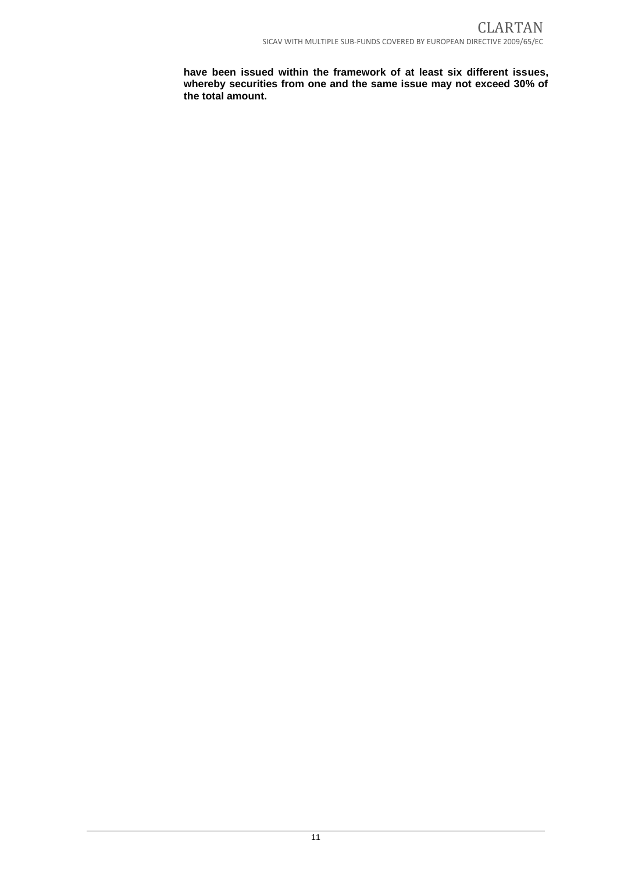**have been issued within the framework of at least six different issues, whereby securities from one and the same issue may not exceed 30% of the total amount.**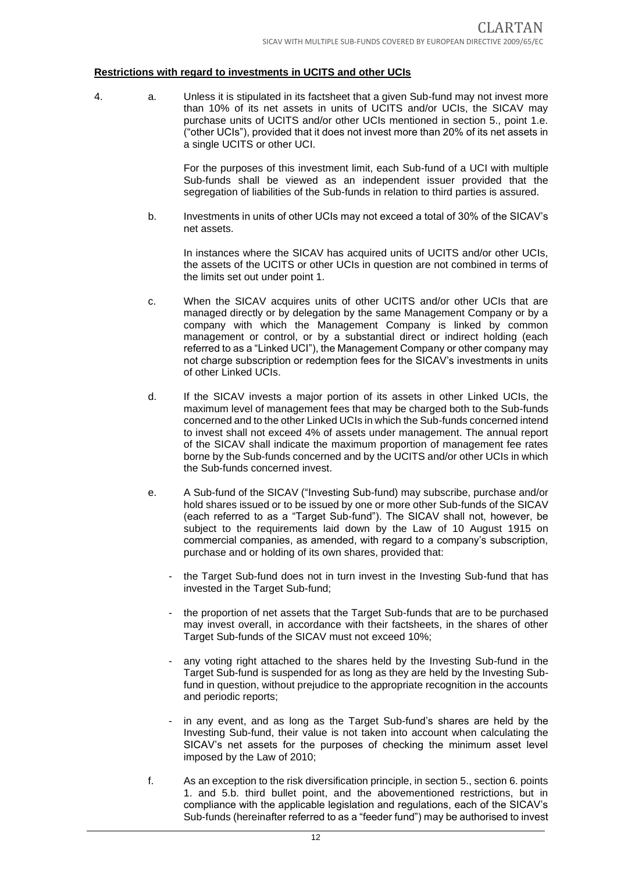#### **Restrictions with regard to investments in UCITS and other UCIs**

4. a. Unless it is stipulated in its factsheet that a given Sub-fund may not invest more than 10% of its net assets in units of UCITS and/or UCIs, the SICAV may purchase units of UCITS and/or other UCIs mentioned in section 5., point 1.e. ("other UCIs"), provided that it does not invest more than 20% of its net assets in a single UCITS or other UCI.

> For the purposes of this investment limit, each Sub-fund of a UCI with multiple Sub-funds shall be viewed as an independent issuer provided that the segregation of liabilities of the Sub-funds in relation to third parties is assured.

b. Investments in units of other UCIs may not exceed a total of 30% of the SICAV's net assets.

In instances where the SICAV has acquired units of UCITS and/or other UCIs, the assets of the UCITS or other UCIs in question are not combined in terms of the limits set out under point 1.

- c. When the SICAV acquires units of other UCITS and/or other UCIs that are managed directly or by delegation by the same Management Company or by a company with which the Management Company is linked by common management or control, or by a substantial direct or indirect holding (each referred to as a "Linked UCI"), the Management Company or other company may not charge subscription or redemption fees for the SICAV's investments in units of other Linked UCIs.
- d. If the SICAV invests a major portion of its assets in other Linked UCIs, the maximum level of management fees that may be charged both to the Sub-funds concerned and to the other Linked UCIs in which the Sub-funds concerned intend to invest shall not exceed 4% of assets under management. The annual report of the SICAV shall indicate the maximum proportion of management fee rates borne by the Sub-funds concerned and by the UCITS and/or other UCIs in which the Sub-funds concerned invest.
- e. A Sub-fund of the SICAV ("Investing Sub-fund) may subscribe, purchase and/or hold shares issued or to be issued by one or more other Sub-funds of the SICAV (each referred to as a "Target Sub-fund"). The SICAV shall not, however, be subject to the requirements laid down by the Law of 10 August 1915 on commercial companies, as amended, with regard to a company's subscription, purchase and or holding of its own shares, provided that:
	- the Target Sub-fund does not in turn invest in the Investing Sub-fund that has invested in the Target Sub-fund;
	- the proportion of net assets that the Target Sub-funds that are to be purchased may invest overall, in accordance with their factsheets, in the shares of other Target Sub-funds of the SICAV must not exceed 10%;
	- any voting right attached to the shares held by the Investing Sub-fund in the Target Sub-fund is suspended for as long as they are held by the Investing Subfund in question, without prejudice to the appropriate recognition in the accounts and periodic reports;
	- in any event, and as long as the Target Sub-fund's shares are held by the Investing Sub-fund, their value is not taken into account when calculating the SICAV's net assets for the purposes of checking the minimum asset level imposed by the Law of 2010;
- f. As an exception to the risk diversification principle, in section 5., section 6. points 1. and 5.b. third bullet point, and the abovementioned restrictions, but in compliance with the applicable legislation and regulations, each of the SICAV's Sub-funds (hereinafter referred to as a "feeder fund") may be authorised to invest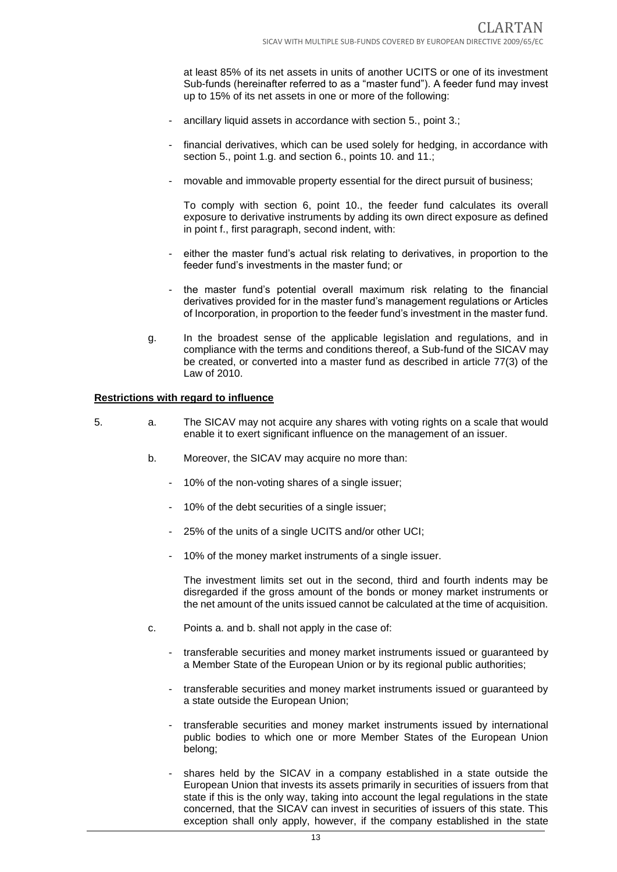at least 85% of its net assets in units of another UCITS or one of its investment Sub-funds (hereinafter referred to as a "master fund"). A feeder fund may invest up to 15% of its net assets in one or more of the following:

- ancillary liquid assets in accordance with section 5., point 3.;
- financial derivatives, which can be used solely for hedging, in accordance with section 5., point 1.g. and section 6., points 10. and 11.;
- movable and immovable property essential for the direct pursuit of business;

To comply with section 6, point 10., the feeder fund calculates its overall exposure to derivative instruments by adding its own direct exposure as defined in point f., first paragraph, second indent, with:

- either the master fund's actual risk relating to derivatives, in proportion to the feeder fund's investments in the master fund; or
- the master fund's potential overall maximum risk relating to the financial derivatives provided for in the master fund's management regulations or Articles of Incorporation, in proportion to the feeder fund's investment in the master fund.
- g. In the broadest sense of the applicable legislation and regulations, and in compliance with the terms and conditions thereof, a Sub-fund of the SICAV may be created, or converted into a master fund as described in article 77(3) of the Law of 2010.

#### **Restrictions with regard to influence**

- 5. a. The SICAV may not acquire any shares with voting rights on a scale that would enable it to exert significant influence on the management of an issuer.
	- b. Moreover, the SICAV may acquire no more than:
		- 10% of the non-voting shares of a single issuer;
		- 10% of the debt securities of a single issuer;
		- 25% of the units of a single UCITS and/or other UCI;
		- 10% of the money market instruments of a single issuer.

The investment limits set out in the second, third and fourth indents may be disregarded if the gross amount of the bonds or money market instruments or the net amount of the units issued cannot be calculated at the time of acquisition.

- c. Points a. and b. shall not apply in the case of:
	- transferable securities and money market instruments issued or guaranteed by a Member State of the European Union or by its regional public authorities;
	- transferable securities and money market instruments issued or guaranteed by a state outside the European Union;
	- transferable securities and money market instruments issued by international public bodies to which one or more Member States of the European Union belong;
	- shares held by the SICAV in a company established in a state outside the European Union that invests its assets primarily in securities of issuers from that state if this is the only way, taking into account the legal regulations in the state concerned, that the SICAV can invest in securities of issuers of this state. This exception shall only apply, however, if the company established in the state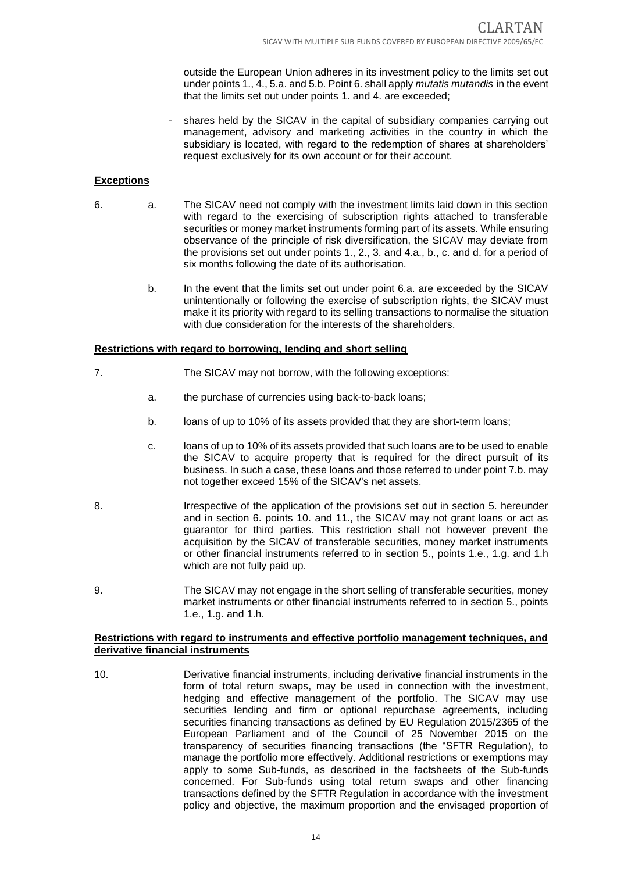outside the European Union adheres in its investment policy to the limits set out under points 1., 4., 5.a. and 5.b. Point 6. shall apply *mutatis mutandis* in the event that the limits set out under points 1. and 4. are exceeded;

- shares held by the SICAV in the capital of subsidiary companies carrying out management, advisory and marketing activities in the country in which the subsidiary is located, with regard to the redemption of shares at shareholders' request exclusively for its own account or for their account.

#### **Exceptions**

- 6. a. The SICAV need not comply with the investment limits laid down in this section with regard to the exercising of subscription rights attached to transferable securities or money market instruments forming part of its assets. While ensuring observance of the principle of risk diversification, the SICAV may deviate from the provisions set out under points 1., 2., 3. and 4.a., b., c. and d. for a period of six months following the date of its authorisation.
	- b. In the event that the limits set out under point 6.a. are exceeded by the SICAV unintentionally or following the exercise of subscription rights, the SICAV must make it its priority with regard to its selling transactions to normalise the situation with due consideration for the interests of the shareholders.

#### **Restrictions with regard to borrowing, lending and short selling**

- 7. The SICAV may not borrow, with the following exceptions:
	- a. the purchase of currencies using back-to-back loans;
	- b. loans of up to 10% of its assets provided that they are short-term loans;
	- c. loans of up to 10% of its assets provided that such loans are to be used to enable the SICAV to acquire property that is required for the direct pursuit of its business. In such a case, these loans and those referred to under point 7.b. may not together exceed 15% of the SICAV's net assets.
- 8. Irrespective of the application of the provisions set out in section 5. hereunder and in section 6. points 10. and 11., the SICAV may not grant loans or act as guarantor for third parties. This restriction shall not however prevent the acquisition by the SICAV of transferable securities, money market instruments or other financial instruments referred to in section 5., points 1.e., 1.g. and 1.h which are not fully paid up.
- 9. The SICAV may not engage in the short selling of transferable securities, money market instruments or other financial instruments referred to in section 5., points 1.e., 1.g. and 1.h.

#### **Restrictions with regard to instruments and effective portfolio management techniques, and derivative financial instruments**

10. Derivative financial instruments, including derivative financial instruments in the form of total return swaps, may be used in connection with the investment, hedging and effective management of the portfolio. The SICAV may use securities lending and firm or optional repurchase agreements, including securities financing transactions as defined by EU Regulation 2015/2365 of the European Parliament and of the Council of 25 November 2015 on the transparency of securities financing transactions (the "SFTR Regulation), to manage the portfolio more effectively. Additional restrictions or exemptions may apply to some Sub-funds, as described in the factsheets of the Sub-funds concerned. For Sub-funds using total return swaps and other financing transactions defined by the SFTR Regulation in accordance with the investment policy and objective, the maximum proportion and the envisaged proportion of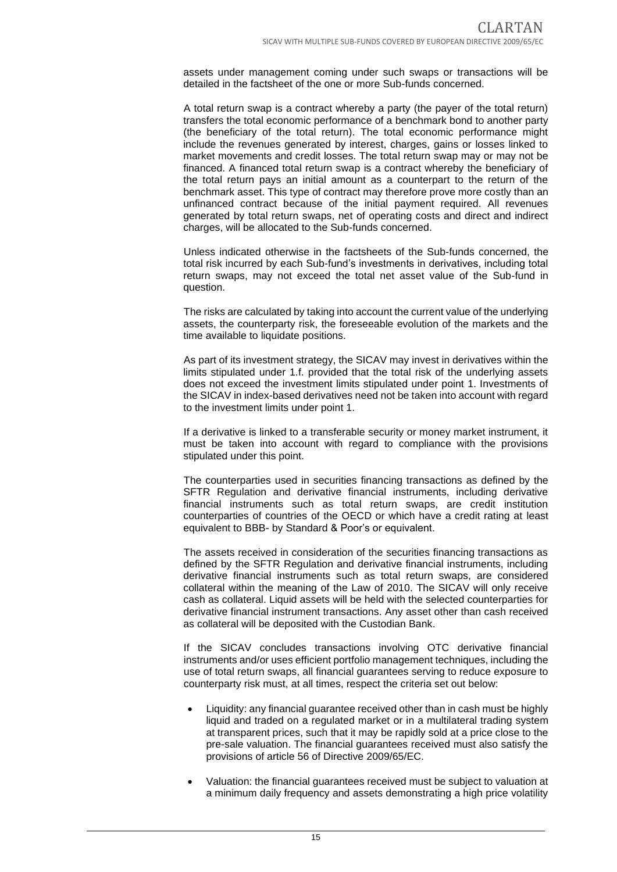assets under management coming under such swaps or transactions will be detailed in the factsheet of the one or more Sub-funds concerned.

A total return swap is a contract whereby a party (the payer of the total return) transfers the total economic performance of a benchmark bond to another party (the beneficiary of the total return). The total economic performance might include the revenues generated by interest, charges, gains or losses linked to market movements and credit losses. The total return swap may or may not be financed. A financed total return swap is a contract whereby the beneficiary of the total return pays an initial amount as a counterpart to the return of the benchmark asset. This type of contract may therefore prove more costly than an unfinanced contract because of the initial payment required. All revenues generated by total return swaps, net of operating costs and direct and indirect charges, will be allocated to the Sub-funds concerned.

Unless indicated otherwise in the factsheets of the Sub-funds concerned, the total risk incurred by each Sub-fund's investments in derivatives, including total return swaps, may not exceed the total net asset value of the Sub-fund in question.

The risks are calculated by taking into account the current value of the underlying assets, the counterparty risk, the foreseeable evolution of the markets and the time available to liquidate positions.

As part of its investment strategy, the SICAV may invest in derivatives within the limits stipulated under 1.f. provided that the total risk of the underlying assets does not exceed the investment limits stipulated under point 1. Investments of the SICAV in index-based derivatives need not be taken into account with regard to the investment limits under point 1.

If a derivative is linked to a transferable security or money market instrument, it must be taken into account with regard to compliance with the provisions stipulated under this point.

The counterparties used in securities financing transactions as defined by the SFTR Regulation and derivative financial instruments, including derivative financial instruments such as total return swaps, are credit institution counterparties of countries of the OECD or which have a credit rating at least equivalent to BBB- by Standard & Poor's or equivalent.

The assets received in consideration of the securities financing transactions as defined by the SFTR Regulation and derivative financial instruments, including derivative financial instruments such as total return swaps, are considered collateral within the meaning of the Law of 2010. The SICAV will only receive cash as collateral. Liquid assets will be held with the selected counterparties for derivative financial instrument transactions. Any asset other than cash received as collateral will be deposited with the Custodian Bank.

If the SICAV concludes transactions involving OTC derivative financial instruments and/or uses efficient portfolio management techniques, including the use of total return swaps, all financial guarantees serving to reduce exposure to counterparty risk must, at all times, respect the criteria set out below:

- Liquidity: any financial guarantee received other than in cash must be highly liquid and traded on a regulated market or in a multilateral trading system at transparent prices, such that it may be rapidly sold at a price close to the pre-sale valuation. The financial guarantees received must also satisfy the provisions of article 56 of Directive 2009/65/EC.
- Valuation: the financial guarantees received must be subject to valuation at a minimum daily frequency and assets demonstrating a high price volatility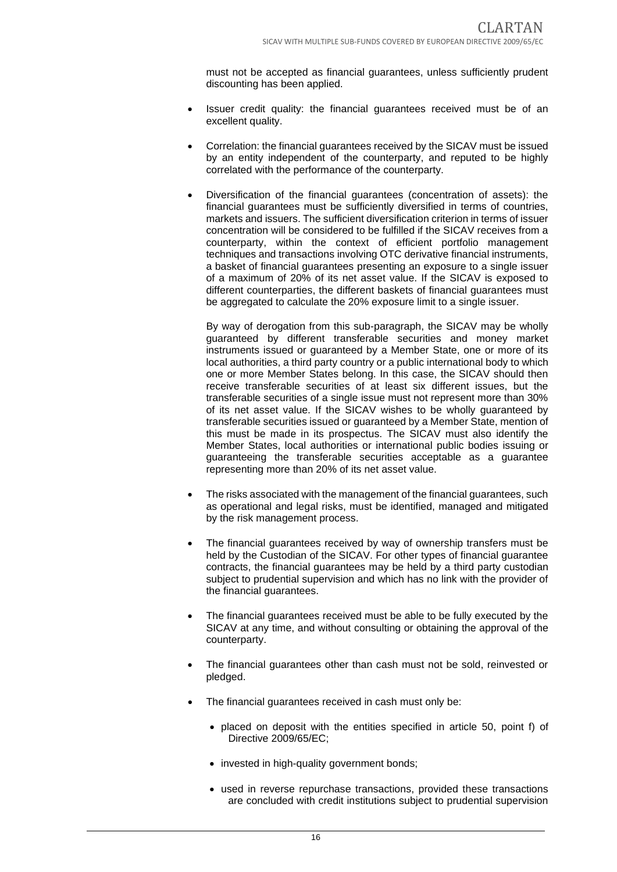must not be accepted as financial guarantees, unless sufficiently prudent discounting has been applied.

- Issuer credit quality: the financial guarantees received must be of an excellent quality.
- Correlation: the financial guarantees received by the SICAV must be issued by an entity independent of the counterparty, and reputed to be highly correlated with the performance of the counterparty.
- Diversification of the financial guarantees (concentration of assets): the financial guarantees must be sufficiently diversified in terms of countries, markets and issuers. The sufficient diversification criterion in terms of issuer concentration will be considered to be fulfilled if the SICAV receives from a counterparty, within the context of efficient portfolio management techniques and transactions involving OTC derivative financial instruments, a basket of financial guarantees presenting an exposure to a single issuer of a maximum of 20% of its net asset value. If the SICAV is exposed to different counterparties, the different baskets of financial guarantees must be aggregated to calculate the 20% exposure limit to a single issuer.

By way of derogation from this sub-paragraph, the SICAV may be wholly guaranteed by different transferable securities and money market instruments issued or guaranteed by a Member State, one or more of its local authorities, a third party country or a public international body to which one or more Member States belong. In this case, the SICAV should then receive transferable securities of at least six different issues, but the transferable securities of a single issue must not represent more than 30% of its net asset value. If the SICAV wishes to be wholly guaranteed by transferable securities issued or guaranteed by a Member State, mention of this must be made in its prospectus. The SICAV must also identify the Member States, local authorities or international public bodies issuing or guaranteeing the transferable securities acceptable as a guarantee representing more than 20% of its net asset value.

- The risks associated with the management of the financial guarantees, such as operational and legal risks, must be identified, managed and mitigated by the risk management process.
- The financial quarantees received by way of ownership transfers must be held by the Custodian of the SICAV. For other types of financial guarantee contracts, the financial guarantees may be held by a third party custodian subject to prudential supervision and which has no link with the provider of the financial guarantees.
- The financial guarantees received must be able to be fully executed by the SICAV at any time, and without consulting or obtaining the approval of the counterparty.
- The financial guarantees other than cash must not be sold, reinvested or pledged.
- The financial quarantees received in cash must only be:
	- placed on deposit with the entities specified in article 50, point f) of Directive 2009/65/EC;
	- invested in high-quality government bonds;
	- used in reverse repurchase transactions, provided these transactions are concluded with credit institutions subject to prudential supervision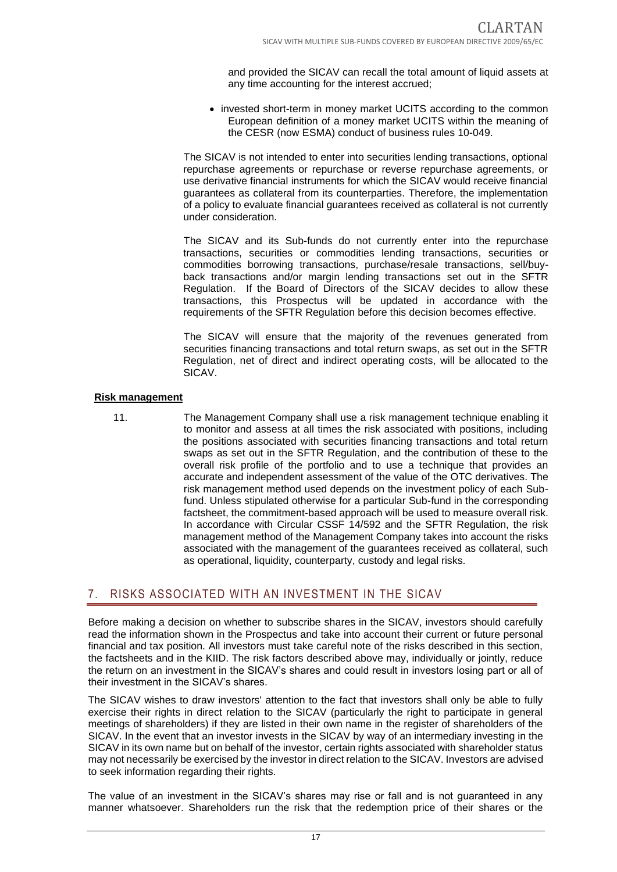and provided the SICAV can recall the total amount of liquid assets at any time accounting for the interest accrued;

• invested short-term in money market UCITS according to the common European definition of a money market UCITS within the meaning of the CESR (now ESMA) conduct of business rules 10-049.

The SICAV is not intended to enter into securities lending transactions, optional repurchase agreements or repurchase or reverse repurchase agreements, or use derivative financial instruments for which the SICAV would receive financial guarantees as collateral from its counterparties. Therefore, the implementation of a policy to evaluate financial guarantees received as collateral is not currently under consideration.

The SICAV and its Sub-funds do not currently enter into the repurchase transactions, securities or commodities lending transactions, securities or commodities borrowing transactions, purchase/resale transactions, sell/buyback transactions and/or margin lending transactions set out in the SFTR Regulation. If the Board of Directors of the SICAV decides to allow these transactions, this Prospectus will be updated in accordance with the requirements of the SFTR Regulation before this decision becomes effective.

The SICAV will ensure that the majority of the revenues generated from securities financing transactions and total return swaps, as set out in the SFTR Regulation, net of direct and indirect operating costs, will be allocated to the SICAV.

#### **Risk management**

11. The Management Company shall use a risk management technique enabling it to monitor and assess at all times the risk associated with positions, including the positions associated with securities financing transactions and total return swaps as set out in the SFTR Regulation, and the contribution of these to the overall risk profile of the portfolio and to use a technique that provides an accurate and independent assessment of the value of the OTC derivatives. The risk management method used depends on the investment policy of each Subfund. Unless stipulated otherwise for a particular Sub-fund in the corresponding factsheet, the commitment-based approach will be used to measure overall risk. In accordance with Circular CSSF 14/592 and the SFTR Regulation, the risk management method of the Management Company takes into account the risks associated with the management of the guarantees received as collateral, such as operational, liquidity, counterparty, custody and legal risks.

## <span id="page-16-0"></span>7. RISKS ASSOCIATED WITH AN INVESTMENT IN THE SICAV

Before making a decision on whether to subscribe shares in the SICAV, investors should carefully read the information shown in the Prospectus and take into account their current or future personal financial and tax position. All investors must take careful note of the risks described in this section, the factsheets and in the KIID. The risk factors described above may, individually or jointly, reduce the return on an investment in the SICAV's shares and could result in investors losing part or all of their investment in the SICAV's shares.

The SICAV wishes to draw investors' attention to the fact that investors shall only be able to fully exercise their rights in direct relation to the SICAV (particularly the right to participate in general meetings of shareholders) if they are listed in their own name in the register of shareholders of the SICAV. In the event that an investor invests in the SICAV by way of an intermediary investing in the SICAV in its own name but on behalf of the investor, certain rights associated with shareholder status may not necessarily be exercised by the investor in direct relation to the SICAV. Investors are advised to seek information regarding their rights.

The value of an investment in the SICAV's shares may rise or fall and is not guaranteed in any manner whatsoever. Shareholders run the risk that the redemption price of their shares or the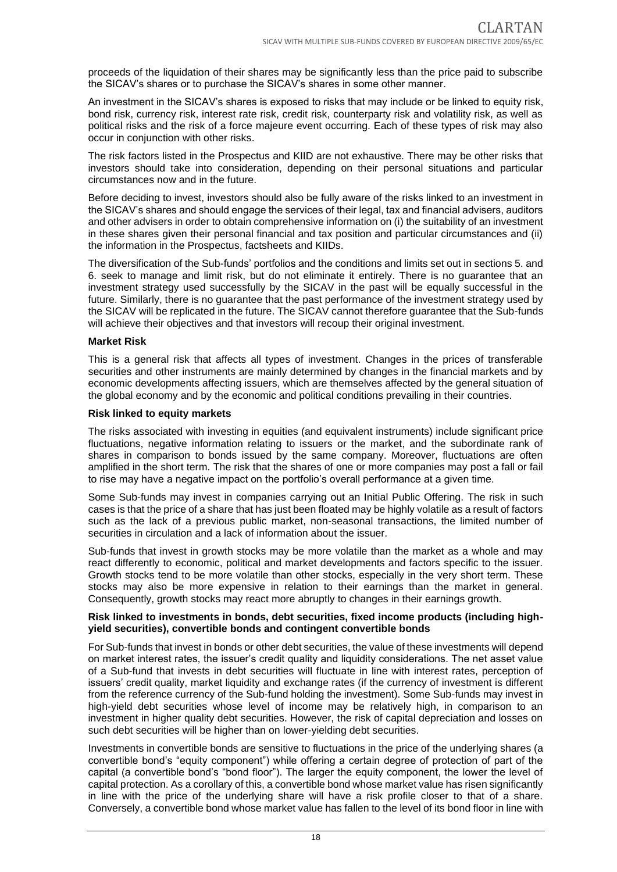proceeds of the liquidation of their shares may be significantly less than the price paid to subscribe the SICAV's shares or to purchase the SICAV's shares in some other manner.

An investment in the SICAV's shares is exposed to risks that may include or be linked to equity risk, bond risk, currency risk, interest rate risk, credit risk, counterparty risk and volatility risk, as well as political risks and the risk of a force majeure event occurring. Each of these types of risk may also occur in conjunction with other risks.

The risk factors listed in the Prospectus and KIID are not exhaustive. There may be other risks that investors should take into consideration, depending on their personal situations and particular circumstances now and in the future.

Before deciding to invest, investors should also be fully aware of the risks linked to an investment in the SICAV's shares and should engage the services of their legal, tax and financial advisers, auditors and other advisers in order to obtain comprehensive information on (i) the suitability of an investment in these shares given their personal financial and tax position and particular circumstances and (ii) the information in the Prospectus, factsheets and KIIDs.

The diversification of the Sub-funds' portfolios and the conditions and limits set out in sections 5. and 6. seek to manage and limit risk, but do not eliminate it entirely. There is no guarantee that an investment strategy used successfully by the SICAV in the past will be equally successful in the future. Similarly, there is no guarantee that the past performance of the investment strategy used by the SICAV will be replicated in the future. The SICAV cannot therefore guarantee that the Sub-funds will achieve their objectives and that investors will recoup their original investment.

#### **Market Risk**

This is a general risk that affects all types of investment. Changes in the prices of transferable securities and other instruments are mainly determined by changes in the financial markets and by economic developments affecting issuers, which are themselves affected by the general situation of the global economy and by the economic and political conditions prevailing in their countries.

#### **Risk linked to equity markets**

The risks associated with investing in equities (and equivalent instruments) include significant price fluctuations, negative information relating to issuers or the market, and the subordinate rank of shares in comparison to bonds issued by the same company. Moreover, fluctuations are often amplified in the short term. The risk that the shares of one or more companies may post a fall or fail to rise may have a negative impact on the portfolio's overall performance at a given time.

Some Sub-funds may invest in companies carrying out an Initial Public Offering. The risk in such cases is that the price of a share that has just been floated may be highly volatile as a result of factors such as the lack of a previous public market, non-seasonal transactions, the limited number of securities in circulation and a lack of information about the issuer.

Sub-funds that invest in growth stocks may be more volatile than the market as a whole and may react differently to economic, political and market developments and factors specific to the issuer. Growth stocks tend to be more volatile than other stocks, especially in the very short term. These stocks may also be more expensive in relation to their earnings than the market in general. Consequently, growth stocks may react more abruptly to changes in their earnings growth.

#### **Risk linked to investments in bonds, debt securities, fixed income products (including highyield securities), convertible bonds and contingent convertible bonds**

For Sub-funds that invest in bonds or other debt securities, the value of these investments will depend on market interest rates, the issuer's credit quality and liquidity considerations. The net asset value of a Sub-fund that invests in debt securities will fluctuate in line with interest rates, perception of issuers' credit quality, market liquidity and exchange rates (if the currency of investment is different from the reference currency of the Sub-fund holding the investment). Some Sub-funds may invest in high-yield debt securities whose level of income may be relatively high, in comparison to an investment in higher quality debt securities. However, the risk of capital depreciation and losses on such debt securities will be higher than on lower-yielding debt securities.

Investments in convertible bonds are sensitive to fluctuations in the price of the underlying shares (a convertible bond's "equity component") while offering a certain degree of protection of part of the capital (a convertible bond's "bond floor"). The larger the equity component, the lower the level of capital protection. As a corollary of this, a convertible bond whose market value has risen significantly in line with the price of the underlying share will have a risk profile closer to that of a share. Conversely, a convertible bond whose market value has fallen to the level of its bond floor in line with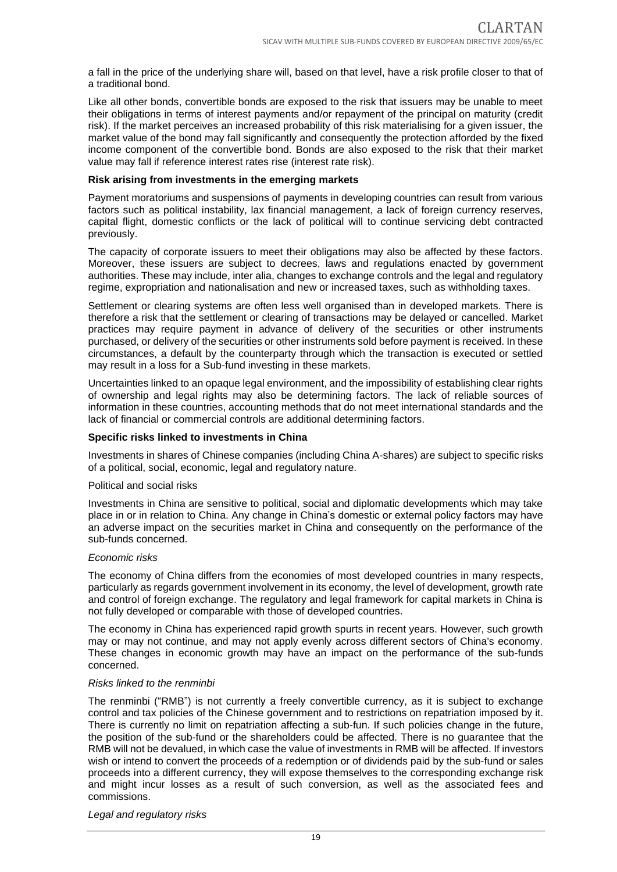a fall in the price of the underlying share will, based on that level, have a risk profile closer to that of a traditional bond.

Like all other bonds, convertible bonds are exposed to the risk that issuers may be unable to meet their obligations in terms of interest payments and/or repayment of the principal on maturity (credit risk). If the market perceives an increased probability of this risk materialising for a given issuer, the market value of the bond may fall significantly and consequently the protection afforded by the fixed income component of the convertible bond. Bonds are also exposed to the risk that their market value may fall if reference interest rates rise (interest rate risk).

#### **Risk arising from investments in the emerging markets**

Payment moratoriums and suspensions of payments in developing countries can result from various factors such as political instability, lax financial management, a lack of foreign currency reserves, capital flight, domestic conflicts or the lack of political will to continue servicing debt contracted previously.

The capacity of corporate issuers to meet their obligations may also be affected by these factors. Moreover, these issuers are subject to decrees, laws and regulations enacted by government authorities. These may include, inter alia, changes to exchange controls and the legal and regulatory regime, expropriation and nationalisation and new or increased taxes, such as withholding taxes.

Settlement or clearing systems are often less well organised than in developed markets. There is therefore a risk that the settlement or clearing of transactions may be delayed or cancelled. Market practices may require payment in advance of delivery of the securities or other instruments purchased, or delivery of the securities or other instruments sold before payment is received. In these circumstances, a default by the counterparty through which the transaction is executed or settled may result in a loss for a Sub-fund investing in these markets.

Uncertainties linked to an opaque legal environment, and the impossibility of establishing clear rights of ownership and legal rights may also be determining factors. The lack of reliable sources of information in these countries, accounting methods that do not meet international standards and the lack of financial or commercial controls are additional determining factors.

#### **Specific risks linked to investments in China**

Investments in shares of Chinese companies (including China A-shares) are subject to specific risks of a political, social, economic, legal and regulatory nature.

#### Political and social risks

Investments in China are sensitive to political, social and diplomatic developments which may take place in or in relation to China. Any change in China's domestic or external policy factors may have an adverse impact on the securities market in China and consequently on the performance of the sub-funds concerned.

#### *Economic risks*

The economy of China differs from the economies of most developed countries in many respects, particularly as regards government involvement in its economy, the level of development, growth rate and control of foreign exchange. The regulatory and legal framework for capital markets in China is not fully developed or comparable with those of developed countries.

The economy in China has experienced rapid growth spurts in recent years. However, such growth may or may not continue, and may not apply evenly across different sectors of China's economy. These changes in economic growth may have an impact on the performance of the sub-funds concerned.

#### *Risks linked to the renminbi*

The renminbi ("RMB") is not currently a freely convertible currency, as it is subject to exchange control and tax policies of the Chinese government and to restrictions on repatriation imposed by it. There is currently no limit on repatriation affecting a sub-fun. If such policies change in the future, the position of the sub-fund or the shareholders could be affected. There is no guarantee that the RMB will not be devalued, in which case the value of investments in RMB will be affected. If investors wish or intend to convert the proceeds of a redemption or of dividends paid by the sub-fund or sales proceeds into a different currency, they will expose themselves to the corresponding exchange risk and might incur losses as a result of such conversion, as well as the associated fees and commissions.

*Legal and regulatory risks*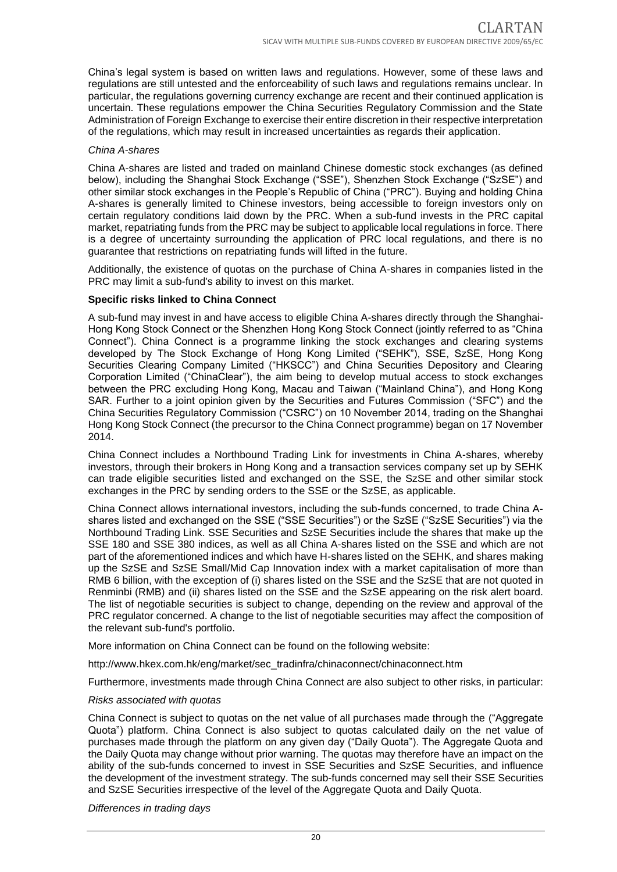China's legal system is based on written laws and regulations. However, some of these laws and regulations are still untested and the enforceability of such laws and regulations remains unclear. In particular, the regulations governing currency exchange are recent and their continued application is uncertain. These regulations empower the China Securities Regulatory Commission and the State Administration of Foreign Exchange to exercise their entire discretion in their respective interpretation of the regulations, which may result in increased uncertainties as regards their application.

#### *China A-shares*

China A-shares are listed and traded on mainland Chinese domestic stock exchanges (as defined below), including the Shanghai Stock Exchange ("SSE"), Shenzhen Stock Exchange ("SzSE") and other similar stock exchanges in the People's Republic of China ("PRC"). Buying and holding China A-shares is generally limited to Chinese investors, being accessible to foreign investors only on certain regulatory conditions laid down by the PRC. When a sub-fund invests in the PRC capital market, repatriating funds from the PRC may be subject to applicable local regulations in force. There is a degree of uncertainty surrounding the application of PRC local regulations, and there is no guarantee that restrictions on repatriating funds will lifted in the future.

Additionally, the existence of quotas on the purchase of China A-shares in companies listed in the PRC may limit a sub-fund's ability to invest on this market.

#### **Specific risks linked to China Connect**

A sub-fund may invest in and have access to eligible China A-shares directly through the Shanghai-Hong Kong Stock Connect or the Shenzhen Hong Kong Stock Connect (jointly referred to as "China Connect"). China Connect is a programme linking the stock exchanges and clearing systems developed by The Stock Exchange of Hong Kong Limited ("SEHK"), SSE, SzSE, Hong Kong Securities Clearing Company Limited ("HKSCC") and China Securities Depository and Clearing Corporation Limited ("ChinaClear"), the aim being to develop mutual access to stock exchanges between the PRC excluding Hong Kong, Macau and Taiwan ("Mainland China"), and Hong Kong SAR. Further to a joint opinion given by the Securities and Futures Commission ("SFC") and the China Securities Regulatory Commission ("CSRC") on 10 November 2014, trading on the Shanghai Hong Kong Stock Connect (the precursor to the China Connect programme) began on 17 November 2014.

China Connect includes a Northbound Trading Link for investments in China A-shares, whereby investors, through their brokers in Hong Kong and a transaction services company set up by SEHK can trade eligible securities listed and exchanged on the SSE, the SzSE and other similar stock exchanges in the PRC by sending orders to the SSE or the SzSE, as applicable.

China Connect allows international investors, including the sub-funds concerned, to trade China Ashares listed and exchanged on the SSE ("SSE Securities") or the SzSE ("SzSE Securities") via the Northbound Trading Link. SSE Securities and SzSE Securities include the shares that make up the SSE 180 and SSE 380 indices, as well as all China A-shares listed on the SSE and which are not part of the aforementioned indices and which have H-shares listed on the SEHK, and shares making up the SzSE and SzSE Small/Mid Cap Innovation index with a market capitalisation of more than RMB 6 billion, with the exception of (i) shares listed on the SSE and the SzSE that are not quoted in Renminbi (RMB) and (ii) shares listed on the SSE and the SzSE appearing on the risk alert board. The list of negotiable securities is subject to change, depending on the review and approval of the PRC regulator concerned. A change to the list of negotiable securities may affect the composition of the relevant sub-fund's portfolio.

More information on China Connect can be found on the following website:

http://www.hkex.com.hk/eng/market/sec\_tradinfra/chinaconnect/chinaconnect.htm

Furthermore, investments made through China Connect are also subject to other risks, in particular:

#### *Risks associated with quotas*

China Connect is subject to quotas on the net value of all purchases made through the ("Aggregate Quota") platform. China Connect is also subject to quotas calculated daily on the net value of purchases made through the platform on any given day ("Daily Quota"). The Aggregate Quota and the Daily Quota may change without prior warning. The quotas may therefore have an impact on the ability of the sub-funds concerned to invest in SSE Securities and SzSE Securities, and influence the development of the investment strategy. The sub-funds concerned may sell their SSE Securities and SzSE Securities irrespective of the level of the Aggregate Quota and Daily Quota.

*Differences in trading days*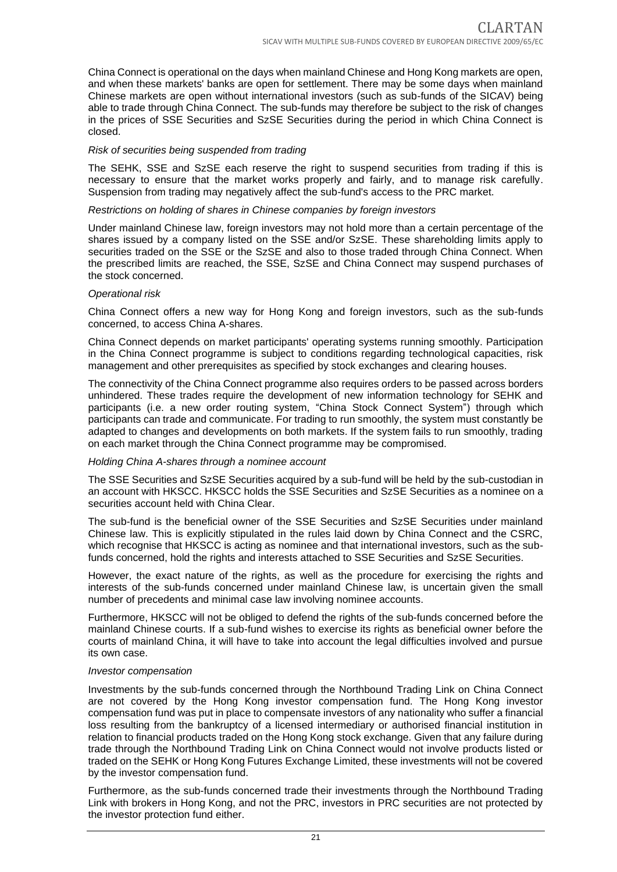China Connect is operational on the days when mainland Chinese and Hong Kong markets are open, and when these markets' banks are open for settlement. There may be some days when mainland Chinese markets are open without international investors (such as sub-funds of the SICAV) being able to trade through China Connect. The sub-funds may therefore be subject to the risk of changes in the prices of SSE Securities and SzSE Securities during the period in which China Connect is closed.

#### *Risk of securities being suspended from trading*

The SEHK, SSE and SzSE each reserve the right to suspend securities from trading if this is necessary to ensure that the market works properly and fairly, and to manage risk carefully. Suspension from trading may negatively affect the sub-fund's access to the PRC market.

#### *Restrictions on holding of shares in Chinese companies by foreign investors*

Under mainland Chinese law, foreign investors may not hold more than a certain percentage of the shares issued by a company listed on the SSE and/or SzSE. These shareholding limits apply to securities traded on the SSE or the SzSE and also to those traded through China Connect. When the prescribed limits are reached, the SSE, SzSE and China Connect may suspend purchases of the stock concerned.

#### *Operational risk*

China Connect offers a new way for Hong Kong and foreign investors, such as the sub-funds concerned, to access China A-shares.

China Connect depends on market participants' operating systems running smoothly. Participation in the China Connect programme is subject to conditions regarding technological capacities, risk management and other prerequisites as specified by stock exchanges and clearing houses.

The connectivity of the China Connect programme also requires orders to be passed across borders unhindered. These trades require the development of new information technology for SEHK and participants (i.e. a new order routing system, "China Stock Connect System") through which participants can trade and communicate. For trading to run smoothly, the system must constantly be adapted to changes and developments on both markets. If the system fails to run smoothly, trading on each market through the China Connect programme may be compromised.

#### *Holding China A-shares through a nominee account*

The SSE Securities and SzSE Securities acquired by a sub-fund will be held by the sub-custodian in an account with HKSCC. HKSCC holds the SSE Securities and SzSE Securities as a nominee on a securities account held with China Clear.

The sub-fund is the beneficial owner of the SSE Securities and SzSE Securities under mainland Chinese law. This is explicitly stipulated in the rules laid down by China Connect and the CSRC, which recognise that HKSCC is acting as nominee and that international investors, such as the subfunds concerned, hold the rights and interests attached to SSE Securities and SzSE Securities.

However, the exact nature of the rights, as well as the procedure for exercising the rights and interests of the sub-funds concerned under mainland Chinese law, is uncertain given the small number of precedents and minimal case law involving nominee accounts.

Furthermore, HKSCC will not be obliged to defend the rights of the sub-funds concerned before the mainland Chinese courts. If a sub-fund wishes to exercise its rights as beneficial owner before the courts of mainland China, it will have to take into account the legal difficulties involved and pursue its own case.

#### *Investor compensation*

Investments by the sub-funds concerned through the Northbound Trading Link on China Connect are not covered by the Hong Kong investor compensation fund. The Hong Kong investor compensation fund was put in place to compensate investors of any nationality who suffer a financial loss resulting from the bankruptcy of a licensed intermediary or authorised financial institution in relation to financial products traded on the Hong Kong stock exchange. Given that any failure during trade through the Northbound Trading Link on China Connect would not involve products listed or traded on the SEHK or Hong Kong Futures Exchange Limited, these investments will not be covered by the investor compensation fund.

Furthermore, as the sub-funds concerned trade their investments through the Northbound Trading Link with brokers in Hong Kong, and not the PRC, investors in PRC securities are not protected by the investor protection fund either.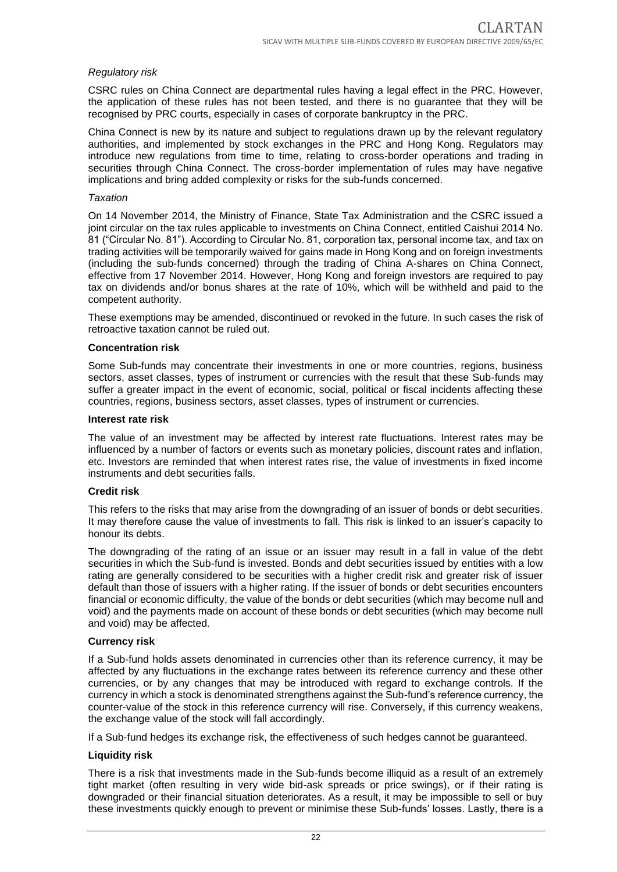#### *Regulatory risk*

CSRC rules on China Connect are departmental rules having a legal effect in the PRC. However, the application of these rules has not been tested, and there is no guarantee that they will be recognised by PRC courts, especially in cases of corporate bankruptcy in the PRC.

China Connect is new by its nature and subject to regulations drawn up by the relevant regulatory authorities, and implemented by stock exchanges in the PRC and Hong Kong. Regulators may introduce new regulations from time to time, relating to cross-border operations and trading in securities through China Connect. The cross-border implementation of rules may have negative implications and bring added complexity or risks for the sub-funds concerned.

#### *Taxation*

On 14 November 2014, the Ministry of Finance, State Tax Administration and the CSRC issued a joint circular on the tax rules applicable to investments on China Connect, entitled Caishui 2014 No. 81 ("Circular No. 81"). According to Circular No. 81, corporation tax, personal income tax, and tax on trading activities will be temporarily waived for gains made in Hong Kong and on foreign investments (including the sub-funds concerned) through the trading of China A-shares on China Connect, effective from 17 November 2014. However, Hong Kong and foreign investors are required to pay tax on dividends and/or bonus shares at the rate of 10%, which will be withheld and paid to the competent authority.

These exemptions may be amended, discontinued or revoked in the future. In such cases the risk of retroactive taxation cannot be ruled out.

#### **Concentration risk**

Some Sub-funds may concentrate their investments in one or more countries, regions, business sectors, asset classes, types of instrument or currencies with the result that these Sub-funds may suffer a greater impact in the event of economic, social, political or fiscal incidents affecting these countries, regions, business sectors, asset classes, types of instrument or currencies.

#### **Interest rate risk**

The value of an investment may be affected by interest rate fluctuations. Interest rates may be influenced by a number of factors or events such as monetary policies, discount rates and inflation, etc. Investors are reminded that when interest rates rise, the value of investments in fixed income instruments and debt securities falls.

#### **Credit risk**

This refers to the risks that may arise from the downgrading of an issuer of bonds or debt securities. It may therefore cause the value of investments to fall. This risk is linked to an issuer's capacity to honour its debts.

The downgrading of the rating of an issue or an issuer may result in a fall in value of the debt securities in which the Sub-fund is invested. Bonds and debt securities issued by entities with a low rating are generally considered to be securities with a higher credit risk and greater risk of issuer default than those of issuers with a higher rating. If the issuer of bonds or debt securities encounters financial or economic difficulty, the value of the bonds or debt securities (which may become null and void) and the payments made on account of these bonds or debt securities (which may become null and void) may be affected.

#### **Currency risk**

If a Sub-fund holds assets denominated in currencies other than its reference currency, it may be affected by any fluctuations in the exchange rates between its reference currency and these other currencies, or by any changes that may be introduced with regard to exchange controls. If the currency in which a stock is denominated strengthens against the Sub-fund's reference currency, the counter-value of the stock in this reference currency will rise. Conversely, if this currency weakens, the exchange value of the stock will fall accordingly.

If a Sub-fund hedges its exchange risk, the effectiveness of such hedges cannot be guaranteed.

#### **Liquidity risk**

There is a risk that investments made in the Sub-funds become illiquid as a result of an extremely tight market (often resulting in very wide bid-ask spreads or price swings), or if their rating is downgraded or their financial situation deteriorates. As a result, it may be impossible to sell or buy these investments quickly enough to prevent or minimise these Sub-funds' losses. Lastly, there is a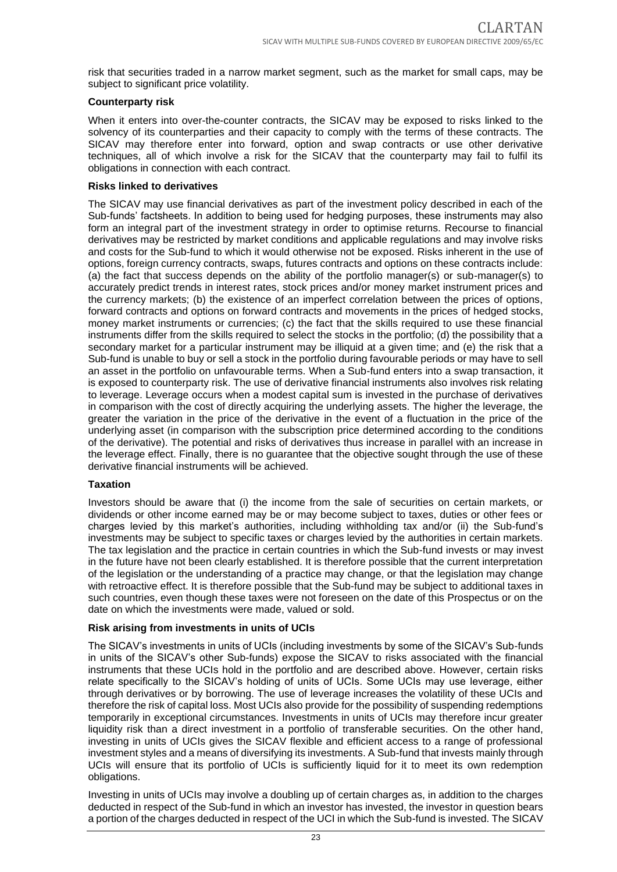risk that securities traded in a narrow market segment, such as the market for small caps, may be subject to significant price volatility.

#### **Counterparty risk**

When it enters into over-the-counter contracts, the SICAV may be exposed to risks linked to the solvency of its counterparties and their capacity to comply with the terms of these contracts. The SICAV may therefore enter into forward, option and swap contracts or use other derivative techniques, all of which involve a risk for the SICAV that the counterparty may fail to fulfil its obligations in connection with each contract.

#### **Risks linked to derivatives**

The SICAV may use financial derivatives as part of the investment policy described in each of the Sub-funds' factsheets. In addition to being used for hedging purposes, these instruments may also form an integral part of the investment strategy in order to optimise returns. Recourse to financial derivatives may be restricted by market conditions and applicable regulations and may involve risks and costs for the Sub-fund to which it would otherwise not be exposed. Risks inherent in the use of options, foreign currency contracts, swaps, futures contracts and options on these contracts include: (a) the fact that success depends on the ability of the portfolio manager(s) or sub-manager(s) to accurately predict trends in interest rates, stock prices and/or money market instrument prices and the currency markets; (b) the existence of an imperfect correlation between the prices of options, forward contracts and options on forward contracts and movements in the prices of hedged stocks, money market instruments or currencies; (c) the fact that the skills required to use these financial instruments differ from the skills required to select the stocks in the portfolio; (d) the possibility that a secondary market for a particular instrument may be illiquid at a given time; and (e) the risk that a Sub-fund is unable to buy or sell a stock in the portfolio during favourable periods or may have to sell an asset in the portfolio on unfavourable terms. When a Sub-fund enters into a swap transaction, it is exposed to counterparty risk. The use of derivative financial instruments also involves risk relating to leverage. Leverage occurs when a modest capital sum is invested in the purchase of derivatives in comparison with the cost of directly acquiring the underlying assets. The higher the leverage, the greater the variation in the price of the derivative in the event of a fluctuation in the price of the underlying asset (in comparison with the subscription price determined according to the conditions of the derivative). The potential and risks of derivatives thus increase in parallel with an increase in the leverage effect. Finally, there is no guarantee that the objective sought through the use of these derivative financial instruments will be achieved.

#### **Taxation**

Investors should be aware that (i) the income from the sale of securities on certain markets, or dividends or other income earned may be or may become subject to taxes, duties or other fees or charges levied by this market's authorities, including withholding tax and/or (ii) the Sub-fund's investments may be subject to specific taxes or charges levied by the authorities in certain markets. The tax legislation and the practice in certain countries in which the Sub-fund invests or may invest in the future have not been clearly established. It is therefore possible that the current interpretation of the legislation or the understanding of a practice may change, or that the legislation may change with retroactive effect. It is therefore possible that the Sub-fund may be subject to additional taxes in such countries, even though these taxes were not foreseen on the date of this Prospectus or on the date on which the investments were made, valued or sold.

#### **Risk arising from investments in units of UCIs**

The SICAV's investments in units of UCIs (including investments by some of the SICAV's Sub-funds in units of the SICAV's other Sub-funds) expose the SICAV to risks associated with the financial instruments that these UCIs hold in the portfolio and are described above. However, certain risks relate specifically to the SICAV's holding of units of UCIs. Some UCIs may use leverage, either through derivatives or by borrowing. The use of leverage increases the volatility of these UCIs and therefore the risk of capital loss. Most UCIs also provide for the possibility of suspending redemptions temporarily in exceptional circumstances. Investments in units of UCIs may therefore incur greater liquidity risk than a direct investment in a portfolio of transferable securities. On the other hand, investing in units of UCIs gives the SICAV flexible and efficient access to a range of professional investment styles and a means of diversifying its investments. A Sub-fund that invests mainly through UCIs will ensure that its portfolio of UCIs is sufficiently liquid for it to meet its own redemption obligations.

Investing in units of UCIs may involve a doubling up of certain charges as, in addition to the charges deducted in respect of the Sub-fund in which an investor has invested, the investor in question bears a portion of the charges deducted in respect of the UCI in which the Sub-fund is invested. The SICAV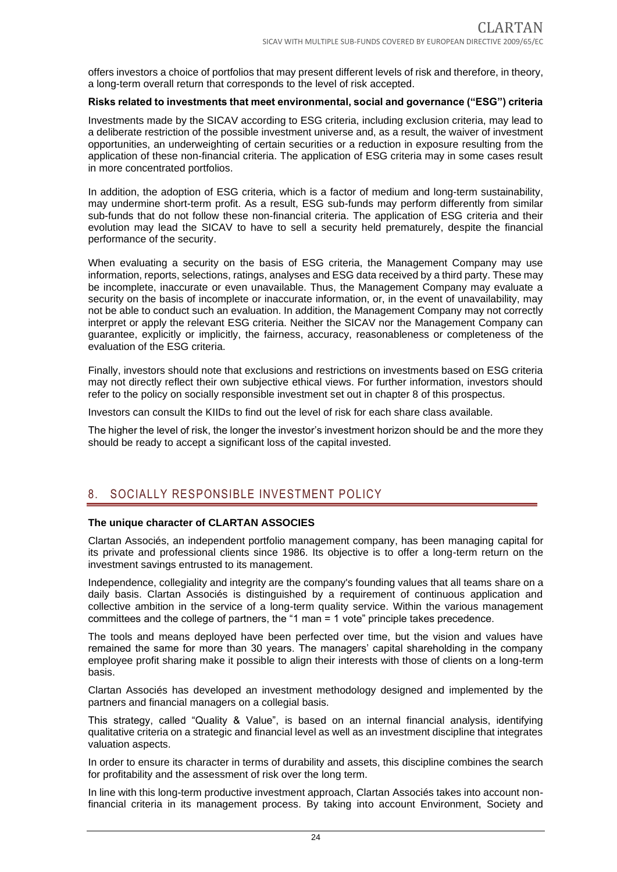offers investors a choice of portfolios that may present different levels of risk and therefore, in theory, a long-term overall return that corresponds to the level of risk accepted.

#### **Risks related to investments that meet environmental, social and governance ("ESG") criteria**

Investments made by the SICAV according to ESG criteria, including exclusion criteria, may lead to a deliberate restriction of the possible investment universe and, as a result, the waiver of investment opportunities, an underweighting of certain securities or a reduction in exposure resulting from the application of these non-financial criteria. The application of ESG criteria may in some cases result in more concentrated portfolios.

In addition, the adoption of ESG criteria, which is a factor of medium and long-term sustainability, may undermine short-term profit. As a result, ESG sub-funds may perform differently from similar sub-funds that do not follow these non-financial criteria. The application of ESG criteria and their evolution may lead the SICAV to have to sell a security held prematurely, despite the financial performance of the security.

When evaluating a security on the basis of ESG criteria, the Management Company may use information, reports, selections, ratings, analyses and ESG data received by a third party. These may be incomplete, inaccurate or even unavailable. Thus, the Management Company may evaluate a security on the basis of incomplete or inaccurate information, or, in the event of unavailability, may not be able to conduct such an evaluation. In addition, the Management Company may not correctly interpret or apply the relevant ESG criteria. Neither the SICAV nor the Management Company can guarantee, explicitly or implicitly, the fairness, accuracy, reasonableness or completeness of the evaluation of the ESG criteria.

Finally, investors should note that exclusions and restrictions on investments based on ESG criteria may not directly reflect their own subjective ethical views. For further information, investors should refer to the policy on socially responsible investment set out in chapter 8 of this prospectus.

Investors can consult the KIIDs to find out the level of risk for each share class available.

The higher the level of risk, the longer the investor's investment horizon should be and the more they should be ready to accept a significant loss of the capital invested.

### <span id="page-23-0"></span>8. SOCIALLY RESPONSIBLE INVESTMENT POLICY

#### **The unique character of CLARTAN ASSOCIES**

Clartan Associés, an independent portfolio management company, has been managing capital for its private and professional clients since 1986. Its objective is to offer a long-term return on the investment savings entrusted to its management.

Independence, collegiality and integrity are the company's founding values that all teams share on a daily basis. Clartan Associés is distinguished by a requirement of continuous application and collective ambition in the service of a long-term quality service. Within the various management committees and the college of partners, the "1 man = 1 vote" principle takes precedence.

The tools and means deployed have been perfected over time, but the vision and values have remained the same for more than 30 years. The managers' capital shareholding in the company employee profit sharing make it possible to align their interests with those of clients on a long-term basis.

Clartan Associés has developed an investment methodology designed and implemented by the partners and financial managers on a collegial basis.

This strategy, called "Quality & Value", is based on an internal financial analysis, identifying qualitative criteria on a strategic and financial level as well as an investment discipline that integrates valuation aspects.

In order to ensure its character in terms of durability and assets, this discipline combines the search for profitability and the assessment of risk over the long term.

In line with this long-term productive investment approach, Clartan Associés takes into account nonfinancial criteria in its management process. By taking into account Environment, Society and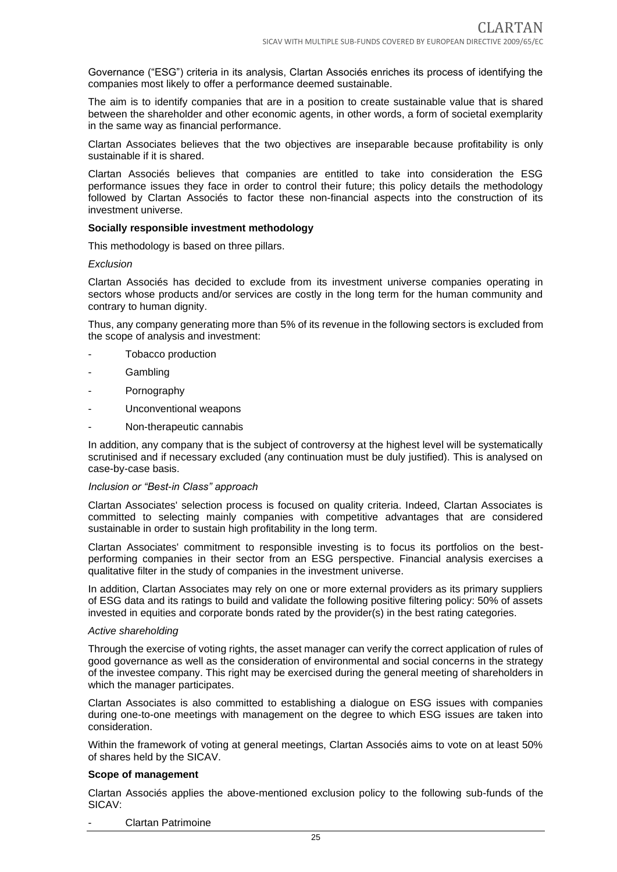Governance ("ESG") criteria in its analysis, Clartan Associés enriches its process of identifying the companies most likely to offer a performance deemed sustainable.

The aim is to identify companies that are in a position to create sustainable value that is shared between the shareholder and other economic agents, in other words, a form of societal exemplarity in the same way as financial performance.

Clartan Associates believes that the two objectives are inseparable because profitability is only sustainable if it is shared.

Clartan Associés believes that companies are entitled to take into consideration the ESG performance issues they face in order to control their future; this policy details the methodology followed by Clartan Associés to factor these non-financial aspects into the construction of its investment universe.

#### **Socially responsible investment methodology**

This methodology is based on three pillars.

#### *Exclusion*

Clartan Associés has decided to exclude from its investment universe companies operating in sectors whose products and/or services are costly in the long term for the human community and contrary to human dignity.

Thus, any company generating more than 5% of its revenue in the following sectors is excluded from the scope of analysis and investment:

- Tobacco production
- **Gambling**
- Pornography
- Unconventional weapons
- Non-therapeutic cannabis

In addition, any company that is the subject of controversy at the highest level will be systematically scrutinised and if necessary excluded (any continuation must be duly justified). This is analysed on case-by-case basis.

#### *Inclusion or "Best-in Class" approach*

Clartan Associates' selection process is focused on quality criteria. Indeed, Clartan Associates is committed to selecting mainly companies with competitive advantages that are considered sustainable in order to sustain high profitability in the long term.

Clartan Associates' commitment to responsible investing is to focus its portfolios on the bestperforming companies in their sector from an ESG perspective. Financial analysis exercises a qualitative filter in the study of companies in the investment universe.

In addition, Clartan Associates may rely on one or more external providers as its primary suppliers of ESG data and its ratings to build and validate the following positive filtering policy: 50% of assets invested in equities and corporate bonds rated by the provider(s) in the best rating categories.

#### *Active shareholding*

Through the exercise of voting rights, the asset manager can verify the correct application of rules of good governance as well as the consideration of environmental and social concerns in the strategy of the investee company. This right may be exercised during the general meeting of shareholders in which the manager participates.

Clartan Associates is also committed to establishing a dialogue on ESG issues with companies during one-to-one meetings with management on the degree to which ESG issues are taken into consideration.

Within the framework of voting at general meetings, Clartan Associés aims to vote on at least 50% of shares held by the SICAV.

#### **Scope of management**

Clartan Associés applies the above-mentioned exclusion policy to the following sub-funds of the SICAV:

- Clartan Patrimoine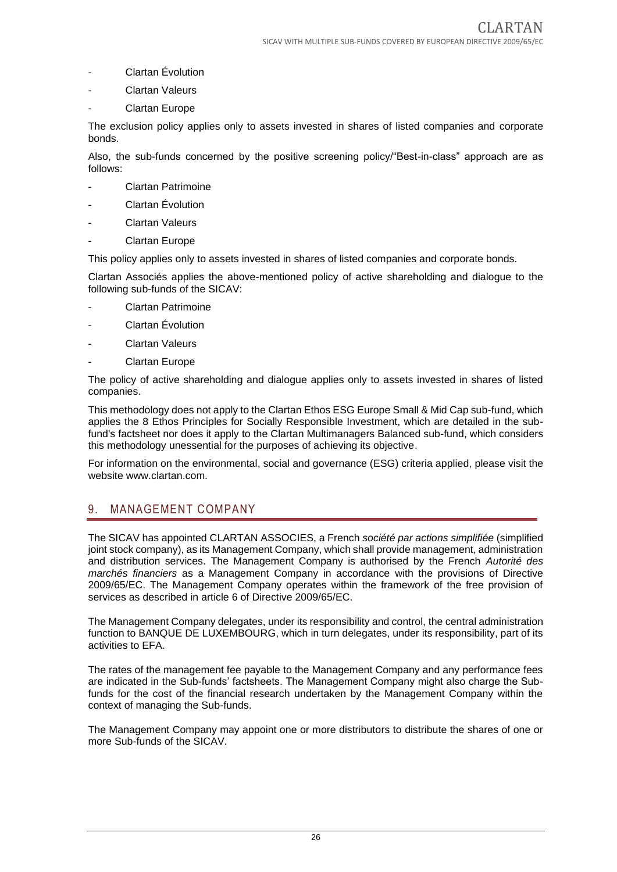- Clartan Évolution
- **Clartan Valeurs**
- Clartan Europe

The exclusion policy applies only to assets invested in shares of listed companies and corporate bonds.

Also, the sub-funds concerned by the positive screening policy/"Best-in-class" approach are as follows:

- Clartan Patrimoine
- Clartan Évolution
- **Clartan Valeurs**
- Clartan Europe

This policy applies only to assets invested in shares of listed companies and corporate bonds.

Clartan Associés applies the above-mentioned policy of active shareholding and dialogue to the following sub-funds of the SICAV:

- Clartan Patrimoine
- Clartan Évolution
- Clartan Valeurs
- Clartan Europe

The policy of active shareholding and dialogue applies only to assets invested in shares of listed companies.

This methodology does not apply to the Clartan Ethos ESG Europe Small & Mid Cap sub-fund, which applies the 8 Ethos Principles for Socially Responsible Investment, which are detailed in the subfund's factsheet nor does it apply to the Clartan Multimanagers Balanced sub-fund, which considers this methodology unessential for the purposes of achieving its objective.

For information on the environmental, social and governance (ESG) criteria applied, please visit the website www.clartan.com.

## <span id="page-25-0"></span>9. MANAGEMENT COMPANY

The SICAV has appointed CLARTAN ASSOCIES, a French *société par actions simplifiée* (simplified joint stock company), as its Management Company, which shall provide management, administration and distribution services. The Management Company is authorised by the French *Autorité des marchés financiers* as a Management Company in accordance with the provisions of Directive 2009/65/EC. The Management Company operates within the framework of the free provision of services as described in article 6 of Directive 2009/65/EC.

The Management Company delegates, under its responsibility and control, the central administration function to BANQUE DE LUXEMBOURG, which in turn delegates, under its responsibility, part of its activities to EFA.

The rates of the management fee payable to the Management Company and any performance fees are indicated in the Sub-funds' factsheets. The Management Company might also charge the Subfunds for the cost of the financial research undertaken by the Management Company within the context of managing the Sub-funds.

The Management Company may appoint one or more distributors to distribute the shares of one or more Sub-funds of the SICAV.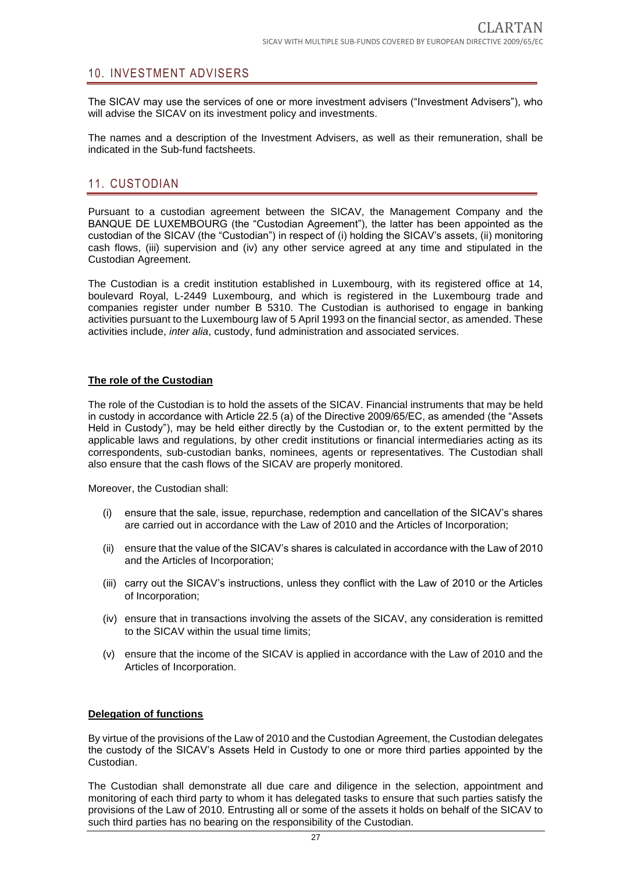### <span id="page-26-0"></span>10. INVESTMENT ADVISERS

The SICAV may use the services of one or more investment advisers ("Investment Advisers"), who will advise the SICAV on its investment policy and investments.

The names and a description of the Investment Advisers, as well as their remuneration, shall be indicated in the Sub-fund factsheets.

## <span id="page-26-1"></span>11. CUSTODIAN

Pursuant to a custodian agreement between the SICAV, the Management Company and the BANQUE DE LUXEMBOURG (the "Custodian Agreement"), the latter has been appointed as the custodian of the SICAV (the "Custodian") in respect of (i) holding the SICAV's assets, (ii) monitoring cash flows, (iii) supervision and (iv) any other service agreed at any time and stipulated in the Custodian Agreement.

The Custodian is a credit institution established in Luxembourg, with its registered office at 14, boulevard Royal, L-2449 Luxembourg, and which is registered in the Luxembourg trade and companies register under number B 5310. The Custodian is authorised to engage in banking activities pursuant to the Luxembourg law of 5 April 1993 on the financial sector, as amended. These activities include, *inter alia*, custody, fund administration and associated services.

#### **The role of the Custodian**

The role of the Custodian is to hold the assets of the SICAV. Financial instruments that may be held in custody in accordance with Article 22.5 (a) of the Directive 2009/65/EC, as amended (the "Assets Held in Custody"), may be held either directly by the Custodian or, to the extent permitted by the applicable laws and regulations, by other credit institutions or financial intermediaries acting as its correspondents, sub-custodian banks, nominees, agents or representatives. The Custodian shall also ensure that the cash flows of the SICAV are properly monitored.

Moreover, the Custodian shall:

- (i) ensure that the sale, issue, repurchase, redemption and cancellation of the SICAV's shares are carried out in accordance with the Law of 2010 and the Articles of Incorporation;
- (ii) ensure that the value of the SICAV's shares is calculated in accordance with the Law of 2010 and the Articles of Incorporation;
- (iii) carry out the SICAV's instructions, unless they conflict with the Law of 2010 or the Articles of Incorporation;
- (iv) ensure that in transactions involving the assets of the SICAV, any consideration is remitted to the SICAV within the usual time limits;
- (v) ensure that the income of the SICAV is applied in accordance with the Law of 2010 and the Articles of Incorporation.

#### **Delegation of functions**

By virtue of the provisions of the Law of 2010 and the Custodian Agreement, the Custodian delegates the custody of the SICAV's Assets Held in Custody to one or more third parties appointed by the Custodian.

The Custodian shall demonstrate all due care and diligence in the selection, appointment and monitoring of each third party to whom it has delegated tasks to ensure that such parties satisfy the provisions of the Law of 2010. Entrusting all or some of the assets it holds on behalf of the SICAV to such third parties has no bearing on the responsibility of the Custodian.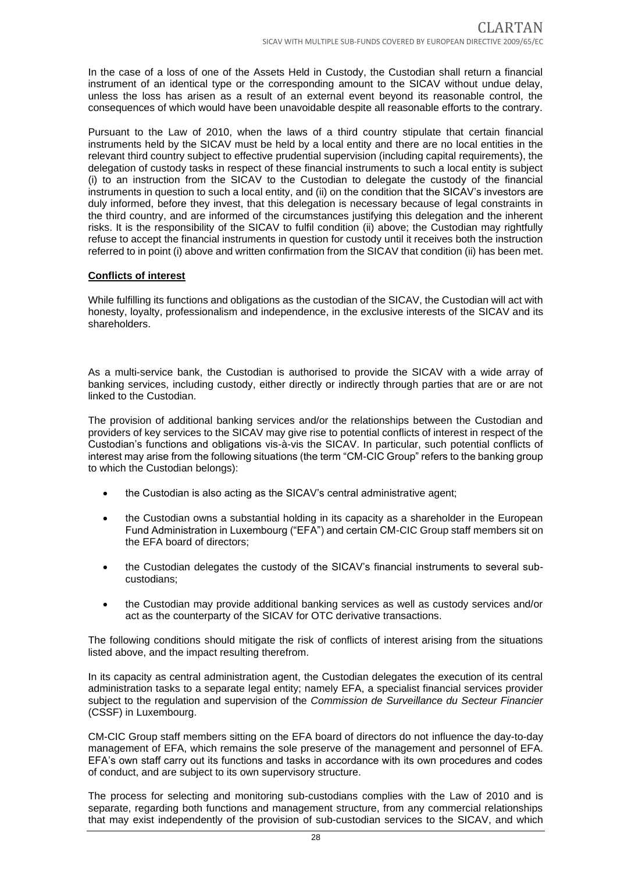In the case of a loss of one of the Assets Held in Custody, the Custodian shall return a financial instrument of an identical type or the corresponding amount to the SICAV without undue delay, unless the loss has arisen as a result of an external event beyond its reasonable control, the consequences of which would have been unavoidable despite all reasonable efforts to the contrary.

Pursuant to the Law of 2010, when the laws of a third country stipulate that certain financial instruments held by the SICAV must be held by a local entity and there are no local entities in the relevant third country subject to effective prudential supervision (including capital requirements), the delegation of custody tasks in respect of these financial instruments to such a local entity is subject (i) to an instruction from the SICAV to the Custodian to delegate the custody of the financial instruments in question to such a local entity, and (ii) on the condition that the SICAV's investors are duly informed, before they invest, that this delegation is necessary because of legal constraints in the third country, and are informed of the circumstances justifying this delegation and the inherent risks. It is the responsibility of the SICAV to fulfil condition (ii) above; the Custodian may rightfully refuse to accept the financial instruments in question for custody until it receives both the instruction referred to in point (i) above and written confirmation from the SICAV that condition (ii) has been met.

#### **Conflicts of interest**

While fulfilling its functions and obligations as the custodian of the SICAV, the Custodian will act with honesty, loyalty, professionalism and independence, in the exclusive interests of the SICAV and its shareholders.

As a multi-service bank, the Custodian is authorised to provide the SICAV with a wide array of banking services, including custody, either directly or indirectly through parties that are or are not linked to the Custodian.

The provision of additional banking services and/or the relationships between the Custodian and providers of key services to the SICAV may give rise to potential conflicts of interest in respect of the Custodian's functions and obligations vis-à-vis the SICAV. In particular, such potential conflicts of interest may arise from the following situations (the term "CM-CIC Group" refers to the banking group to which the Custodian belongs):

- the Custodian is also acting as the SICAV's central administrative agent;
- the Custodian owns a substantial holding in its capacity as a shareholder in the European Fund Administration in Luxembourg ("EFA") and certain CM-CIC Group staff members sit on the EFA board of directors;
- the Custodian delegates the custody of the SICAV's financial instruments to several subcustodians;
- the Custodian may provide additional banking services as well as custody services and/or act as the counterparty of the SICAV for OTC derivative transactions.

The following conditions should mitigate the risk of conflicts of interest arising from the situations listed above, and the impact resulting therefrom.

In its capacity as central administration agent, the Custodian delegates the execution of its central administration tasks to a separate legal entity; namely EFA, a specialist financial services provider subject to the regulation and supervision of the *Commission de Surveillance du Secteur Financier* (CSSF) in Luxembourg.

CM-CIC Group staff members sitting on the EFA board of directors do not influence the day-to-day management of EFA, which remains the sole preserve of the management and personnel of EFA. EFA's own staff carry out its functions and tasks in accordance with its own procedures and codes of conduct, and are subject to its own supervisory structure.

The process for selecting and monitoring sub-custodians complies with the Law of 2010 and is separate, regarding both functions and management structure, from any commercial relationships that may exist independently of the provision of sub-custodian services to the SICAV, and which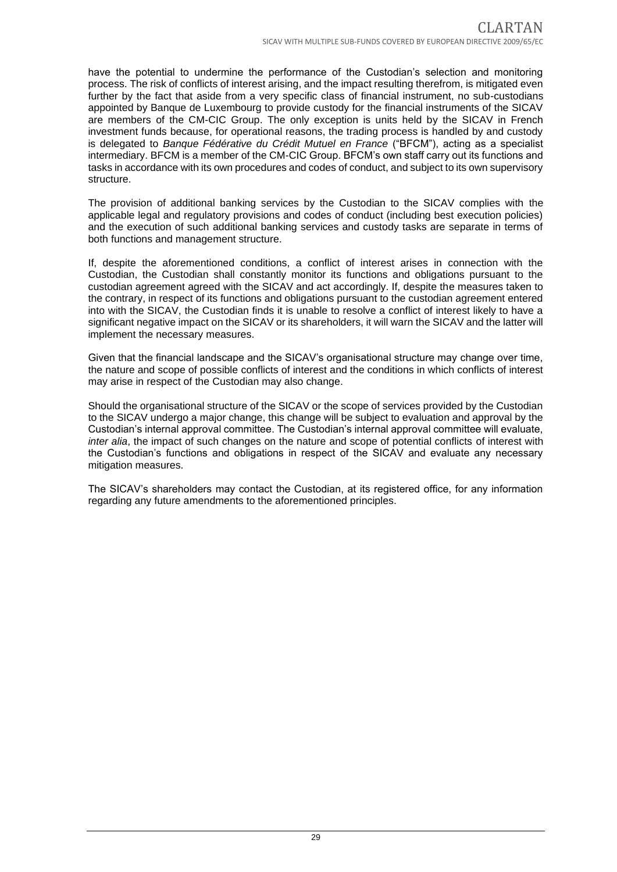have the potential to undermine the performance of the Custodian's selection and monitoring process. The risk of conflicts of interest arising, and the impact resulting therefrom, is mitigated even further by the fact that aside from a very specific class of financial instrument, no sub-custodians appointed by Banque de Luxembourg to provide custody for the financial instruments of the SICAV are members of the CM-CIC Group. The only exception is units held by the SICAV in French investment funds because, for operational reasons, the trading process is handled by and custody is delegated to *Banque Fédérative du Crédit Mutuel en France* ("BFCM"), acting as a specialist intermediary. BFCM is a member of the CM-CIC Group. BFCM's own staff carry out its functions and tasks in accordance with its own procedures and codes of conduct, and subject to its own supervisory structure.

The provision of additional banking services by the Custodian to the SICAV complies with the applicable legal and regulatory provisions and codes of conduct (including best execution policies) and the execution of such additional banking services and custody tasks are separate in terms of both functions and management structure.

If, despite the aforementioned conditions, a conflict of interest arises in connection with the Custodian, the Custodian shall constantly monitor its functions and obligations pursuant to the custodian agreement agreed with the SICAV and act accordingly. If, despite the measures taken to the contrary, in respect of its functions and obligations pursuant to the custodian agreement entered into with the SICAV, the Custodian finds it is unable to resolve a conflict of interest likely to have a significant negative impact on the SICAV or its shareholders, it will warn the SICAV and the latter will implement the necessary measures.

Given that the financial landscape and the SICAV's organisational structure may change over time, the nature and scope of possible conflicts of interest and the conditions in which conflicts of interest may arise in respect of the Custodian may also change.

Should the organisational structure of the SICAV or the scope of services provided by the Custodian to the SICAV undergo a major change, this change will be subject to evaluation and approval by the Custodian's internal approval committee. The Custodian's internal approval committee will evaluate, *inter alia*, the impact of such changes on the nature and scope of potential conflicts of interest with the Custodian's functions and obligations in respect of the SICAV and evaluate any necessary mitigation measures.

The SICAV's shareholders may contact the Custodian, at its registered office, for any information regarding any future amendments to the aforementioned principles.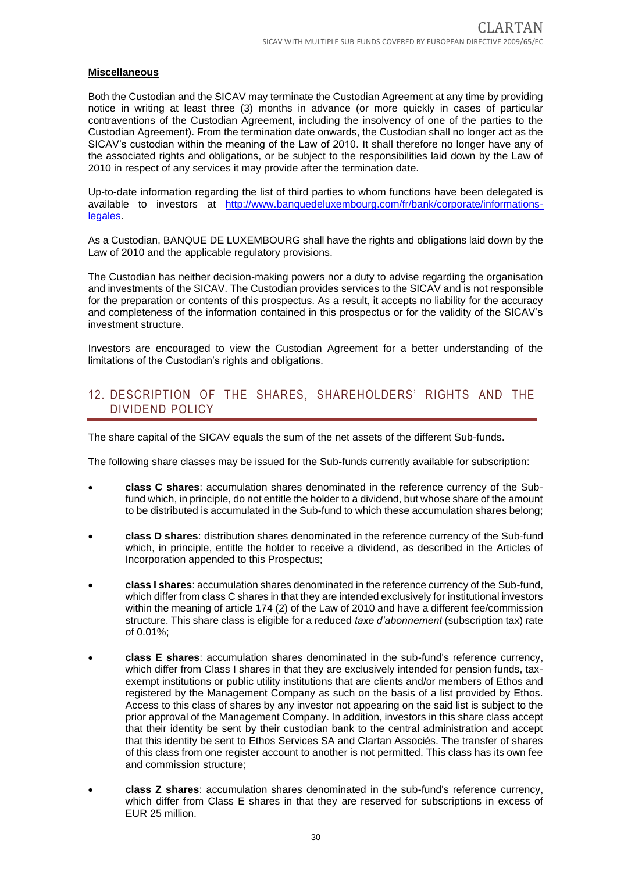#### **Miscellaneous**

Both the Custodian and the SICAV may terminate the Custodian Agreement at any time by providing notice in writing at least three (3) months in advance (or more quickly in cases of particular contraventions of the Custodian Agreement, including the insolvency of one of the parties to the Custodian Agreement). From the termination date onwards, the Custodian shall no longer act as the SICAV's custodian within the meaning of the Law of 2010. It shall therefore no longer have any of the associated rights and obligations, or be subject to the responsibilities laid down by the Law of 2010 in respect of any services it may provide after the termination date.

Up-to-date information regarding the list of third parties to whom functions have been delegated is available to investors at http://www.banquedeluxembourg.com/fr/bank/corporate/informationslegales.

As a Custodian, BANQUE DE LUXEMBOURG shall have the rights and obligations laid down by the Law of 2010 and the applicable regulatory provisions.

The Custodian has neither decision-making powers nor a duty to advise regarding the organisation and investments of the SICAV. The Custodian provides services to the SICAV and is not responsible for the preparation or contents of this prospectus. As a result, it accepts no liability for the accuracy and completeness of the information contained in this prospectus or for the validity of the SICAV's investment structure.

Investors are encouraged to view the Custodian Agreement for a better understanding of the limitations of the Custodian's rights and obligations.

### <span id="page-29-0"></span>12. DESCRIPTION OF THE SHARES, SHAREHOLDERS' RIGHTS AND THE DIVIDEND POLICY

The share capital of the SICAV equals the sum of the net assets of the different Sub-funds.

The following share classes may be issued for the Sub-funds currently available for subscription:

- **class C shares**: accumulation shares denominated in the reference currency of the Subfund which, in principle, do not entitle the holder to a dividend, but whose share of the amount to be distributed is accumulated in the Sub-fund to which these accumulation shares belong;
- **class D shares**: distribution shares denominated in the reference currency of the Sub-fund which, in principle, entitle the holder to receive a dividend, as described in the Articles of Incorporation appended to this Prospectus;
- **class I shares**: accumulation shares denominated in the reference currency of the Sub-fund, which differ from class C shares in that they are intended exclusively for institutional investors within the meaning of article 174 (2) of the Law of 2010 and have a different fee/commission structure. This share class is eligible for a reduced *taxe d'abonnement* (subscription tax) rate of 0.01%;
- **class E shares**: accumulation shares denominated in the sub-fund's reference currency, which differ from Class I shares in that they are exclusively intended for pension funds, taxexempt institutions or public utility institutions that are clients and/or members of Ethos and registered by the Management Company as such on the basis of a list provided by Ethos. Access to this class of shares by any investor not appearing on the said list is subject to the prior approval of the Management Company. In addition, investors in this share class accept that their identity be sent by their custodian bank to the central administration and accept that this identity be sent to Ethos Services SA and Clartan Associés. The transfer of shares of this class from one register account to another is not permitted. This class has its own fee and commission structure;
- **class Z shares**: accumulation shares denominated in the sub-fund's reference currency, which differ from Class E shares in that they are reserved for subscriptions in excess of EUR 25 million.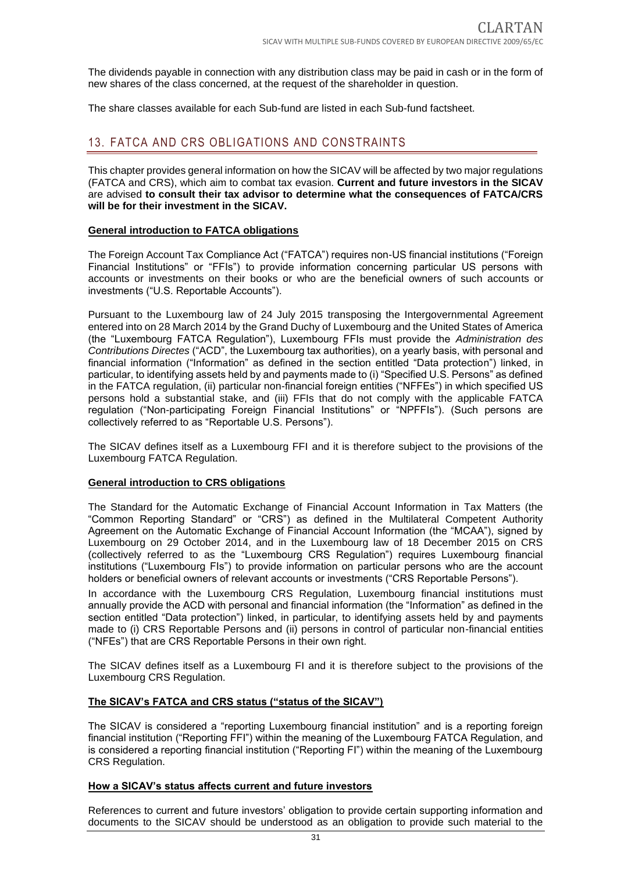The dividends payable in connection with any distribution class may be paid in cash or in the form of new shares of the class concerned, at the request of the shareholder in question.

The share classes available for each Sub-fund are listed in each Sub-fund factsheet.

### <span id="page-30-0"></span>13. FATCA AND CRS OBLIGATIONS AND CONSTRAINTS

This chapter provides general information on how the SICAV will be affected by two major regulations (FATCA and CRS), which aim to combat tax evasion. **Current and future investors in the SICAV** are advised **to consult their tax advisor to determine what the consequences of FATCA/CRS will be for their investment in the SICAV.**

#### **General introduction to FATCA obligations**

The Foreign Account Tax Compliance Act ("FATCA") requires non-US financial institutions ("Foreign Financial Institutions" or "FFIs") to provide information concerning particular US persons with accounts or investments on their books or who are the beneficial owners of such accounts or investments ("U.S. Reportable Accounts").

Pursuant to the Luxembourg law of 24 July 2015 transposing the Intergovernmental Agreement entered into on 28 March 2014 by the Grand Duchy of Luxembourg and the United States of America (the "Luxembourg FATCA Regulation"), Luxembourg FFIs must provide the *Administration des Contributions Directes* ("ACD", the Luxembourg tax authorities), on a yearly basis, with personal and financial information ("Information" as defined in the section entitled "Data protection") linked, in particular, to identifying assets held by and payments made to (i) "Specified U.S. Persons" as defined in the FATCA regulation, (ii) particular non-financial foreign entities ("NFFEs") in which specified US persons hold a substantial stake, and (iii) FFIs that do not comply with the applicable FATCA regulation ("Non-participating Foreign Financial Institutions" or "NPFFIs"). (Such persons are collectively referred to as "Reportable U.S. Persons").

The SICAV defines itself as a Luxembourg FFI and it is therefore subject to the provisions of the Luxembourg FATCA Regulation.

#### **General introduction to CRS obligations**

The Standard for the Automatic Exchange of Financial Account Information in Tax Matters (the "Common Reporting Standard" or "CRS") as defined in the Multilateral Competent Authority Agreement on the Automatic Exchange of Financial Account Information (the "MCAA"), signed by Luxembourg on 29 October 2014, and in the Luxembourg law of 18 December 2015 on CRS (collectively referred to as the "Luxembourg CRS Regulation") requires Luxembourg financial institutions ("Luxembourg FIs") to provide information on particular persons who are the account holders or beneficial owners of relevant accounts or investments ("CRS Reportable Persons").

In accordance with the Luxembourg CRS Regulation, Luxembourg financial institutions must annually provide the ACD with personal and financial information (the "Information" as defined in the section entitled "Data protection") linked, in particular, to identifying assets held by and payments made to (i) CRS Reportable Persons and (ii) persons in control of particular non-financial entities ("NFEs") that are CRS Reportable Persons in their own right.

The SICAV defines itself as a Luxembourg FI and it is therefore subject to the provisions of the Luxembourg CRS Regulation.

#### **The SICAV's FATCA and CRS status ("status of the SICAV")**

The SICAV is considered a "reporting Luxembourg financial institution" and is a reporting foreign financial institution ("Reporting FFI") within the meaning of the Luxembourg FATCA Regulation, and is considered a reporting financial institution ("Reporting FI") within the meaning of the Luxembourg CRS Regulation.

#### **How a SICAV's status affects current and future investors**

References to current and future investors' obligation to provide certain supporting information and documents to the SICAV should be understood as an obligation to provide such material to the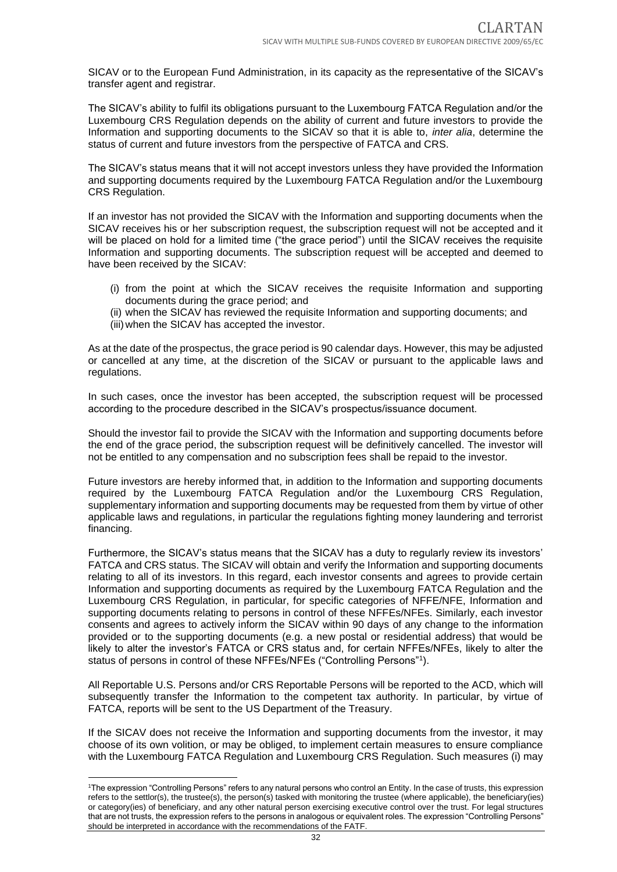SICAV or to the European Fund Administration, in its capacity as the representative of the SICAV's transfer agent and registrar.

The SICAV's ability to fulfil its obligations pursuant to the Luxembourg FATCA Regulation and/or the Luxembourg CRS Regulation depends on the ability of current and future investors to provide the Information and supporting documents to the SICAV so that it is able to, *inter alia*, determine the status of current and future investors from the perspective of FATCA and CRS.

The SICAV's status means that it will not accept investors unless they have provided the Information and supporting documents required by the Luxembourg FATCA Regulation and/or the Luxembourg CRS Regulation.

If an investor has not provided the SICAV with the Information and supporting documents when the SICAV receives his or her subscription request, the subscription request will not be accepted and it will be placed on hold for a limited time ("the grace period") until the SICAV receives the requisite Information and supporting documents. The subscription request will be accepted and deemed to have been received by the SICAV:

- (i) from the point at which the SICAV receives the requisite Information and supporting documents during the grace period; and
- (ii) when the SICAV has reviewed the requisite Information and supporting documents; and
- (iii) when the SICAV has accepted the investor.

As at the date of the prospectus, the grace period is 90 calendar days. However, this may be adjusted or cancelled at any time, at the discretion of the SICAV or pursuant to the applicable laws and regulations.

In such cases, once the investor has been accepted, the subscription request will be processed according to the procedure described in the SICAV's prospectus/issuance document.

Should the investor fail to provide the SICAV with the Information and supporting documents before the end of the grace period, the subscription request will be definitively cancelled. The investor will not be entitled to any compensation and no subscription fees shall be repaid to the investor.

Future investors are hereby informed that, in addition to the Information and supporting documents required by the Luxembourg FATCA Regulation and/or the Luxembourg CRS Regulation, supplementary information and supporting documents may be requested from them by virtue of other applicable laws and regulations, in particular the regulations fighting money laundering and terrorist financing.

Furthermore, the SICAV's status means that the SICAV has a duty to regularly review its investors' FATCA and CRS status. The SICAV will obtain and verify the Information and supporting documents relating to all of its investors. In this regard, each investor consents and agrees to provide certain Information and supporting documents as required by the Luxembourg FATCA Regulation and the Luxembourg CRS Regulation, in particular, for specific categories of NFFE/NFE, Information and supporting documents relating to persons in control of these NFFEs/NFEs. Similarly, each investor consents and agrees to actively inform the SICAV within 90 days of any change to the information provided or to the supporting documents (e.g. a new postal or residential address) that would be likely to alter the investor's FATCA or CRS status and, for certain NFFEs/NFEs, likely to alter the status of persons in control of these NFFEs/NFEs ("Controlling Persons"<sup>1</sup> ).

All Reportable U.S. Persons and/or CRS Reportable Persons will be reported to the ACD, which will subsequently transfer the Information to the competent tax authority. In particular, by virtue of FATCA, reports will be sent to the US Department of the Treasury.

If the SICAV does not receive the Information and supporting documents from the investor, it may choose of its own volition, or may be obliged, to implement certain measures to ensure compliance with the Luxembourg FATCA Regulation and Luxembourg CRS Regulation. Such measures (i) may

<sup>1</sup>The expression "Controlling Persons" refers to any natural persons who control an Entity. In the case of trusts, this expression refers to the settlor(s), the trustee(s), the person(s) tasked with monitoring the trustee (where applicable), the beneficiary(ies) or category(ies) of beneficiary, and any other natural person exercising executive control over the trust. For legal structures that are not trusts, the expression refers to the persons in analogous or equivalent roles. The expression "Controlling Persons" should be interpreted in accordance with the recommendations of the FATF.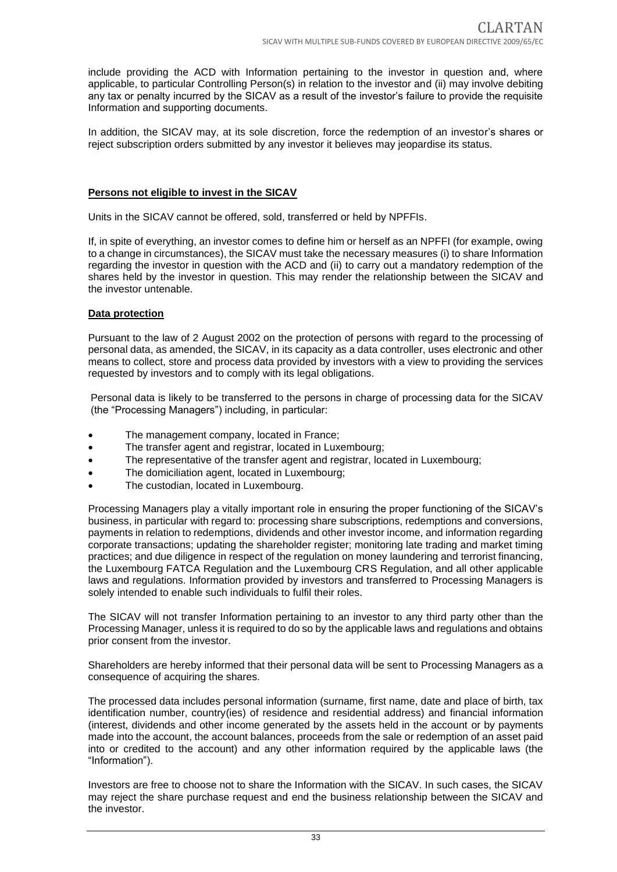include providing the ACD with Information pertaining to the investor in question and, where applicable, to particular Controlling Person(s) in relation to the investor and (ii) may involve debiting any tax or penalty incurred by the SICAV as a result of the investor's failure to provide the requisite Information and supporting documents.

In addition, the SICAV may, at its sole discretion, force the redemption of an investor's shares or reject subscription orders submitted by any investor it believes may jeopardise its status.

#### **Persons not eligible to invest in the SICAV**

Units in the SICAV cannot be offered, sold, transferred or held by NPFFIs.

If, in spite of everything, an investor comes to define him or herself as an NPFFI (for example, owing to a change in circumstances), the SICAV must take the necessary measures (i) to share Information regarding the investor in question with the ACD and (ii) to carry out a mandatory redemption of the shares held by the investor in question. This may render the relationship between the SICAV and the investor untenable.

#### **Data protection**

Pursuant to the law of 2 August 2002 on the protection of persons with regard to the processing of personal data, as amended, the SICAV, in its capacity as a data controller, uses electronic and other means to collect, store and process data provided by investors with a view to providing the services requested by investors and to comply with its legal obligations.

Personal data is likely to be transferred to the persons in charge of processing data for the SICAV (the "Processing Managers") including, in particular:

- The management company, located in France;
- The transfer agent and registrar, located in Luxembourg;
- The representative of the transfer agent and registrar, located in Luxembourg;
- The domiciliation agent, located in Luxembourg;
- The custodian, located in Luxembourg.

Processing Managers play a vitally important role in ensuring the proper functioning of the SICAV's business, in particular with regard to: processing share subscriptions, redemptions and conversions, payments in relation to redemptions, dividends and other investor income, and information regarding corporate transactions; updating the shareholder register; monitoring late trading and market timing practices; and due diligence in respect of the regulation on money laundering and terrorist financing, the Luxembourg FATCA Regulation and the Luxembourg CRS Regulation, and all other applicable laws and regulations. Information provided by investors and transferred to Processing Managers is solely intended to enable such individuals to fulfil their roles.

The SICAV will not transfer Information pertaining to an investor to any third party other than the Processing Manager, unless it is required to do so by the applicable laws and regulations and obtains prior consent from the investor.

Shareholders are hereby informed that their personal data will be sent to Processing Managers as a consequence of acquiring the shares.

The processed data includes personal information (surname, first name, date and place of birth, tax identification number, country(ies) of residence and residential address) and financial information (interest, dividends and other income generated by the assets held in the account or by payments made into the account, the account balances, proceeds from the sale or redemption of an asset paid into or credited to the account) and any other information required by the applicable laws (the "Information").

Investors are free to choose not to share the Information with the SICAV. In such cases, the SICAV may reject the share purchase request and end the business relationship between the SICAV and the investor.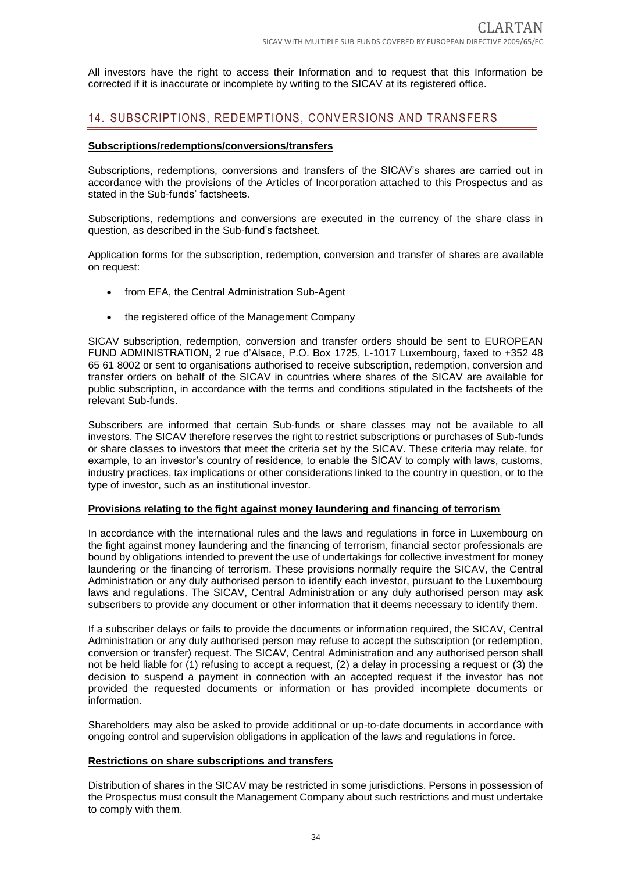All investors have the right to access their Information and to request that this Information be corrected if it is inaccurate or incomplete by writing to the SICAV at its registered office.

### <span id="page-33-0"></span>14. SUBSCRIPTIONS, REDEMPTIONS, CONVERSIONS AND TRANSFERS

#### **Subscriptions/redemptions/conversions/transfers**

Subscriptions, redemptions, conversions and transfers of the SICAV's shares are carried out in accordance with the provisions of the Articles of Incorporation attached to this Prospectus and as stated in the Sub-funds' factsheets.

Subscriptions, redemptions and conversions are executed in the currency of the share class in question, as described in the Sub-fund's factsheet.

Application forms for the subscription, redemption, conversion and transfer of shares are available on request:

- from EFA, the Central Administration Sub-Agent
- the registered office of the Management Company

SICAV subscription, redemption, conversion and transfer orders should be sent to EUROPEAN FUND ADMINISTRATION, 2 rue d'Alsace, P.O. Box 1725, L-1017 Luxembourg, faxed to +352 48 65 61 8002 or sent to organisations authorised to receive subscription, redemption, conversion and transfer orders on behalf of the SICAV in countries where shares of the SICAV are available for public subscription, in accordance with the terms and conditions stipulated in the factsheets of the relevant Sub-funds.

Subscribers are informed that certain Sub-funds or share classes may not be available to all investors. The SICAV therefore reserves the right to restrict subscriptions or purchases of Sub-funds or share classes to investors that meet the criteria set by the SICAV. These criteria may relate, for example, to an investor's country of residence, to enable the SICAV to comply with laws, customs, industry practices, tax implications or other considerations linked to the country in question, or to the type of investor, such as an institutional investor.

#### **Provisions relating to the fight against money laundering and financing of terrorism**

In accordance with the international rules and the laws and regulations in force in Luxembourg on the fight against money laundering and the financing of terrorism, financial sector professionals are bound by obligations intended to prevent the use of undertakings for collective investment for money laundering or the financing of terrorism. These provisions normally require the SICAV, the Central Administration or any duly authorised person to identify each investor, pursuant to the Luxembourg laws and regulations. The SICAV, Central Administration or any duly authorised person may ask subscribers to provide any document or other information that it deems necessary to identify them.

If a subscriber delays or fails to provide the documents or information required, the SICAV, Central Administration or any duly authorised person may refuse to accept the subscription (or redemption, conversion or transfer) request. The SICAV, Central Administration and any authorised person shall not be held liable for (1) refusing to accept a request, (2) a delay in processing a request or (3) the decision to suspend a payment in connection with an accepted request if the investor has not provided the requested documents or information or has provided incomplete documents or information.

Shareholders may also be asked to provide additional or up-to-date documents in accordance with ongoing control and supervision obligations in application of the laws and regulations in force.

#### **Restrictions on share subscriptions and transfers**

Distribution of shares in the SICAV may be restricted in some jurisdictions. Persons in possession of the Prospectus must consult the Management Company about such restrictions and must undertake to comply with them.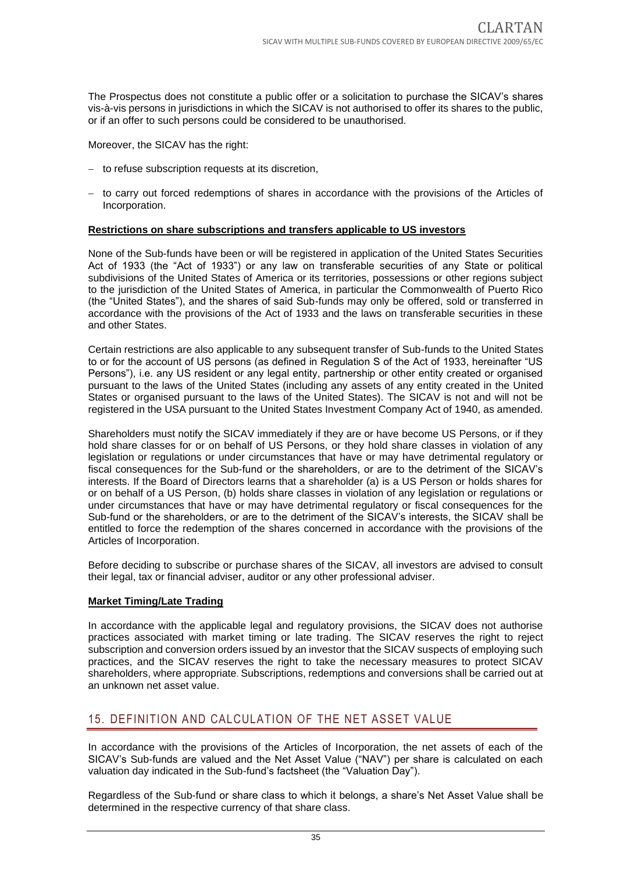The Prospectus does not constitute a public offer or a solicitation to purchase the SICAV's shares vis-à-vis persons in jurisdictions in which the SICAV is not authorised to offer its shares to the public, or if an offer to such persons could be considered to be unauthorised.

Moreover, the SICAV has the right:

- − to refuse subscription requests at its discretion,
- − to carry out forced redemptions of shares in accordance with the provisions of the Articles of Incorporation.

#### **Restrictions on share subscriptions and transfers applicable to US investors**

None of the Sub-funds have been or will be registered in application of the United States Securities Act of 1933 (the "Act of 1933") or any law on transferable securities of any State or political subdivisions of the United States of America or its territories, possessions or other regions subject to the jurisdiction of the United States of America, in particular the Commonwealth of Puerto Rico (the "United States"), and the shares of said Sub-funds may only be offered, sold or transferred in accordance with the provisions of the Act of 1933 and the laws on transferable securities in these and other States.

Certain restrictions are also applicable to any subsequent transfer of Sub-funds to the United States to or for the account of US persons (as defined in Regulation S of the Act of 1933, hereinafter "US Persons"), i.e. any US resident or any legal entity, partnership or other entity created or organised pursuant to the laws of the United States (including any assets of any entity created in the United States or organised pursuant to the laws of the United States). The SICAV is not and will not be registered in the USA pursuant to the United States Investment Company Act of 1940, as amended.

Shareholders must notify the SICAV immediately if they are or have become US Persons, or if they hold share classes for or on behalf of US Persons, or they hold share classes in violation of any legislation or regulations or under circumstances that have or may have detrimental regulatory or fiscal consequences for the Sub-fund or the shareholders, or are to the detriment of the SICAV's interests. If the Board of Directors learns that a shareholder (a) is a US Person or holds shares for or on behalf of a US Person, (b) holds share classes in violation of any legislation or regulations or under circumstances that have or may have detrimental regulatory or fiscal consequences for the Sub-fund or the shareholders, or are to the detriment of the SICAV's interests, the SICAV shall be entitled to force the redemption of the shares concerned in accordance with the provisions of the Articles of Incorporation.

Before deciding to subscribe or purchase shares of the SICAV, all investors are advised to consult their legal, tax or financial adviser, auditor or any other professional adviser.

#### **Market Timing/Late Trading**

In accordance with the applicable legal and regulatory provisions, the SICAV does not authorise practices associated with market timing or late trading. The SICAV reserves the right to reject subscription and conversion orders issued by an investor that the SICAV suspects of employing such practices, and the SICAV reserves the right to take the necessary measures to protect SICAV shareholders, where appropriate. Subscriptions, redemptions and conversions shall be carried out at an unknown net asset value.

## <span id="page-34-0"></span>15. DEFINITION AND CALCULATION OF THE NET ASSET VALUE

In accordance with the provisions of the Articles of Incorporation, the net assets of each of the SICAV's Sub-funds are valued and the Net Asset Value ("NAV") per share is calculated on each valuation day indicated in the Sub-fund's factsheet (the "Valuation Day").

Regardless of the Sub-fund or share class to which it belongs, a share's Net Asset Value shall be determined in the respective currency of that share class.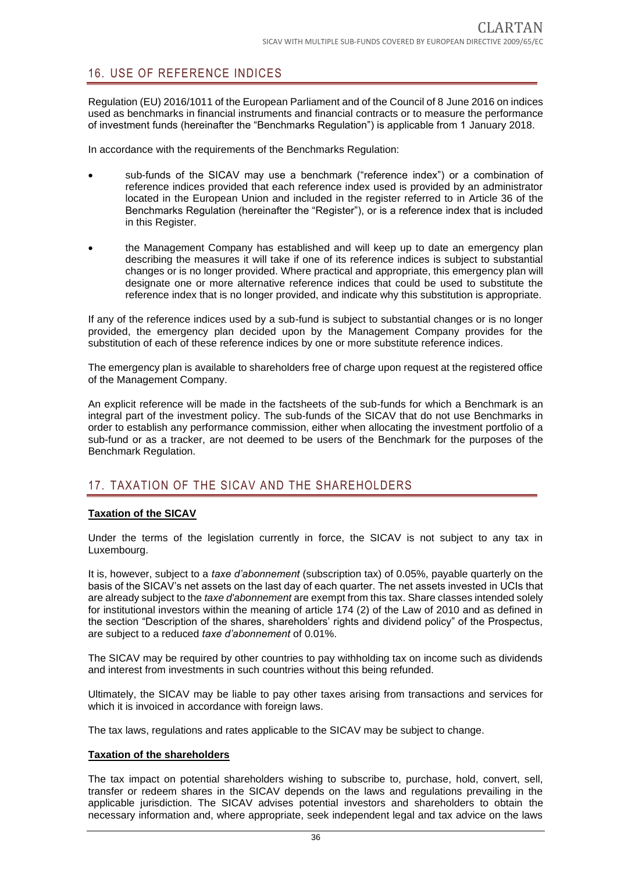# <span id="page-35-0"></span>16. USE OF REFERENCE INDICES

Regulation (EU) 2016/1011 of the European Parliament and of the Council of 8 June 2016 on indices used as benchmarks in financial instruments and financial contracts or to measure the performance of investment funds (hereinafter the "Benchmarks Regulation") is applicable from 1 January 2018.

In accordance with the requirements of the Benchmarks Regulation:

- sub-funds of the SICAV may use a benchmark ("reference index") or a combination of reference indices provided that each reference index used is provided by an administrator located in the European Union and included in the register referred to in Article 36 of the Benchmarks Regulation (hereinafter the "Register"), or is a reference index that is included in this Register.
- the Management Company has established and will keep up to date an emergency plan describing the measures it will take if one of its reference indices is subject to substantial changes or is no longer provided. Where practical and appropriate, this emergency plan will designate one or more alternative reference indices that could be used to substitute the reference index that is no longer provided, and indicate why this substitution is appropriate.

If any of the reference indices used by a sub-fund is subject to substantial changes or is no longer provided, the emergency plan decided upon by the Management Company provides for the substitution of each of these reference indices by one or more substitute reference indices.

The emergency plan is available to shareholders free of charge upon request at the registered office of the Management Company.

An explicit reference will be made in the factsheets of the sub-funds for which a Benchmark is an integral part of the investment policy. The sub-funds of the SICAV that do not use Benchmarks in order to establish any performance commission, either when allocating the investment portfolio of a sub-fund or as a tracker, are not deemed to be users of the Benchmark for the purposes of the Benchmark Regulation.

## <span id="page-35-1"></span>17. TAXATION OF THE SICAV AND THE SHAREHOLDERS

#### **Taxation of the SICAV**

Under the terms of the legislation currently in force, the SICAV is not subject to any tax in Luxembourg.

It is, however, subject to a *taxe d'abonnement* (subscription tax) of 0.05%, payable quarterly on the basis of the SICAV's net assets on the last day of each quarter. The net assets invested in UCIs that are already subject to the *taxe d'abonnement* are exempt from this tax. Share classes intended solely for institutional investors within the meaning of article 174 (2) of the Law of 2010 and as defined in the section "Description of the shares, shareholders' rights and dividend policy" of the Prospectus, are subject to a reduced *taxe d'abonnement* of 0.01%.

The SICAV may be required by other countries to pay withholding tax on income such as dividends and interest from investments in such countries without this being refunded.

Ultimately, the SICAV may be liable to pay other taxes arising from transactions and services for which it is invoiced in accordance with foreign laws.

The tax laws, regulations and rates applicable to the SICAV may be subject to change.

#### **Taxation of the shareholders**

The tax impact on potential shareholders wishing to subscribe to, purchase, hold, convert, sell, transfer or redeem shares in the SICAV depends on the laws and regulations prevailing in the applicable jurisdiction. The SICAV advises potential investors and shareholders to obtain the necessary information and, where appropriate, seek independent legal and tax advice on the laws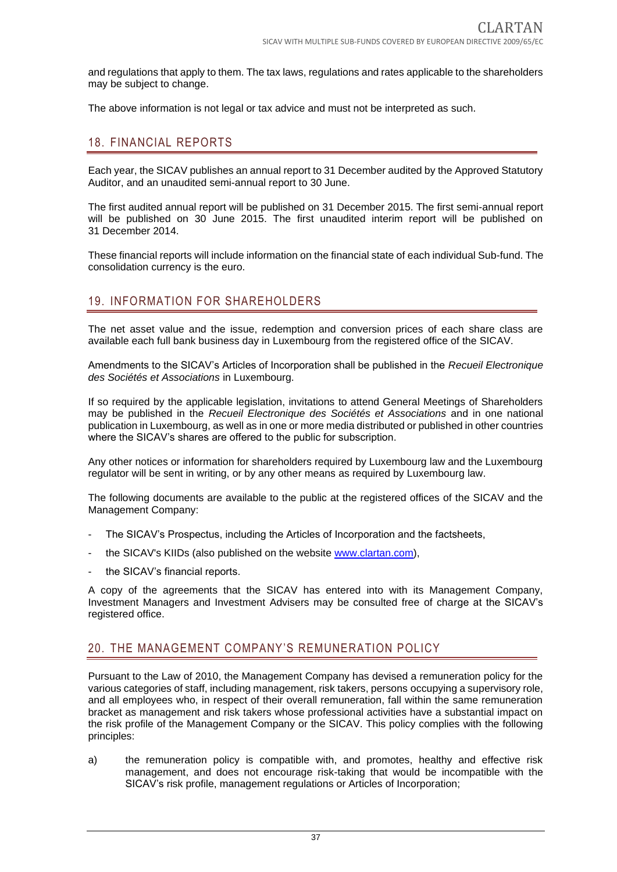and regulations that apply to them. The tax laws, regulations and rates applicable to the shareholders may be subject to change.

The above information is not legal or tax advice and must not be interpreted as such.

# 18. FINANCIAL REPORTS

Each year, the SICAV publishes an annual report to 31 December audited by the Approved Statutory Auditor, and an unaudited semi-annual report to 30 June.

The first audited annual report will be published on 31 December 2015. The first semi-annual report will be published on 30 June 2015. The first unaudited interim report will be published on 31 December 2014.

These financial reports will include information on the financial state of each individual Sub-fund. The consolidation currency is the euro.

# 19. INFORMATION FOR SHAREHOLDERS

The net asset value and the issue, redemption and conversion prices of each share class are available each full bank business day in Luxembourg from the registered office of the SICAV.

Amendments to the SICAV's Articles of Incorporation shall be published in the *Recueil Electronique des Sociétés et Associations* in Luxembourg.

If so required by the applicable legislation, invitations to attend General Meetings of Shareholders may be published in the *Recueil Electronique des Sociétés et Associations* and in one national publication in Luxembourg, as well as in one or more media distributed or published in other countries where the SICAV's shares are offered to the public for subscription.

Any other notices or information for shareholders required by Luxembourg law and the Luxembourg regulator will be sent in writing, or by any other means as required by Luxembourg law.

The following documents are available to the public at the registered offices of the SICAV and the Management Company:

- The SICAV's Prospectus, including the Articles of Incorporation and the factsheets,
- the SICAV's KIIDs (also published on the website www.clartan.com),
- the SICAV's financial reports.

A copy of the agreements that the SICAV has entered into with its Management Company, Investment Managers and Investment Advisers may be consulted free of charge at the SICAV's registered office.

# 20. THE MANAGEMENT COMPANY'S REMUNERATION POLICY

Pursuant to the Law of 2010, the Management Company has devised a remuneration policy for the various categories of staff, including management, risk takers, persons occupying a supervisory role, and all employees who, in respect of their overall remuneration, fall within the same remuneration bracket as management and risk takers whose professional activities have a substantial impact on the risk profile of the Management Company or the SICAV. This policy complies with the following principles:

a) the remuneration policy is compatible with, and promotes, healthy and effective risk management, and does not encourage risk-taking that would be incompatible with the SICAV's risk profile, management regulations or Articles of Incorporation;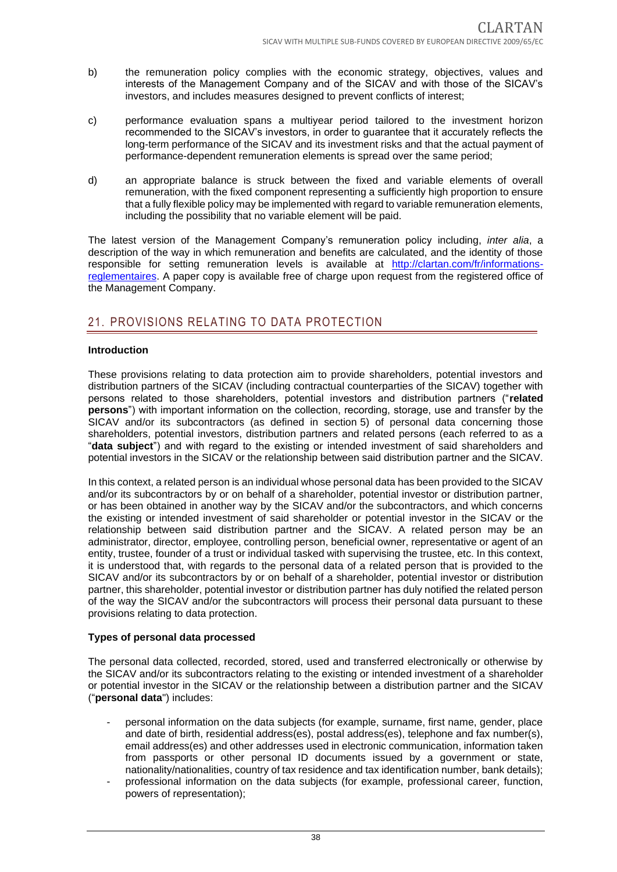- b) the remuneration policy complies with the economic strategy, objectives, values and interests of the Management Company and of the SICAV and with those of the SICAV's investors, and includes measures designed to prevent conflicts of interest;
- c) performance evaluation spans a multiyear period tailored to the investment horizon recommended to the SICAV's investors, in order to guarantee that it accurately reflects the long-term performance of the SICAV and its investment risks and that the actual payment of performance-dependent remuneration elements is spread over the same period;
- d) an appropriate balance is struck between the fixed and variable elements of overall remuneration, with the fixed component representing a sufficiently high proportion to ensure that a fully flexible policy may be implemented with regard to variable remuneration elements, including the possibility that no variable element will be paid.

The latest version of the Management Company's remuneration policy including, *inter alia*, a description of the way in which remuneration and benefits are calculated, and the identity of those responsible for setting remuneration levels is available at http://clartan.com/fr/informationsreglementaires. A paper copy is available free of charge upon request from the registered office of the Management Company.

# 21. PROVISIONS RELATING TO DATA PROTECTION

#### **Introduction**

These provisions relating to data protection aim to provide shareholders, potential investors and distribution partners of the SICAV (including contractual counterparties of the SICAV) together with persons related to those shareholders, potential investors and distribution partners ("**related persons**") with important information on the collection, recording, storage, use and transfer by the SICAV and/or its subcontractors (as defined in section 5) of personal data concerning those shareholders, potential investors, distribution partners and related persons (each referred to as a "**data subject**") and with regard to the existing or intended investment of said shareholders and potential investors in the SICAV or the relationship between said distribution partner and the SICAV.

In this context, a related person is an individual whose personal data has been provided to the SICAV and/or its subcontractors by or on behalf of a shareholder, potential investor or distribution partner, or has been obtained in another way by the SICAV and/or the subcontractors, and which concerns the existing or intended investment of said shareholder or potential investor in the SICAV or the relationship between said distribution partner and the SICAV. A related person may be an administrator, director, employee, controlling person, beneficial owner, representative or agent of an entity, trustee, founder of a trust or individual tasked with supervising the trustee, etc. In this context, it is understood that, with regards to the personal data of a related person that is provided to the SICAV and/or its subcontractors by or on behalf of a shareholder, potential investor or distribution partner, this shareholder, potential investor or distribution partner has duly notified the related person of the way the SICAV and/or the subcontractors will process their personal data pursuant to these provisions relating to data protection.

#### **Types of personal data processed**

The personal data collected, recorded, stored, used and transferred electronically or otherwise by the SICAV and/or its subcontractors relating to the existing or intended investment of a shareholder or potential investor in the SICAV or the relationship between a distribution partner and the SICAV ("**personal data**") includes:

- personal information on the data subjects (for example, surname, first name, gender, place and date of birth, residential address(es), postal address(es), telephone and fax number(s), email address(es) and other addresses used in electronic communication, information taken from passports or other personal ID documents issued by a government or state, nationality/nationalities, country of tax residence and tax identification number, bank details);
- professional information on the data subjects (for example, professional career, function, powers of representation);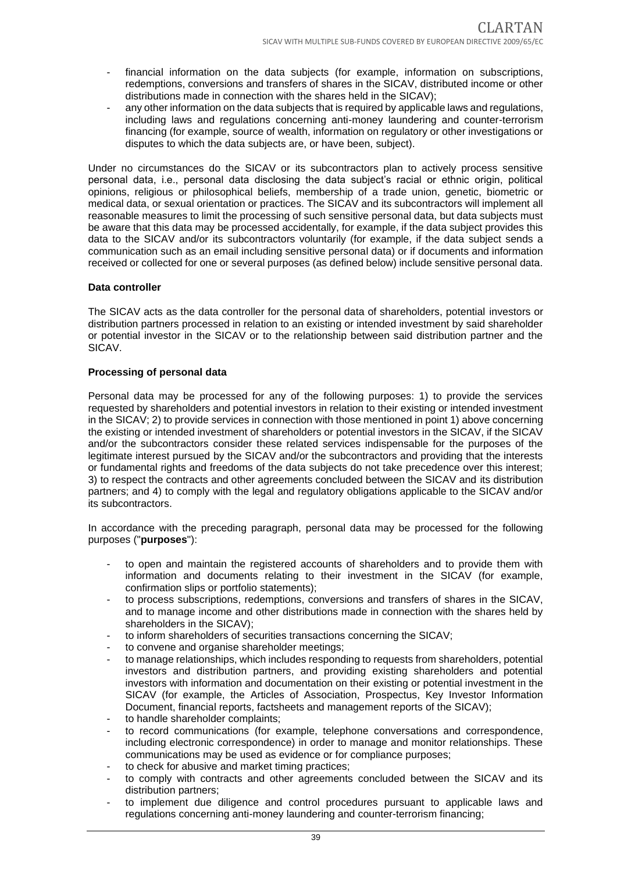- financial information on the data subjects (for example, information on subscriptions, redemptions, conversions and transfers of shares in the SICAV, distributed income or other distributions made in connection with the shares held in the SICAV);
- any other information on the data subjects that is required by applicable laws and regulations, including laws and regulations concerning anti-money laundering and counter-terrorism financing (for example, source of wealth, information on regulatory or other investigations or disputes to which the data subjects are, or have been, subject).

Under no circumstances do the SICAV or its subcontractors plan to actively process sensitive personal data, i.e., personal data disclosing the data subject's racial or ethnic origin, political opinions, religious or philosophical beliefs, membership of a trade union, genetic, biometric or medical data, or sexual orientation or practices. The SICAV and its subcontractors will implement all reasonable measures to limit the processing of such sensitive personal data, but data subjects must be aware that this data may be processed accidentally, for example, if the data subject provides this data to the SICAV and/or its subcontractors voluntarily (for example, if the data subject sends a communication such as an email including sensitive personal data) or if documents and information received or collected for one or several purposes (as defined below) include sensitive personal data.

#### **Data controller**

The SICAV acts as the data controller for the personal data of shareholders, potential investors or distribution partners processed in relation to an existing or intended investment by said shareholder or potential investor in the SICAV or to the relationship between said distribution partner and the SICAV.

#### **Processing of personal data**

Personal data may be processed for any of the following purposes: 1) to provide the services requested by shareholders and potential investors in relation to their existing or intended investment in the SICAV; 2) to provide services in connection with those mentioned in point 1) above concerning the existing or intended investment of shareholders or potential investors in the SICAV, if the SICAV and/or the subcontractors consider these related services indispensable for the purposes of the legitimate interest pursued by the SICAV and/or the subcontractors and providing that the interests or fundamental rights and freedoms of the data subjects do not take precedence over this interest; 3) to respect the contracts and other agreements concluded between the SICAV and its distribution partners; and 4) to comply with the legal and regulatory obligations applicable to the SICAV and/or its subcontractors.

In accordance with the preceding paragraph, personal data may be processed for the following purposes ("**purposes**"):

- to open and maintain the registered accounts of shareholders and to provide them with information and documents relating to their investment in the SICAV (for example, confirmation slips or portfolio statements);
- to process subscriptions, redemptions, conversions and transfers of shares in the SICAV, and to manage income and other distributions made in connection with the shares held by shareholders in the SICAV);
- to inform shareholders of securities transactions concerning the SICAV;
- to convene and organise shareholder meetings;
- to manage relationships, which includes responding to requests from shareholders, potential investors and distribution partners, and providing existing shareholders and potential investors with information and documentation on their existing or potential investment in the SICAV (for example, the Articles of Association, Prospectus, Key Investor Information Document, financial reports, factsheets and management reports of the SICAV);
- to handle shareholder complaints;
- to record communications (for example, telephone conversations and correspondence, including electronic correspondence) in order to manage and monitor relationships. These communications may be used as evidence or for compliance purposes;
- to check for abusive and market timing practices;
- to comply with contracts and other agreements concluded between the SICAV and its distribution partners;
- to implement due diligence and control procedures pursuant to applicable laws and regulations concerning anti-money laundering and counter-terrorism financing;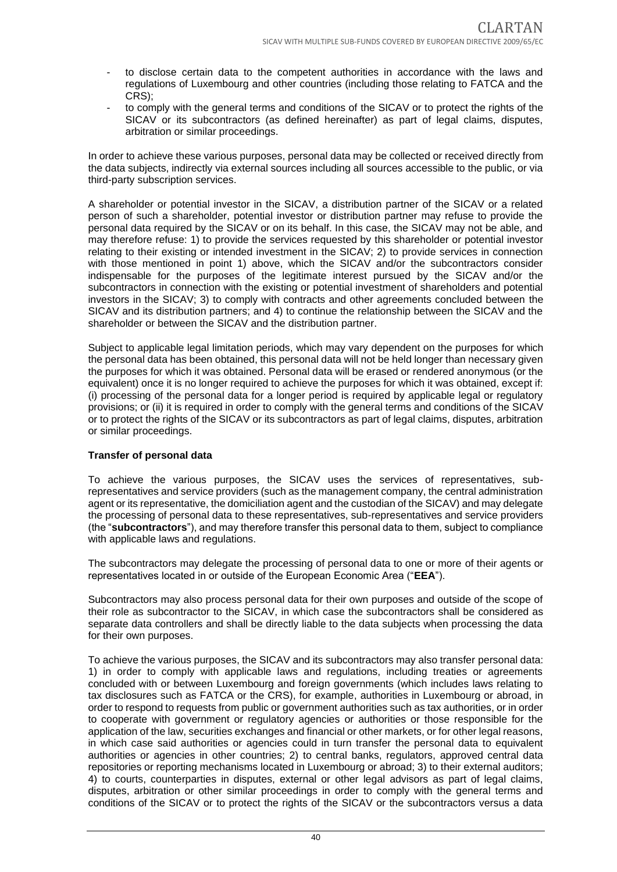- to disclose certain data to the competent authorities in accordance with the laws and regulations of Luxembourg and other countries (including those relating to FATCA and the CRS);
- to comply with the general terms and conditions of the SICAV or to protect the rights of the SICAV or its subcontractors (as defined hereinafter) as part of legal claims, disputes, arbitration or similar proceedings.

In order to achieve these various purposes, personal data may be collected or received directly from the data subjects, indirectly via external sources including all sources accessible to the public, or via third-party subscription services.

A shareholder or potential investor in the SICAV, a distribution partner of the SICAV or a related person of such a shareholder, potential investor or distribution partner may refuse to provide the personal data required by the SICAV or on its behalf. In this case, the SICAV may not be able, and may therefore refuse: 1) to provide the services requested by this shareholder or potential investor relating to their existing or intended investment in the SICAV; 2) to provide services in connection with those mentioned in point 1) above, which the SICAV and/or the subcontractors consider indispensable for the purposes of the legitimate interest pursued by the SICAV and/or the subcontractors in connection with the existing or potential investment of shareholders and potential investors in the SICAV; 3) to comply with contracts and other agreements concluded between the SICAV and its distribution partners; and 4) to continue the relationship between the SICAV and the shareholder or between the SICAV and the distribution partner.

Subject to applicable legal limitation periods, which may vary dependent on the purposes for which the personal data has been obtained, this personal data will not be held longer than necessary given the purposes for which it was obtained. Personal data will be erased or rendered anonymous (or the equivalent) once it is no longer required to achieve the purposes for which it was obtained, except if: (i) processing of the personal data for a longer period is required by applicable legal or regulatory provisions; or (ii) it is required in order to comply with the general terms and conditions of the SICAV or to protect the rights of the SICAV or its subcontractors as part of legal claims, disputes, arbitration or similar proceedings.

#### **Transfer of personal data**

To achieve the various purposes, the SICAV uses the services of representatives, subrepresentatives and service providers (such as the management company, the central administration agent or its representative, the domiciliation agent and the custodian of the SICAV) and may delegate the processing of personal data to these representatives, sub-representatives and service providers (the "**subcontractors**"), and may therefore transfer this personal data to them, subject to compliance with applicable laws and regulations.

The subcontractors may delegate the processing of personal data to one or more of their agents or representatives located in or outside of the European Economic Area ("**EEA**").

Subcontractors may also process personal data for their own purposes and outside of the scope of their role as subcontractor to the SICAV, in which case the subcontractors shall be considered as separate data controllers and shall be directly liable to the data subjects when processing the data for their own purposes.

To achieve the various purposes, the SICAV and its subcontractors may also transfer personal data: 1) in order to comply with applicable laws and regulations, including treaties or agreements concluded with or between Luxembourg and foreign governments (which includes laws relating to tax disclosures such as FATCA or the CRS), for example, authorities in Luxembourg or abroad, in order to respond to requests from public or government authorities such as tax authorities, or in order to cooperate with government or regulatory agencies or authorities or those responsible for the application of the law, securities exchanges and financial or other markets, or for other legal reasons, in which case said authorities or agencies could in turn transfer the personal data to equivalent authorities or agencies in other countries; 2) to central banks, regulators, approved central data repositories or reporting mechanisms located in Luxembourg or abroad; 3) to their external auditors; 4) to courts, counterparties in disputes, external or other legal advisors as part of legal claims, disputes, arbitration or other similar proceedings in order to comply with the general terms and conditions of the SICAV or to protect the rights of the SICAV or the subcontractors versus a data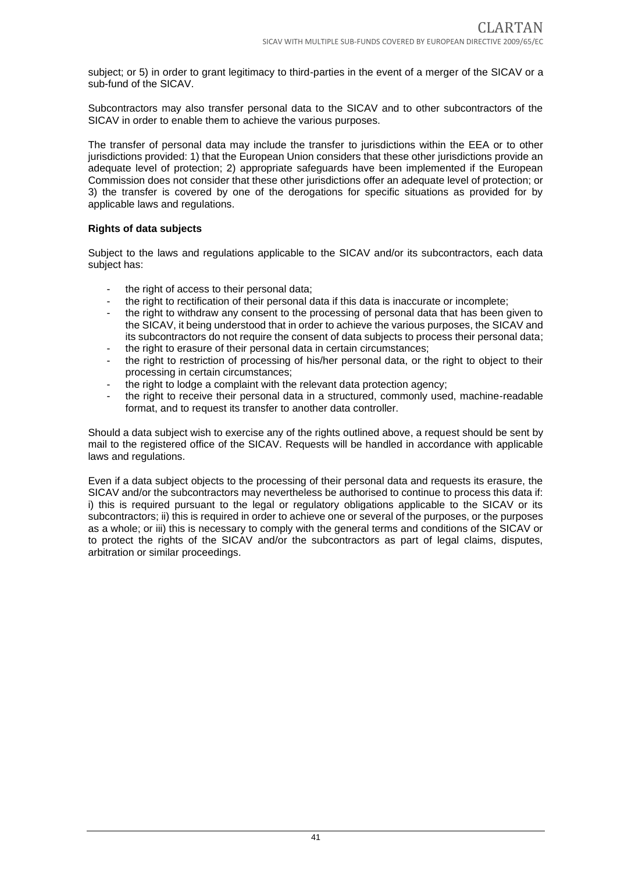subject; or 5) in order to grant legitimacy to third-parties in the event of a merger of the SICAV or a sub-fund of the SICAV.

Subcontractors may also transfer personal data to the SICAV and to other subcontractors of the SICAV in order to enable them to achieve the various purposes.

The transfer of personal data may include the transfer to jurisdictions within the EEA or to other jurisdictions provided: 1) that the European Union considers that these other jurisdictions provide an adequate level of protection; 2) appropriate safeguards have been implemented if the European Commission does not consider that these other jurisdictions offer an adequate level of protection; or 3) the transfer is covered by one of the derogations for specific situations as provided for by applicable laws and regulations.

#### **Rights of data subjects**

Subject to the laws and regulations applicable to the SICAV and/or its subcontractors, each data subject has:

- the right of access to their personal data;
- the right to rectification of their personal data if this data is inaccurate or incomplete;
- the right to withdraw any consent to the processing of personal data that has been given to the SICAV, it being understood that in order to achieve the various purposes, the SICAV and its subcontractors do not require the consent of data subjects to process their personal data;
- the right to erasure of their personal data in certain circumstances;
- the right to restriction of processing of his/her personal data, or the right to object to their processing in certain circumstances;
- the right to lodge a complaint with the relevant data protection agency;
- the right to receive their personal data in a structured, commonly used, machine-readable format, and to request its transfer to another data controller.

Should a data subject wish to exercise any of the rights outlined above, a request should be sent by mail to the registered office of the SICAV. Requests will be handled in accordance with applicable laws and regulations.

Even if a data subject objects to the processing of their personal data and requests its erasure, the SICAV and/or the subcontractors may nevertheless be authorised to continue to process this data if: i) this is required pursuant to the legal or regulatory obligations applicable to the SICAV or its subcontractors; ii) this is required in order to achieve one or several of the purposes, or the purposes as a whole; or iii) this is necessary to comply with the general terms and conditions of the SICAV or to protect the rights of the SICAV and/or the subcontractors as part of legal claims, disputes, arbitration or similar proceedings.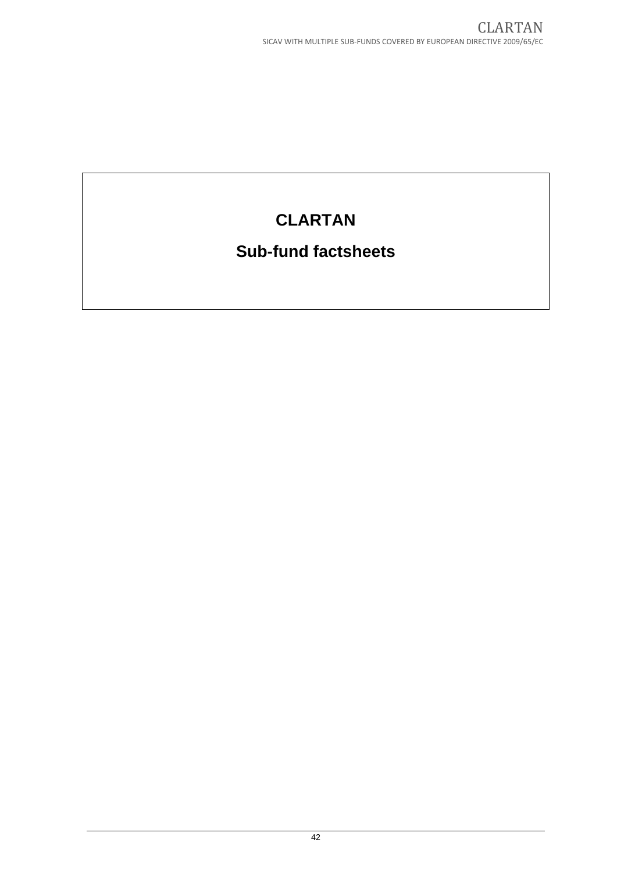# **CLARTAN**

# **Sub-fund factsheets**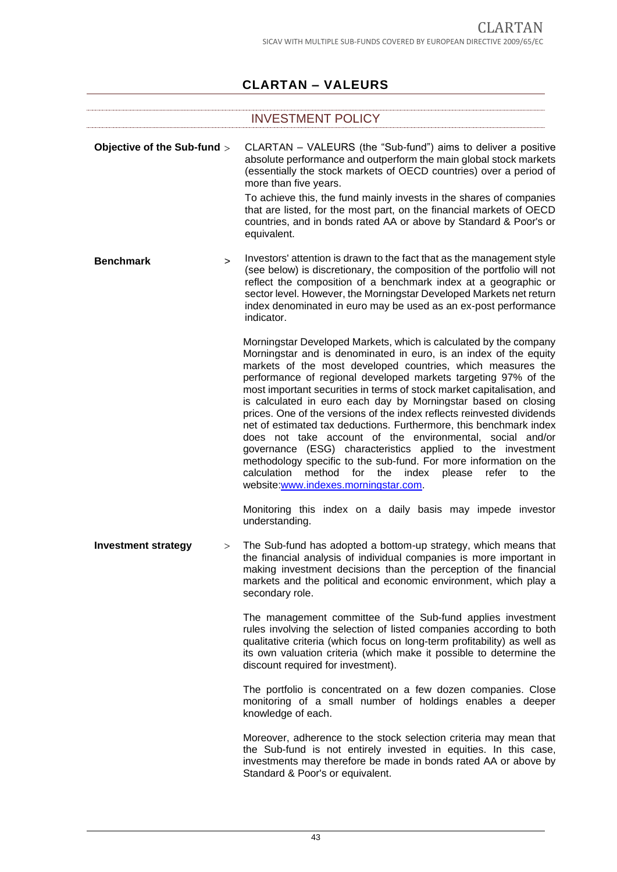# **CLARTAN – VALEURS**

|                             |        | <b>INVESTMENT POLICY</b>                                                                                                                                                                                                                                                                                                                                                                                                                                                                                                                                                                                                                                                                                                                                                                                                                                                                    |
|-----------------------------|--------|---------------------------------------------------------------------------------------------------------------------------------------------------------------------------------------------------------------------------------------------------------------------------------------------------------------------------------------------------------------------------------------------------------------------------------------------------------------------------------------------------------------------------------------------------------------------------------------------------------------------------------------------------------------------------------------------------------------------------------------------------------------------------------------------------------------------------------------------------------------------------------------------|
| Objective of the Sub-fund > |        | CLARTAN - VALEURS (the "Sub-fund") aims to deliver a positive<br>absolute performance and outperform the main global stock markets<br>(essentially the stock markets of OECD countries) over a period of<br>more than five years.<br>To achieve this, the fund mainly invests in the shares of companies<br>that are listed, for the most part, on the financial markets of OECD<br>countries, and in bonds rated AA or above by Standard & Poor's or<br>equivalent.                                                                                                                                                                                                                                                                                                                                                                                                                        |
| <b>Benchmark</b>            | $\geq$ | Investors' attention is drawn to the fact that as the management style<br>(see below) is discretionary, the composition of the portfolio will not<br>reflect the composition of a benchmark index at a geographic or<br>sector level. However, the Morningstar Developed Markets net return<br>index denominated in euro may be used as an ex-post performance<br>indicator.                                                                                                                                                                                                                                                                                                                                                                                                                                                                                                                |
|                             |        | Morningstar Developed Markets, which is calculated by the company<br>Morningstar and is denominated in euro, is an index of the equity<br>markets of the most developed countries, which measures the<br>performance of regional developed markets targeting 97% of the<br>most important securities in terms of stock market capitalisation, and<br>is calculated in euro each day by Morningstar based on closing<br>prices. One of the versions of the index reflects reinvested dividends<br>net of estimated tax deductions. Furthermore, this benchmark index<br>does not take account of the environmental, social and/or<br>governance (ESG) characteristics applied to the investment<br>methodology specific to the sub-fund. For more information on the<br>calculation<br>method<br>for<br>the<br>index<br>refer<br>please<br>the<br>to<br>website:www.indexes.morningstar.com. |
|                             |        | Monitoring this index on a daily basis may impede investor<br>understanding.                                                                                                                                                                                                                                                                                                                                                                                                                                                                                                                                                                                                                                                                                                                                                                                                                |
| <b>Investment strategy</b>  | >      | The Sub-fund has adopted a bottom-up strategy, which means that<br>the financial analysis of individual companies is more important in<br>making investment decisions than the perception of the financial<br>markets and the political and economic environment, which play a<br>secondary role.                                                                                                                                                                                                                                                                                                                                                                                                                                                                                                                                                                                           |
|                             |        | The management committee of the Sub-fund applies investment<br>rules involving the selection of listed companies according to both<br>qualitative criteria (which focus on long-term profitability) as well as<br>its own valuation criteria (which make it possible to determine the<br>discount required for investment).                                                                                                                                                                                                                                                                                                                                                                                                                                                                                                                                                                 |
|                             |        | The portfolio is concentrated on a few dozen companies. Close<br>monitoring of a small number of holdings enables a deeper<br>knowledge of each.                                                                                                                                                                                                                                                                                                                                                                                                                                                                                                                                                                                                                                                                                                                                            |
|                             |        | Moreover, adherence to the stock selection criteria may mean that<br>the Sub-fund is not entirely invested in equities. In this case,<br>investments may therefore be made in bonds rated AA or above by<br>Standard & Poor's or equivalent.                                                                                                                                                                                                                                                                                                                                                                                                                                                                                                                                                                                                                                                |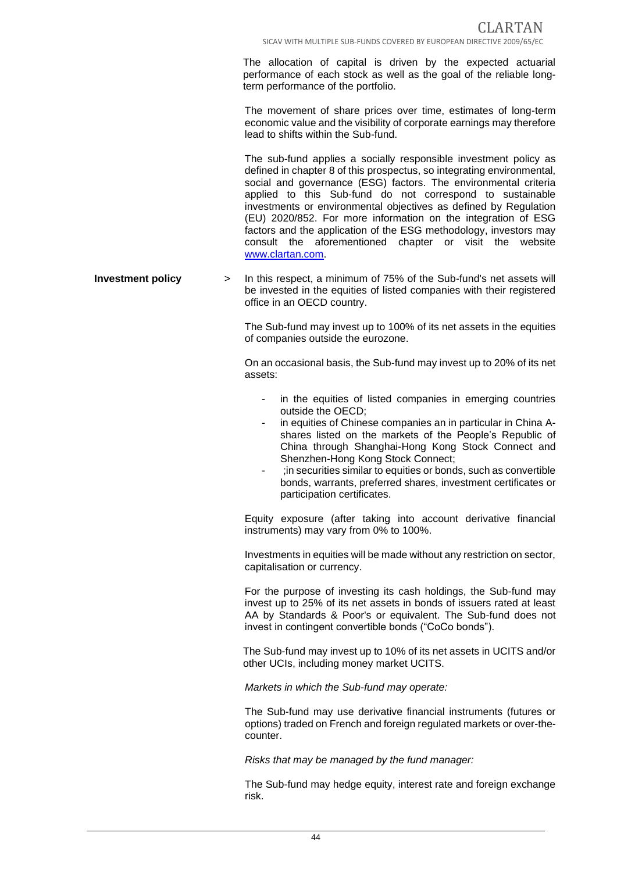The allocation of capital is driven by the expected actuarial performance of each stock as well as the goal of the reliable longterm performance of the portfolio.

The movement of share prices over time, estimates of long-term economic value and the visibility of corporate earnings may therefore lead to shifts within the Sub-fund.

The sub-fund applies a socially responsible investment policy as defined in chapter 8 of this prospectus, so integrating environmental, social and governance (ESG) factors. The environmental criteria applied to this Sub-fund do not correspond to sustainable investments or environmental objectives as defined by Regulation (EU) 2020/852. For more information on the integration of ESG factors and the application of the ESG methodology, investors may consult the aforementioned chapter or visit the website [www.clartan.com.](http://www.clartan.com/)

**Investment policy** > In this respect, a minimum of 75% of the Sub-fund's net assets will be invested in the equities of listed companies with their registered office in an OECD country.

> The Sub-fund may invest up to 100% of its net assets in the equities of companies outside the eurozone.

> On an occasional basis, the Sub-fund may invest up to 20% of its net assets:

- in the equities of listed companies in emerging countries outside the OECD;
- in equities of Chinese companies an in particular in China Ashares listed on the markets of the People's Republic of China through Shanghai-Hong Kong Stock Connect and Shenzhen-Hong Kong Stock Connect;
- ;in securities similar to equities or bonds, such as convertible bonds, warrants, preferred shares, investment certificates or participation certificates.

Equity exposure (after taking into account derivative financial instruments) may vary from 0% to 100%.

Investments in equities will be made without any restriction on sector, capitalisation or currency.

For the purpose of investing its cash holdings, the Sub-fund may invest up to 25% of its net assets in bonds of issuers rated at least AA by Standards & Poor's or equivalent. The Sub-fund does not invest in contingent convertible bonds ("CoCo bonds").

The Sub-fund may invest up to 10% of its net assets in UCITS and/or other UCIs, including money market UCITS.

*Markets in which the Sub-fund may operate:*

The Sub-fund may use derivative financial instruments (futures or options) traded on French and foreign regulated markets or over-thecounter.

*Risks that may be managed by the fund manager:*

The Sub-fund may hedge equity, interest rate and foreign exchange risk.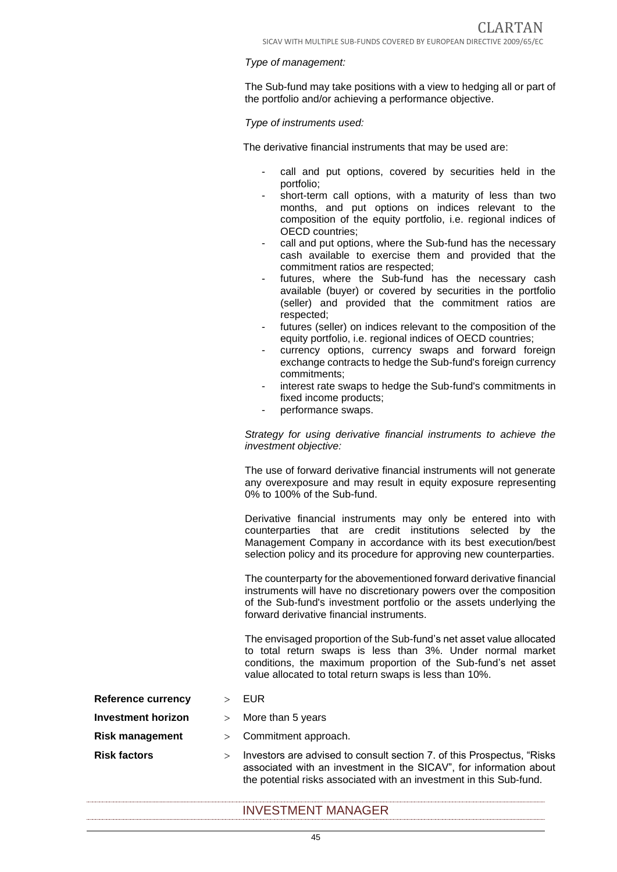#### *Type of management:*

The Sub-fund may take positions with a view to hedging all or part of the portfolio and/or achieving a performance objective.

#### *Type of instruments used:*

The derivative financial instruments that may be used are:

- call and put options, covered by securities held in the portfolio;
- short-term call options, with a maturity of less than two months, and put options on indices relevant to the composition of the equity portfolio, i.e. regional indices of OECD countries;
- call and put options, where the Sub-fund has the necessary cash available to exercise them and provided that the commitment ratios are respected;
- futures, where the Sub-fund has the necessary cash available (buyer) or covered by securities in the portfolio (seller) and provided that the commitment ratios are respected;
- futures (seller) on indices relevant to the composition of the equity portfolio, i.e. regional indices of OECD countries;
- currency options, currency swaps and forward foreign exchange contracts to hedge the Sub-fund's foreign currency commitments;
- interest rate swaps to hedge the Sub-fund's commitments in fixed income products;
- performance swaps.

*Strategy for using derivative financial instruments to achieve the investment objective:*

The use of forward derivative financial instruments will not generate any overexposure and may result in equity exposure representing 0% to 100% of the Sub-fund.

Derivative financial instruments may only be entered into with counterparties that are credit institutions selected by the Management Company in accordance with its best execution/best selection policy and its procedure for approving new counterparties.

The counterparty for the abovementioned forward derivative financial instruments will have no discretionary powers over the composition of the Sub-fund's investment portfolio or the assets underlying the forward derivative financial instruments.

The envisaged proportion of the Sub-fund's net asset value allocated to total return swaps is less than 3%. Under normal market conditions, the maximum proportion of the Sub-fund's net asset value allocated to total return swaps is less than 10%.

- **Reference currency**  $\rightarrow$  EUR
- **Investment horizon** > More than 5 years
- **Risk management** > Commitment approach.
- 
- **Risk factors** Investors are advised to consult section 7. of this Prospectus, "Risks associated with an investment in the SICAV", for information about the potential risks associated with an investment in this Sub-fund.

## INVESTMENT MANAGER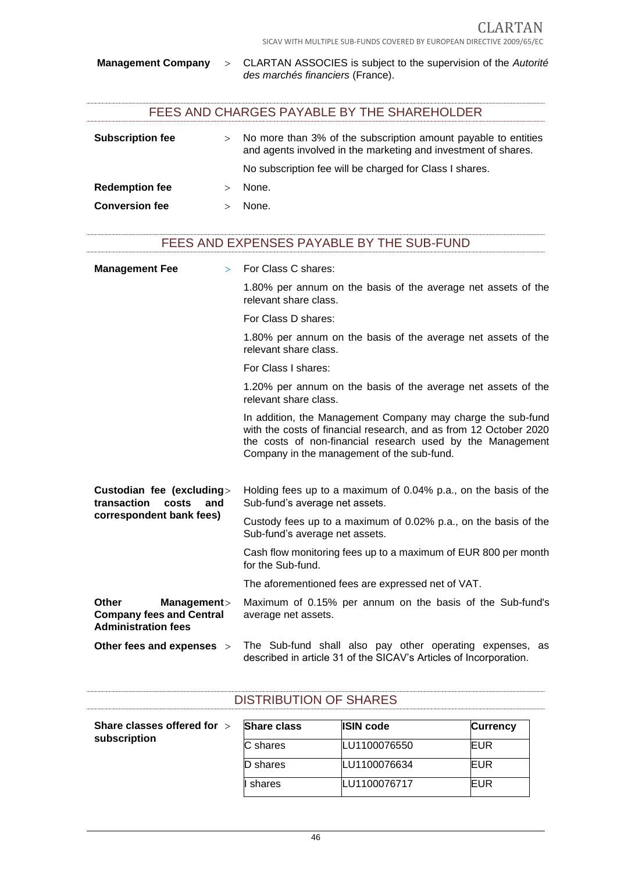#### **Management Company** CLARTAN ASSOCIES is subject to the supervision of the *Autorité des marchés financiers* (France).

# FEES AND CHARGES PAYABLE BY THE SHAREHOLDER

| <b>Subscription fee</b> | $\geq$ | No more than 3% of the subscription amount payable to entities<br>and agents involved in the marketing and investment of shares. |
|-------------------------|--------|----------------------------------------------------------------------------------------------------------------------------------|
|                         |        | No subscription fee will be charged for Class I shares.                                                                          |
| <b>Redemption fee</b>   |        | None.                                                                                                                            |
| <b>Conversion fee</b>   |        | None.                                                                                                                            |

### FEES AND EXPENSES PAYABLE BY THE SUB-FUND

| <b>Management Fee</b><br>$\geq$                                                              | For Class C shares:                                                                                                                                                                                                                          |
|----------------------------------------------------------------------------------------------|----------------------------------------------------------------------------------------------------------------------------------------------------------------------------------------------------------------------------------------------|
|                                                                                              | 1.80% per annum on the basis of the average net assets of the<br>relevant share class.                                                                                                                                                       |
|                                                                                              | For Class D shares:                                                                                                                                                                                                                          |
|                                                                                              | 1.80% per annum on the basis of the average net assets of the<br>relevant share class.                                                                                                                                                       |
|                                                                                              | For Class I shares:                                                                                                                                                                                                                          |
|                                                                                              | 1.20% per annum on the basis of the average net assets of the<br>relevant share class.                                                                                                                                                       |
|                                                                                              | In addition, the Management Company may charge the sub-fund<br>with the costs of financial research, and as from 12 October 2020<br>the costs of non-financial research used by the Management<br>Company in the management of the sub-fund. |
| Custodian fee (excluding><br>transaction<br>costs<br>and<br>correspondent bank fees)         | Holding fees up to a maximum of 0.04% p.a., on the basis of the<br>Sub-fund's average net assets.                                                                                                                                            |
|                                                                                              | Custody fees up to a maximum of 0.02% p.a., on the basis of the<br>Sub-fund's average net assets.                                                                                                                                            |
|                                                                                              | Cash flow monitoring fees up to a maximum of EUR 800 per month<br>for the Sub-fund.                                                                                                                                                          |
|                                                                                              | The aforementioned fees are expressed net of VAT.                                                                                                                                                                                            |
| <b>Other</b><br>Management><br><b>Company fees and Central</b><br><b>Administration fees</b> | Maximum of 0.15% per annum on the basis of the Sub-fund's<br>average net assets.                                                                                                                                                             |
| Other fees and expenses >                                                                    | The Sub-fund shall also pay other operating expenses, as<br>described in article 31 of the SICAV's Articles of Incorporation.                                                                                                                |

| <b>DISTRIBUTION OF SHARES</b>               |                    |                  |                 |  |
|---------------------------------------------|--------------------|------------------|-----------------|--|
| Share classes offered for ><br>subscription | <b>Share class</b> | <b>ISIN code</b> | <b>Currency</b> |  |
|                                             | IC shares          | LU1100076550     | EUR             |  |
|                                             | <b>D</b> shares    | LU1100076634     | EUR             |  |

**I** shares LU1100076717 EUR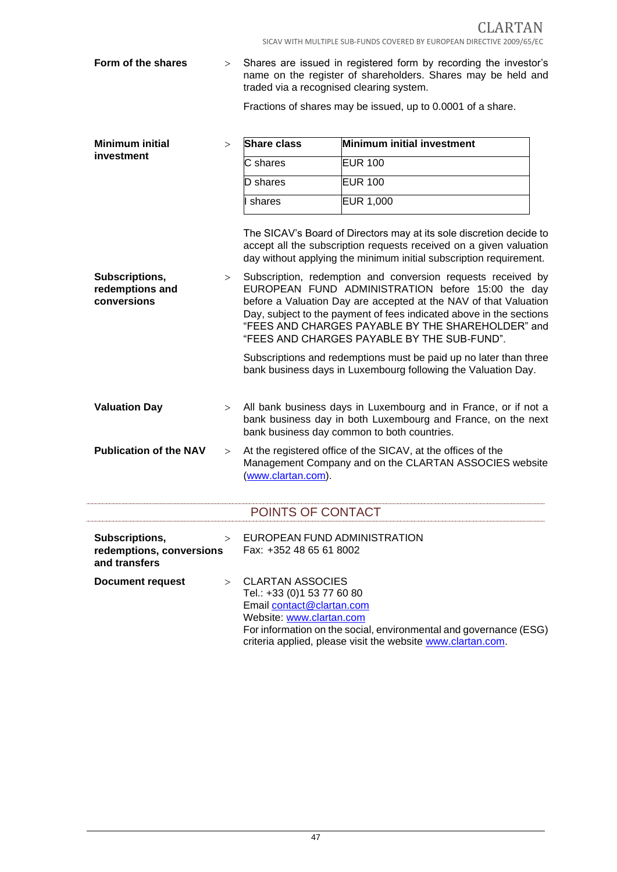CLARTAN SICAV WITH MULTIPLE SUB-FUNDS COVERED BY EUROPEAN DIRECTIVE 2009/65/EC

**Form of the shares** > Shares are issued in registered form by recording the investor's name on the register of shareholders. Shares may be held and traded via a recognised clearing system.

Fractions of shares may be issued, up to 0.0001 of a share.

| <b>Minimum initial</b>                                      | $\geq$ | <b>Share class</b>                                                                                             | Minimum initial investment                                                                                                                                                                                                                                                                                                                                       |
|-------------------------------------------------------------|--------|----------------------------------------------------------------------------------------------------------------|------------------------------------------------------------------------------------------------------------------------------------------------------------------------------------------------------------------------------------------------------------------------------------------------------------------------------------------------------------------|
| investment                                                  |        |                                                                                                                |                                                                                                                                                                                                                                                                                                                                                                  |
|                                                             |        | C shares                                                                                                       | <b>EUR 100</b>                                                                                                                                                                                                                                                                                                                                                   |
|                                                             |        | D shares                                                                                                       | <b>EUR 100</b>                                                                                                                                                                                                                                                                                                                                                   |
|                                                             |        | shares                                                                                                         | <b>EUR 1,000</b>                                                                                                                                                                                                                                                                                                                                                 |
|                                                             |        |                                                                                                                | The SICAV's Board of Directors may at its sole discretion decide to<br>accept all the subscription requests received on a given valuation<br>day without applying the minimum initial subscription requirement.                                                                                                                                                  |
| Subscriptions,<br>redemptions and<br>conversions            | >      |                                                                                                                | Subscription, redemption and conversion requests received by<br>EUROPEAN FUND ADMINISTRATION before 15:00 the day<br>before a Valuation Day are accepted at the NAV of that Valuation<br>Day, subject to the payment of fees indicated above in the sections<br>"FEES AND CHARGES PAYABLE BY THE SHAREHOLDER" and<br>"FEES AND CHARGES PAYABLE BY THE SUB-FUND". |
|                                                             |        |                                                                                                                | Subscriptions and redemptions must be paid up no later than three<br>bank business days in Luxembourg following the Valuation Day.                                                                                                                                                                                                                               |
| <b>Valuation Day</b>                                        | >      |                                                                                                                | All bank business days in Luxembourg and in France, or if not a<br>bank business day in both Luxembourg and France, on the next<br>bank business day common to both countries.                                                                                                                                                                                   |
| <b>Publication of the NAV</b>                               | $\geq$ | (www.clartan.com).                                                                                             | At the registered office of the SICAV, at the offices of the<br>Management Company and on the CLARTAN ASSOCIES website                                                                                                                                                                                                                                           |
|                                                             |        | POINTS OF CONTACT                                                                                              |                                                                                                                                                                                                                                                                                                                                                                  |
| Subscriptions,<br>redemptions, conversions<br>and transfers | $\geq$ | EUROPEAN FUND ADMINISTRATION<br>Fax: +352 48 65 61 8002                                                        |                                                                                                                                                                                                                                                                                                                                                                  |
| <b>Document request</b>                                     | $\geq$ | <b>CLARTAN ASSOCIES</b><br>Tel.: +33 (0)1 53 77 60 80<br>Email contact@clartan.com<br>Website: www.clartan.com | For information on the social, environmental and governance (ESG)<br>criteria applied, please visit the website www.clartan.com.                                                                                                                                                                                                                                 |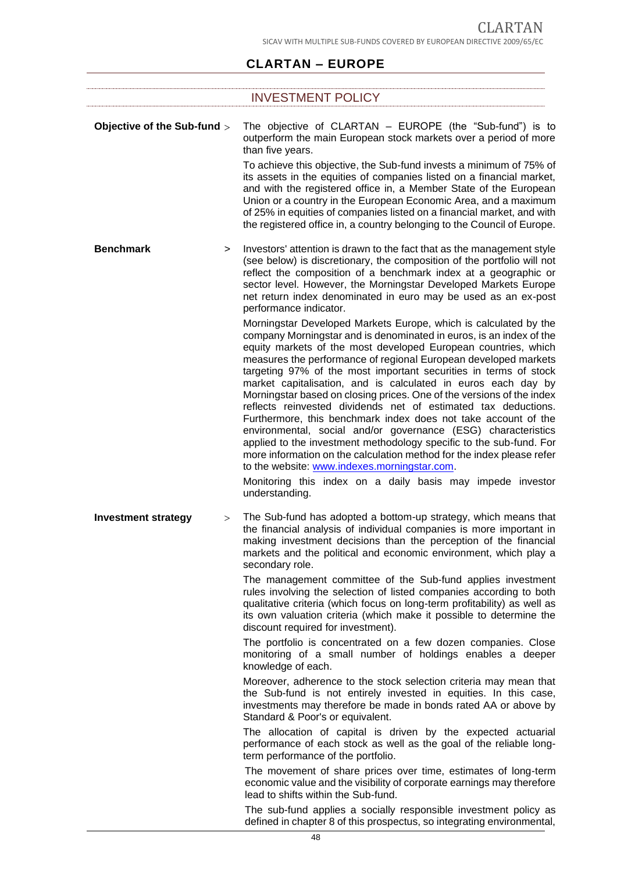# **CLARTAN – EUROPE**

|                             |          | <b>INVESTMENT POLICY</b>                                                                                                                                                                                                                                                                                                                                                                                                                                                                                                                                                                                                                                                                                                                                                                                                                                                                                                                                                        |
|-----------------------------|----------|---------------------------------------------------------------------------------------------------------------------------------------------------------------------------------------------------------------------------------------------------------------------------------------------------------------------------------------------------------------------------------------------------------------------------------------------------------------------------------------------------------------------------------------------------------------------------------------------------------------------------------------------------------------------------------------------------------------------------------------------------------------------------------------------------------------------------------------------------------------------------------------------------------------------------------------------------------------------------------|
|                             |          |                                                                                                                                                                                                                                                                                                                                                                                                                                                                                                                                                                                                                                                                                                                                                                                                                                                                                                                                                                                 |
| Objective of the Sub-fund > |          | The objective of CLARTAN - EUROPE (the "Sub-fund") is to<br>outperform the main European stock markets over a period of more<br>than five years.                                                                                                                                                                                                                                                                                                                                                                                                                                                                                                                                                                                                                                                                                                                                                                                                                                |
|                             |          | To achieve this objective, the Sub-fund invests a minimum of 75% of<br>its assets in the equities of companies listed on a financial market,<br>and with the registered office in, a Member State of the European<br>Union or a country in the European Economic Area, and a maximum<br>of 25% in equities of companies listed on a financial market, and with<br>the registered office in, a country belonging to the Council of Europe.                                                                                                                                                                                                                                                                                                                                                                                                                                                                                                                                       |
| <b>Benchmark</b>            | $\geq$   | Investors' attention is drawn to the fact that as the management style<br>(see below) is discretionary, the composition of the portfolio will not<br>reflect the composition of a benchmark index at a geographic or<br>sector level. However, the Morningstar Developed Markets Europe<br>net return index denominated in euro may be used as an ex-post<br>performance indicator.                                                                                                                                                                                                                                                                                                                                                                                                                                                                                                                                                                                             |
|                             |          | Morningstar Developed Markets Europe, which is calculated by the<br>company Morningstar and is denominated in euros, is an index of the<br>equity markets of the most developed European countries, which<br>measures the performance of regional European developed markets<br>targeting 97% of the most important securities in terms of stock<br>market capitalisation, and is calculated in euros each day by<br>Morningstar based on closing prices. One of the versions of the index<br>reflects reinvested dividends net of estimated tax deductions.<br>Furthermore, this benchmark index does not take account of the<br>environmental, social and/or governance (ESG) characteristics<br>applied to the investment methodology specific to the sub-fund. For<br>more information on the calculation method for the index please refer<br>to the website: www.indexes.morningstar.com.<br>Monitoring this index on a daily basis may impede investor<br>understanding. |
| <b>Investment strategy</b>  | $\rm{>}$ | The Sub-fund has adopted a bottom-up strategy, which means that<br>the financial analysis of individual companies is more important in<br>making investment decisions than the perception of the financial<br>markets and the political and economic environment, which play a<br>secondary role.                                                                                                                                                                                                                                                                                                                                                                                                                                                                                                                                                                                                                                                                               |
|                             |          | The management committee of the Sub-fund applies investment<br>rules involving the selection of listed companies according to both<br>qualitative criteria (which focus on long-term profitability) as well as<br>its own valuation criteria (which make it possible to determine the<br>discount required for investment).                                                                                                                                                                                                                                                                                                                                                                                                                                                                                                                                                                                                                                                     |
|                             |          | The portfolio is concentrated on a few dozen companies. Close<br>monitoring of a small number of holdings enables a deeper<br>knowledge of each.                                                                                                                                                                                                                                                                                                                                                                                                                                                                                                                                                                                                                                                                                                                                                                                                                                |
|                             |          | Moreover, adherence to the stock selection criteria may mean that<br>the Sub-fund is not entirely invested in equities. In this case,<br>investments may therefore be made in bonds rated AA or above by<br>Standard & Poor's or equivalent.                                                                                                                                                                                                                                                                                                                                                                                                                                                                                                                                                                                                                                                                                                                                    |
|                             |          | The allocation of capital is driven by the expected actuarial<br>performance of each stock as well as the goal of the reliable long-<br>term performance of the portfolio.                                                                                                                                                                                                                                                                                                                                                                                                                                                                                                                                                                                                                                                                                                                                                                                                      |
|                             |          | The movement of share prices over time, estimates of long-term<br>economic value and the visibility of corporate earnings may therefore<br>lead to shifts within the Sub-fund.                                                                                                                                                                                                                                                                                                                                                                                                                                                                                                                                                                                                                                                                                                                                                                                                  |
|                             |          | The sub-fund applies a socially responsible investment policy as<br>defined in chapter 8 of this prospectus, so integrating environmental,                                                                                                                                                                                                                                                                                                                                                                                                                                                                                                                                                                                                                                                                                                                                                                                                                                      |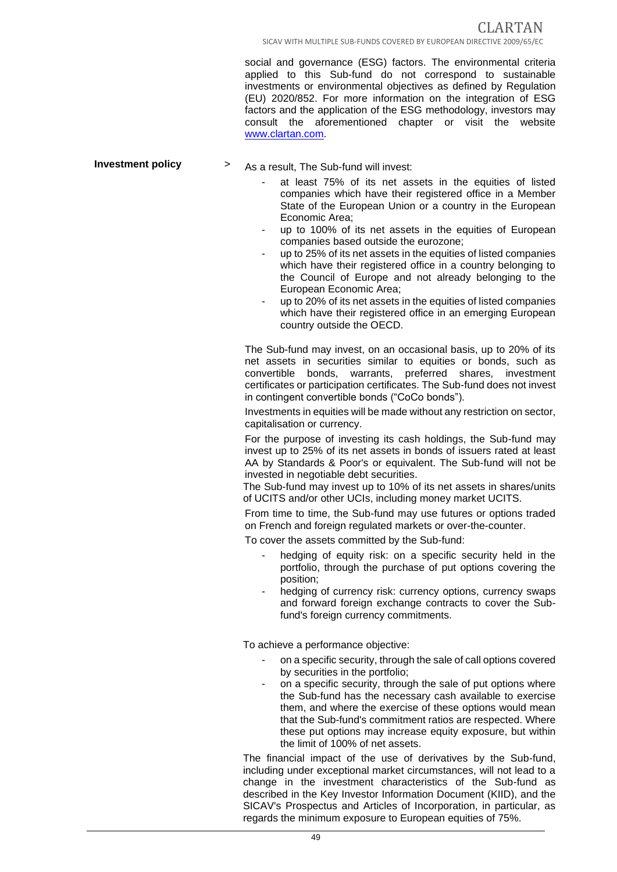social and governance (ESG) factors. The environmental criteria applied to this Sub-fund do not correspond to sustainable investments or environmental objectives as defined by Regulation (EU) 2020/852. For more information on the integration of ESG factors and the application of the ESG methodology, investors may consult the aforementioned chapter or visit the website www.clartan.com.

- **Investment policy**  $\rightarrow$  As a result. The Sub-fund will invest:
	- at least 75% of its net assets in the equities of listed companies which have their registered office in a Member State of the European Union or a country in the European Economic Area;
	- up to 100% of its net assets in the equities of European companies based outside the eurozone;
	- up to 25% of its net assets in the equities of listed companies which have their registered office in a country belonging to the Council of Europe and not already belonging to the European Economic Area;
	- up to 20% of its net assets in the equities of listed companies which have their registered office in an emerging European country outside the OECD.

The Sub-fund may invest, on an occasional basis, up to 20% of its net assets in securities similar to equities or bonds, such as convertible bonds, warrants, preferred shares, investment certificates or participation certificates. The Sub-fund does not invest in contingent convertible bonds ("CoCo bonds").

Investments in equities will be made without any restriction on sector, capitalisation or currency.

For the purpose of investing its cash holdings, the Sub-fund may invest up to 25% of its net assets in bonds of issuers rated at least AA by Standards & Poor's or equivalent. The Sub-fund will not be invested in negotiable debt securities.

The Sub-fund may invest up to 10% of its net assets in shares/units of UCITS and/or other UCIs, including money market UCITS.

From time to time, the Sub-fund may use futures or options traded on French and foreign regulated markets or over-the-counter.

To cover the assets committed by the Sub-fund:

- hedging of equity risk: on a specific security held in the portfolio, through the purchase of put options covering the position;
- hedging of currency risk: currency options, currency swaps and forward foreign exchange contracts to cover the Subfund's foreign currency commitments.

To achieve a performance objective:

- on a specific security, through the sale of call options covered by securities in the portfolio;
- on a specific security, through the sale of put options where the Sub-fund has the necessary cash available to exercise them, and where the exercise of these options would mean that the Sub-fund's commitment ratios are respected. Where these put options may increase equity exposure, but within the limit of 100% of net assets.

The financial impact of the use of derivatives by the Sub-fund, including under exceptional market circumstances, will not lead to a change in the investment characteristics of the Sub-fund as described in the Key Investor Information Document (KIID), and the SICAV's Prospectus and Articles of Incorporation, in particular, as regards the minimum exposure to European equities of 75%.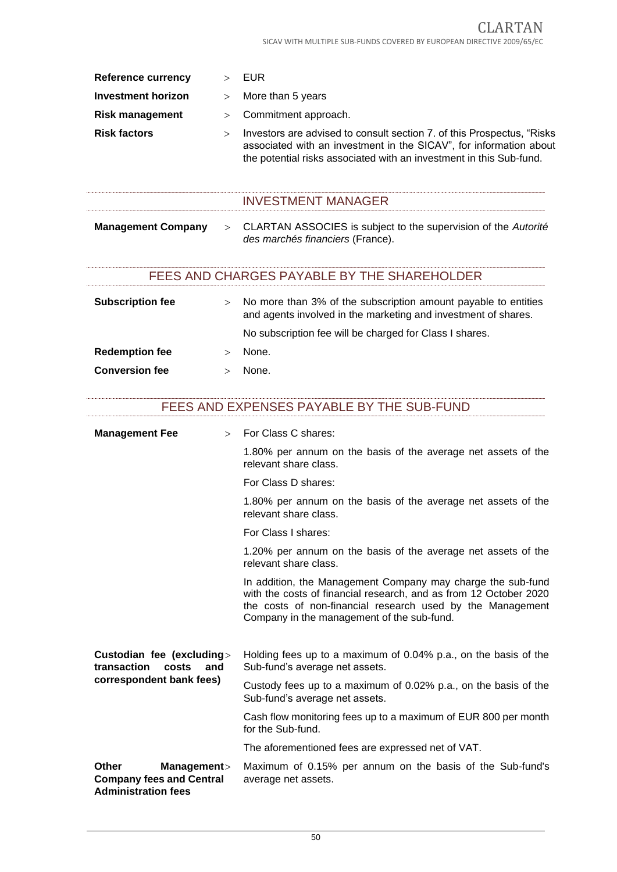| Reference currency        |        | EUR                                                                                                                                                                                                                  |
|---------------------------|--------|----------------------------------------------------------------------------------------------------------------------------------------------------------------------------------------------------------------------|
| <b>Investment horizon</b> | $\geq$ | More than 5 years                                                                                                                                                                                                    |
| <b>Risk management</b>    | >      | Commitment approach.                                                                                                                                                                                                 |
| <b>Risk factors</b>       | $\geq$ | Investors are advised to consult section 7. of this Prospectus, "Risks"<br>associated with an investment in the SICAV", for information about<br>the potential risks associated with an investment in this Sub-fund. |
|                           |        | <b>INVESTMENT MANAGER</b>                                                                                                                                                                                            |
| <b>Management Company</b> | $\geq$ | CLARTAN ASSOCIES is subject to the supervision of the Autorité<br>des marchés financiers (France).                                                                                                                   |
|                           |        | FEES AND CHARGES PAYABLE BY THE SHAREHOLDER                                                                                                                                                                          |
| <b>Subscription fee</b>   | $\geq$ | No more than 3% of the subscription amount payable to entities<br>and agents involved in the marketing and investment of shares.<br>No subscription fee will be charged for Class I shares.                          |

**Redemption fee**  $>$  None. **Conversion fee**  $>$  None.

| FEES AND EXPENSES PAYABLE BY THE SUB-FUND |
|-------------------------------------------|
|-------------------------------------------|

| <b>Management Fee</b>                                                                        | $>$ For Class C shares:                                                                                                                                                                                                                      |
|----------------------------------------------------------------------------------------------|----------------------------------------------------------------------------------------------------------------------------------------------------------------------------------------------------------------------------------------------|
|                                                                                              | 1.80% per annum on the basis of the average net assets of the<br>relevant share class.                                                                                                                                                       |
|                                                                                              | For Class D shares:                                                                                                                                                                                                                          |
|                                                                                              | 1.80% per annum on the basis of the average net assets of the<br>relevant share class.                                                                                                                                                       |
|                                                                                              | For Class I shares:                                                                                                                                                                                                                          |
|                                                                                              | 1.20% per annum on the basis of the average net assets of the<br>relevant share class.                                                                                                                                                       |
|                                                                                              | In addition, the Management Company may charge the sub-fund<br>with the costs of financial research, and as from 12 October 2020<br>the costs of non-financial research used by the Management<br>Company in the management of the sub-fund. |
| Custodian fee (excluding><br>transaction<br>costs<br>and<br>correspondent bank fees)         | Holding fees up to a maximum of 0.04% p.a., on the basis of the<br>Sub-fund's average net assets.                                                                                                                                            |
|                                                                                              | Custody fees up to a maximum of 0.02% p.a., on the basis of the<br>Sub-fund's average net assets.                                                                                                                                            |
|                                                                                              | Cash flow monitoring fees up to a maximum of EUR 800 per month<br>for the Sub-fund.                                                                                                                                                          |
|                                                                                              | The aforementioned fees are expressed net of VAT.                                                                                                                                                                                            |
| <b>Other</b><br>Management><br><b>Company fees and Central</b><br><b>Administration fees</b> | Maximum of 0.15% per annum on the basis of the Sub-fund's<br>average net assets.                                                                                                                                                             |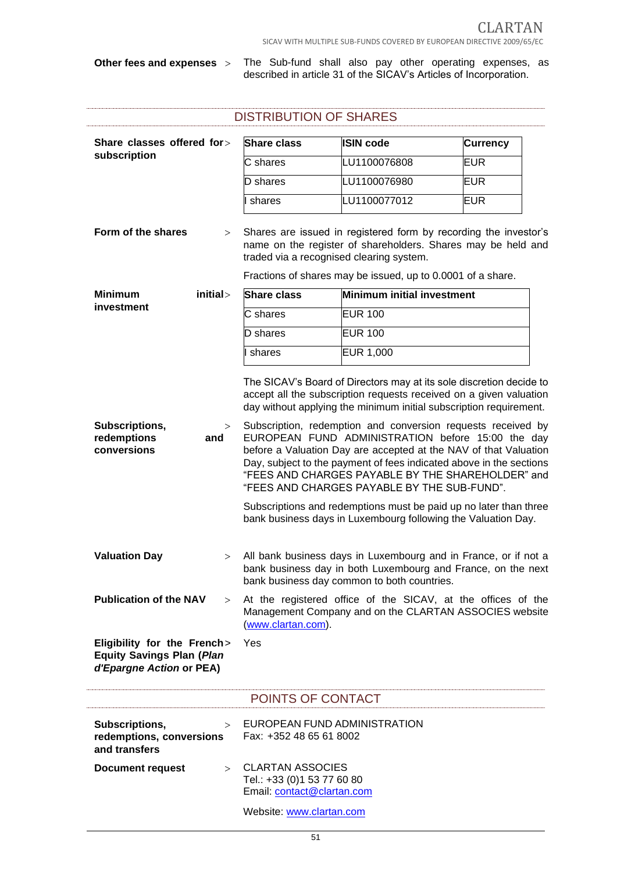**Other fees and expenses** The Sub-fund shall also pay other operating expenses, as described in article 31 of the SICAV's Articles of Incorporation.

| <b>DISTRIBUTION OF SHARES</b>                                                               |                                                                                               |                                                                                                                                                                                                                                                                                                                                                                                                                                                                                                                                                                                                                                                    |                 |  |
|---------------------------------------------------------------------------------------------|-----------------------------------------------------------------------------------------------|----------------------------------------------------------------------------------------------------------------------------------------------------------------------------------------------------------------------------------------------------------------------------------------------------------------------------------------------------------------------------------------------------------------------------------------------------------------------------------------------------------------------------------------------------------------------------------------------------------------------------------------------------|-----------------|--|
| Share classes offered for>                                                                  | <b>Share class</b>                                                                            | <b>ISIN code</b>                                                                                                                                                                                                                                                                                                                                                                                                                                                                                                                                                                                                                                   | <b>Currency</b> |  |
| subscription                                                                                | C shares                                                                                      | LU1100076808                                                                                                                                                                                                                                                                                                                                                                                                                                                                                                                                                                                                                                       | EUR             |  |
|                                                                                             | D shares                                                                                      | LU1100076980                                                                                                                                                                                                                                                                                                                                                                                                                                                                                                                                                                                                                                       | <b>EUR</b>      |  |
|                                                                                             | shares                                                                                        | LU1100077012                                                                                                                                                                                                                                                                                                                                                                                                                                                                                                                                                                                                                                       | EUR             |  |
| Form of the shares<br>>                                                                     |                                                                                               | Shares are issued in registered form by recording the investor's<br>name on the register of shareholders. Shares may be held and<br>traded via a recognised clearing system.<br>Fractions of shares may be issued, up to 0.0001 of a share.                                                                                                                                                                                                                                                                                                                                                                                                        |                 |  |
| initial><br><b>Minimum</b>                                                                  | <b>Share class</b>                                                                            | Minimum initial investment                                                                                                                                                                                                                                                                                                                                                                                                                                                                                                                                                                                                                         |                 |  |
| investment                                                                                  | C shares                                                                                      | <b>EUR 100</b>                                                                                                                                                                                                                                                                                                                                                                                                                                                                                                                                                                                                                                     |                 |  |
|                                                                                             | D shares                                                                                      | <b>EUR 100</b>                                                                                                                                                                                                                                                                                                                                                                                                                                                                                                                                                                                                                                     |                 |  |
|                                                                                             | shares                                                                                        | <b>EUR 1,000</b>                                                                                                                                                                                                                                                                                                                                                                                                                                                                                                                                                                                                                                   |                 |  |
|                                                                                             |                                                                                               |                                                                                                                                                                                                                                                                                                                                                                                                                                                                                                                                                                                                                                                    |                 |  |
| Subscriptions,<br>redemptions<br>and<br>conversions                                         | >                                                                                             | accept all the subscription requests received on a given valuation<br>day without applying the minimum initial subscription requirement.<br>Subscription, redemption and conversion requests received by<br>EUROPEAN FUND ADMINISTRATION before 15:00 the day<br>before a Valuation Day are accepted at the NAV of that Valuation<br>Day, subject to the payment of fees indicated above in the sections<br>"FEES AND CHARGES PAYABLE BY THE SHAREHOLDER" and<br>"FEES AND CHARGES PAYABLE BY THE SUB-FUND".<br>Subscriptions and redemptions must be paid up no later than three<br>bank business days in Luxembourg following the Valuation Day. |                 |  |
| <b>Valuation Day</b><br>>                                                                   |                                                                                               | All bank business days in Luxembourg and in France, or if not a<br>bank business day in both Luxembourg and France, on the next<br>bank business day common to both countries.                                                                                                                                                                                                                                                                                                                                                                                                                                                                     |                 |  |
| <b>Publication of the NAV</b>                                                               | ><br>(www.clartan.com).                                                                       | At the registered office of the SICAV, at the offices of the<br>Management Company and on the CLARTAN ASSOCIES website                                                                                                                                                                                                                                                                                                                                                                                                                                                                                                                             |                 |  |
| Eligibility for the French><br><b>Equity Savings Plan (Plan</b><br>d'Epargne Action or PEA) | Yes                                                                                           |                                                                                                                                                                                                                                                                                                                                                                                                                                                                                                                                                                                                                                                    |                 |  |
|                                                                                             | POINTS OF CONTACT                                                                             |                                                                                                                                                                                                                                                                                                                                                                                                                                                                                                                                                                                                                                                    |                 |  |
| Subscriptions,<br>$\geq$<br>redemptions, conversions<br>and transfers                       | Fax: +352 48 65 61 8002                                                                       | EUROPEAN FUND ADMINISTRATION                                                                                                                                                                                                                                                                                                                                                                                                                                                                                                                                                                                                                       |                 |  |
| <b>Document request</b>                                                                     | <b>CLARTAN ASSOCIES</b><br>$\geq$<br>Tel.: +33 (0)1 53 77 60 80<br>Email: contact@clartan.com |                                                                                                                                                                                                                                                                                                                                                                                                                                                                                                                                                                                                                                                    |                 |  |
|                                                                                             | Website: www.clartan.com                                                                      |                                                                                                                                                                                                                                                                                                                                                                                                                                                                                                                                                                                                                                                    |                 |  |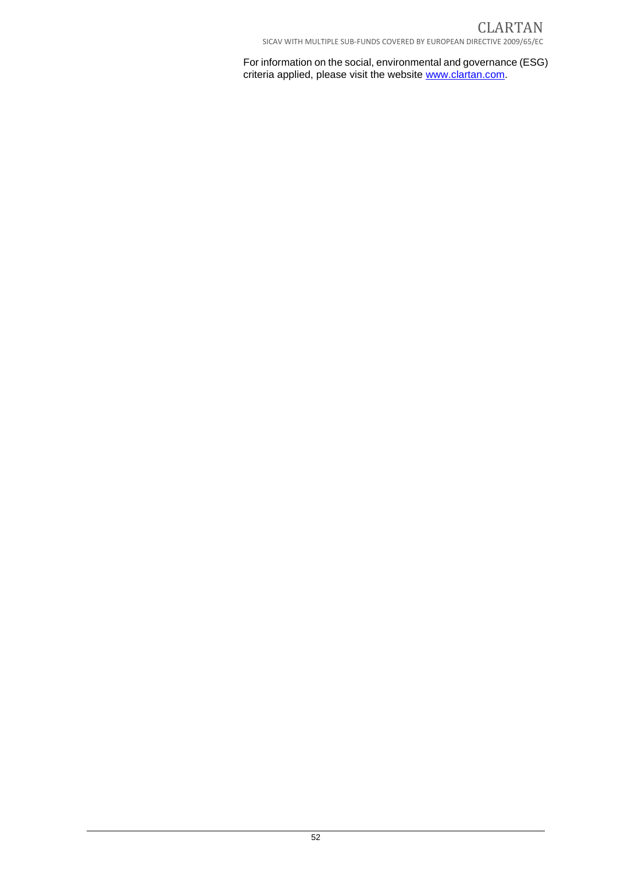For information on the social, environmental and governance (ESG) criteria applied, please visit the website www.clartan.com.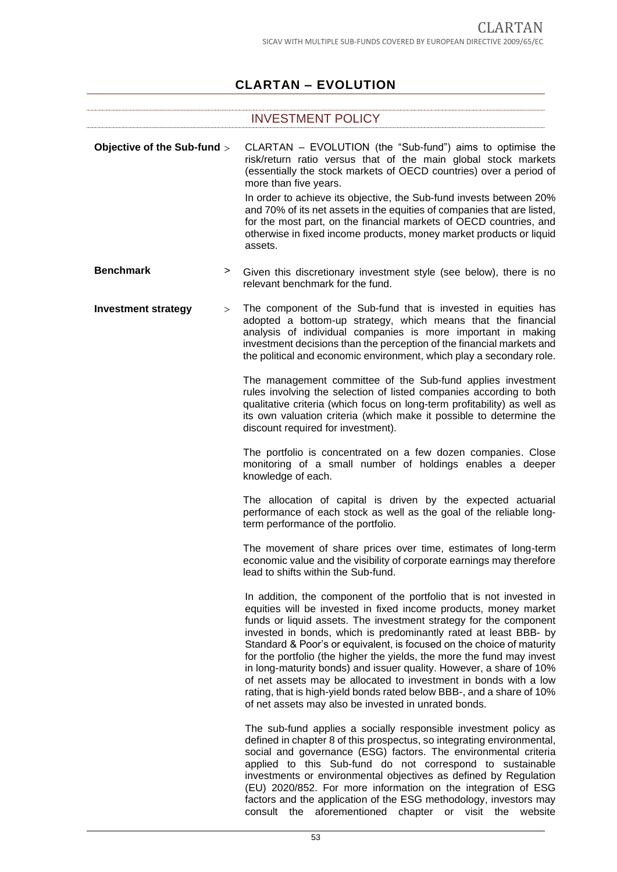# **CLARTAN – EVOLUTION**

|                             |   | <b>INVESTMENT POLICY</b>                                                                                                                                                                                                                                                                                                                                                                                                                                                                                                                                                                                                                                                                                        |
|-----------------------------|---|-----------------------------------------------------------------------------------------------------------------------------------------------------------------------------------------------------------------------------------------------------------------------------------------------------------------------------------------------------------------------------------------------------------------------------------------------------------------------------------------------------------------------------------------------------------------------------------------------------------------------------------------------------------------------------------------------------------------|
| Objective of the Sub-fund > |   | CLARTAN - EVOLUTION (the "Sub-fund") aims to optimise the<br>risk/return ratio versus that of the main global stock markets<br>(essentially the stock markets of OECD countries) over a period of<br>more than five years.<br>In order to achieve its objective, the Sub-fund invests between 20%<br>and 70% of its net assets in the equities of companies that are listed,<br>for the most part, on the financial markets of OECD countries, and<br>otherwise in fixed income products, money market products or liquid<br>assets.                                                                                                                                                                            |
| <b>Benchmark</b>            | > | Given this discretionary investment style (see below), there is no<br>relevant benchmark for the fund.                                                                                                                                                                                                                                                                                                                                                                                                                                                                                                                                                                                                          |
| <b>Investment strategy</b>  | > | The component of the Sub-fund that is invested in equities has<br>adopted a bottom-up strategy, which means that the financial<br>analysis of individual companies is more important in making<br>investment decisions than the perception of the financial markets and<br>the political and economic environment, which play a secondary role.                                                                                                                                                                                                                                                                                                                                                                 |
|                             |   | The management committee of the Sub-fund applies investment<br>rules involving the selection of listed companies according to both<br>qualitative criteria (which focus on long-term profitability) as well as<br>its own valuation criteria (which make it possible to determine the<br>discount required for investment).                                                                                                                                                                                                                                                                                                                                                                                     |
|                             |   | The portfolio is concentrated on a few dozen companies. Close<br>monitoring of a small number of holdings enables a deeper<br>knowledge of each.                                                                                                                                                                                                                                                                                                                                                                                                                                                                                                                                                                |
|                             |   | The allocation of capital is driven by the expected actuarial<br>performance of each stock as well as the goal of the reliable long-<br>term performance of the portfolio.                                                                                                                                                                                                                                                                                                                                                                                                                                                                                                                                      |
|                             |   | The movement of share prices over time, estimates of long-term<br>economic value and the visibility of corporate earnings may therefore<br>lead to shifts within the Sub-fund.                                                                                                                                                                                                                                                                                                                                                                                                                                                                                                                                  |
|                             |   | In addition, the component of the portfolio that is not invested in<br>equities will be invested in fixed income products, money market<br>funds or liquid assets. The investment strategy for the component<br>invested in bonds, which is predominantly rated at least BBB- by<br>Standard & Poor's or equivalent, is focused on the choice of maturity<br>for the portfolio (the higher the yields, the more the fund may invest<br>in long-maturity bonds) and issuer quality. However, a share of 10%<br>of net assets may be allocated to investment in bonds with a low<br>rating, that is high-yield bonds rated below BBB-, and a share of 10%<br>of net assets may also be invested in unrated bonds. |
|                             |   | The sub-fund applies a socially responsible investment policy as<br>defined in chapter 8 of this prospectus, so integrating environmental,<br>social and governance (ESG) factors. The environmental criteria<br>applied to this Sub-fund do not correspond to sustainable<br>investments or environmental objectives as defined by Regulation<br>(EU) 2020/852. For more information on the integration of ESG<br>factors and the application of the ESG methodology, investors may<br>consult the aforementioned chapter or visit the website                                                                                                                                                                 |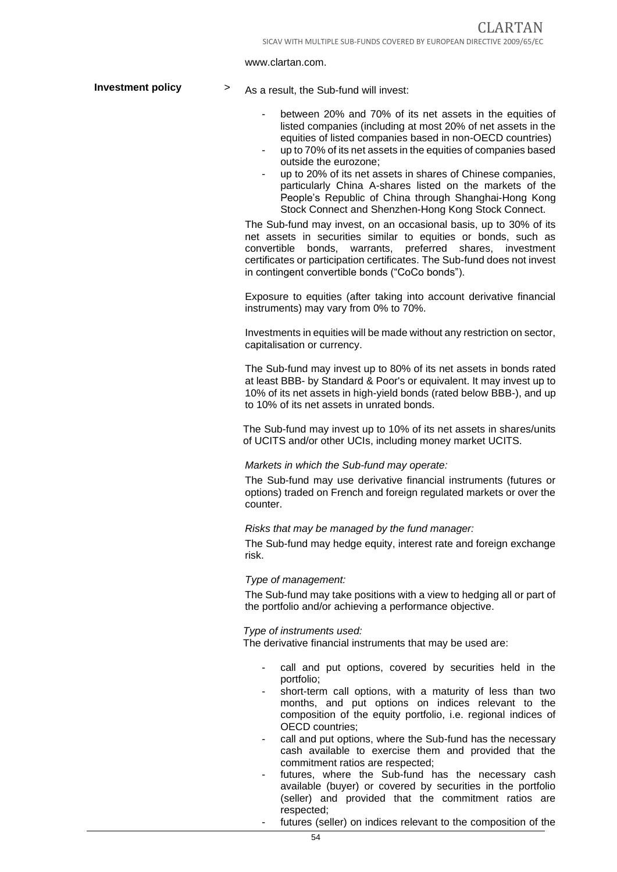#### www.clartan.com.

**Investment policy** > As a result, the Sub-fund will invest:

- between 20% and 70% of its net assets in the equities of listed companies (including at most 20% of net assets in the equities of listed companies based in non-OECD countries)
- up to 70% of its net assets in the equities of companies based outside the eurozone;
- up to 20% of its net assets in shares of Chinese companies, particularly China A-shares listed on the markets of the People's Republic of China through Shanghai-Hong Kong Stock Connect and Shenzhen-Hong Kong Stock Connect.

The Sub-fund may invest, on an occasional basis, up to 30% of its net assets in securities similar to equities or bonds, such as convertible bonds, warrants, preferred shares, investment certificates or participation certificates. The Sub-fund does not invest in contingent convertible bonds ("CoCo bonds").

Exposure to equities (after taking into account derivative financial instruments) may vary from 0% to 70%.

Investments in equities will be made without any restriction on sector, capitalisation or currency.

The Sub-fund may invest up to 80% of its net assets in bonds rated at least BBB- by Standard & Poor's or equivalent. It may invest up to 10% of its net assets in high-yield bonds (rated below BBB-), and up to 10% of its net assets in unrated bonds.

The Sub-fund may invest up to 10% of its net assets in shares/units of UCITS and/or other UCIs, including money market UCITS.

#### *Markets in which the Sub-fund may operate:*

The Sub-fund may use derivative financial instruments (futures or options) traded on French and foreign regulated markets or over the counter.

#### *Risks that may be managed by the fund manager:*

The Sub-fund may hedge equity, interest rate and foreign exchange risk.

#### *Type of management:*

The Sub-fund may take positions with a view to hedging all or part of the portfolio and/or achieving a performance objective.

#### *Type of instruments used:*

The derivative financial instruments that may be used are:

- call and put options, covered by securities held in the portfolio;
- short-term call options, with a maturity of less than two months, and put options on indices relevant to the composition of the equity portfolio, i.e. regional indices of OECD countries;
- call and put options, where the Sub-fund has the necessary cash available to exercise them and provided that the commitment ratios are respected;
- futures, where the Sub-fund has the necessary cash available (buyer) or covered by securities in the portfolio (seller) and provided that the commitment ratios are respected;
	- futures (seller) on indices relevant to the composition of the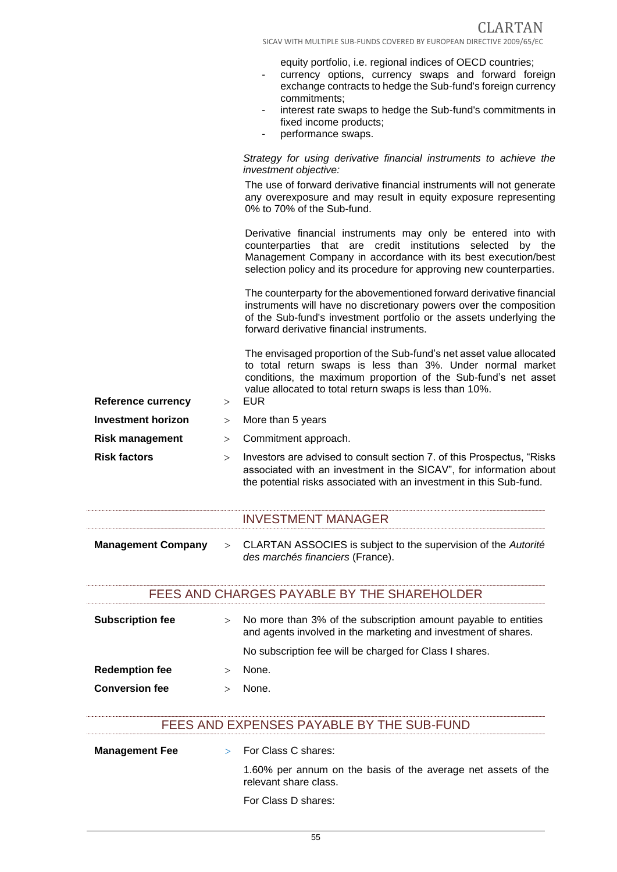equity portfolio, i.e. regional indices of OECD countries;

- currency options, currency swaps and forward foreign exchange contracts to hedge the Sub-fund's foreign currency commitments;
- interest rate swaps to hedge the Sub-fund's commitments in fixed income products;
- performance swaps.

#### *Strategy for using derivative financial instruments to achieve the investment objective:*

The use of forward derivative financial instruments will not generate any overexposure and may result in equity exposure representing 0% to 70% of the Sub-fund.

Derivative financial instruments may only be entered into with counterparties that are credit institutions selected by the Management Company in accordance with its best execution/best selection policy and its procedure for approving new counterparties.

The counterparty for the abovementioned forward derivative financial instruments will have no discretionary powers over the composition of the Sub-fund's investment portfolio or the assets underlying the forward derivative financial instruments.

The envisaged proportion of the Sub-fund's net asset value allocated to total return swaps is less than 3%. Under normal market conditions, the maximum proportion of the Sub-fund's net asset value allocated to total return swaps is less than 10%.

**Reference currency**  $\longrightarrow$ **Investment horizon** > More than 5 years **Risk management** > Commitment approach. **Risk factors Investors are advised to consult section 7. of this Prospectus, "Risks** associated with an investment in the SICAV", for information about the potential risks associated with an investment in this Sub-fund.

### INVESTMENT MANAGER

**Management Company** CLARTAN ASSOCIES is subject to the supervision of the *Autorité des marchés financiers* (France).

### FEES AND CHARGES PAYABLE BY THE SHAREHOLDER

| <b>Subscription fee</b> | $\geq$ | No more than 3% of the subscription amount payable to entities<br>and agents involved in the marketing and investment of shares.<br>No subscription fee will be charged for Class I shares. |
|-------------------------|--------|---------------------------------------------------------------------------------------------------------------------------------------------------------------------------------------------|
| <b>Redemption fee</b>   |        | None.                                                                                                                                                                                       |
| <b>Conversion fee</b>   |        | None.                                                                                                                                                                                       |

### FEES AND EXPENSES PAYABLE BY THE SUB-FUND

| <b>Management Fee</b> | $>$ For Class C shares:                                                                |
|-----------------------|----------------------------------------------------------------------------------------|
|                       | 1.60% per annum on the basis of the average net assets of the<br>relevant share class. |
|                       | For Class D shares:                                                                    |

55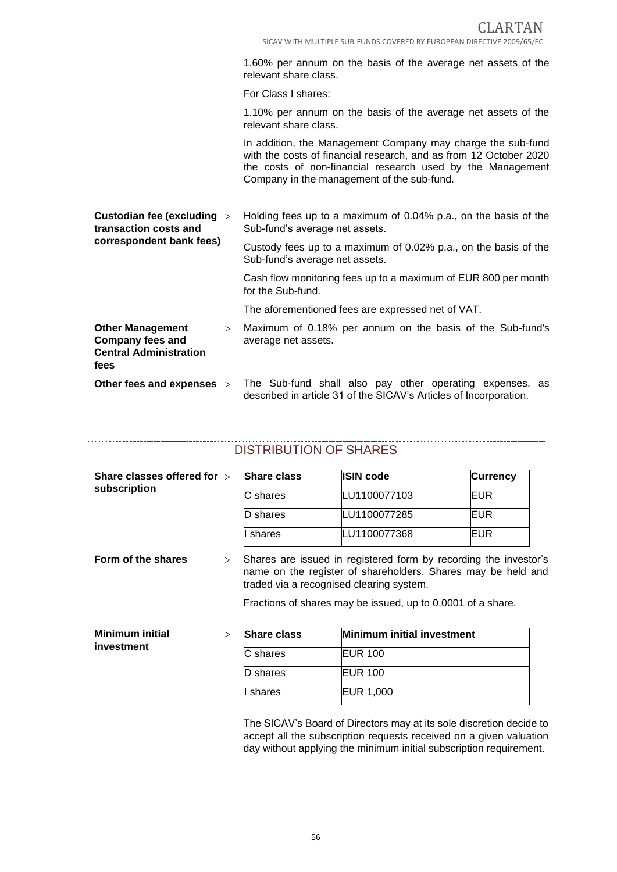1.60% per annum on the basis of the average net assets of the relevant share class.

For Class I shares:

1.10% per annum on the basis of the average net assets of the relevant share class.

In addition, the Management Company may charge the sub-fund with the costs of financial research, and as from 12 October 2020 the costs of non-financial research used by the Management Company in the management of the sub-fund.

| Custodian fee (excluding $>$<br>transaction costs and                                          | Holding fees up to a maximum of 0.04% p.a., on the basis of the<br>Sub-fund's average net assets.                             |
|------------------------------------------------------------------------------------------------|-------------------------------------------------------------------------------------------------------------------------------|
| correspondent bank fees)                                                                       | Custody fees up to a maximum of 0.02% p.a., on the basis of the<br>Sub-fund's average net assets.                             |
|                                                                                                | Cash flow monitoring fees up to a maximum of EUR 800 per month<br>for the Sub-fund.                                           |
|                                                                                                | The aforementioned fees are expressed net of VAT.                                                                             |
| <b>Other Management</b><br>$\geq$<br>Company fees and<br><b>Central Administration</b><br>fees | Maximum of 0.18% per annum on the basis of the Sub-fund's<br>average net assets.                                              |
| Other fees and expenses >                                                                      | The Sub-fund shall also pay other operating expenses, as<br>described in article 31 of the SICAV's Articles of Incorporation. |

| Share classes offered for $\rightarrow$<br>subscription |        | <b>Share class</b> | <b>ISIN code</b>                                                                                                                                                             | <b>Currency</b> |
|---------------------------------------------------------|--------|--------------------|------------------------------------------------------------------------------------------------------------------------------------------------------------------------------|-----------------|
|                                                         |        | C shares           | LU1100077103                                                                                                                                                                 | EUR             |
|                                                         |        | D shares           | LU1100077285                                                                                                                                                                 | <b>EUR</b>      |
|                                                         |        | shares             | LU1100077368                                                                                                                                                                 | EUR             |
| Form of the shares                                      | $\geq$ |                    | Shares are issued in registered form by recording the investor's<br>name on the register of shareholders. Shares may be held and<br>traded via a recognised clearing system. |                 |
|                                                         | $\geq$ | <b>Share class</b> | Fractions of shares may be issued, up to 0.0001 of a share.<br>Minimum initial investment                                                                                    |                 |
|                                                         |        | C shares           | <b>EUR 100</b>                                                                                                                                                               |                 |
| <b>Minimum initial</b><br>investment                    |        | D shares           | <b>EUR 100</b>                                                                                                                                                               |                 |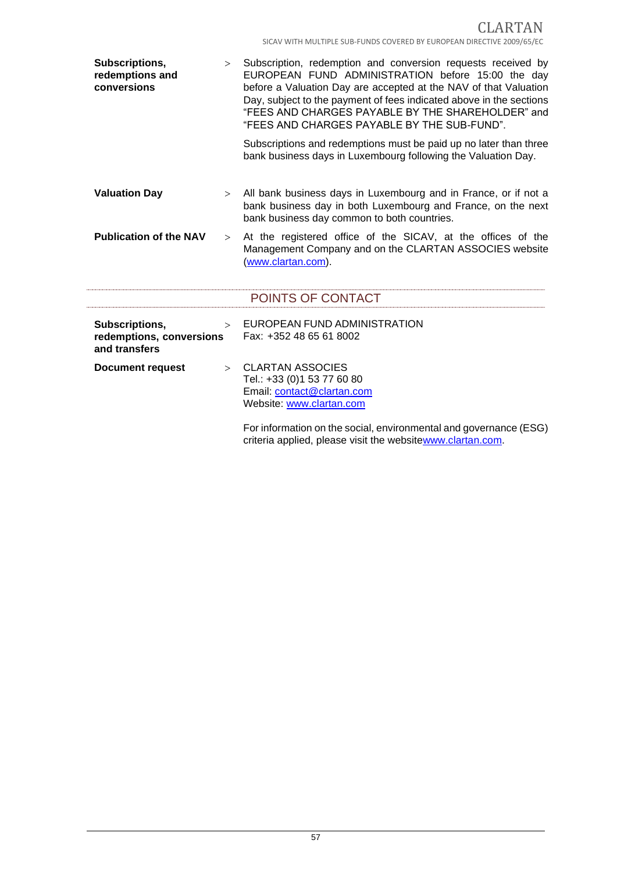| Subscriptions,<br>redemptions and<br>conversions            | >      | Subscription, redemption and conversion requests received by<br>EUROPEAN FUND ADMINISTRATION before 15:00 the day<br>before a Valuation Day are accepted at the NAV of that Valuation<br>Day, subject to the payment of fees indicated above in the sections<br>"FEES AND CHARGES PAYABLE BY THE SHAREHOLDER" and<br>"FEES AND CHARGES PAYABLE BY THE SUB-FUND".<br>Subscriptions and redemptions must be paid up no later than three<br>bank business days in Luxembourg following the Valuation Day. |
|-------------------------------------------------------------|--------|--------------------------------------------------------------------------------------------------------------------------------------------------------------------------------------------------------------------------------------------------------------------------------------------------------------------------------------------------------------------------------------------------------------------------------------------------------------------------------------------------------|
| <b>Valuation Day</b>                                        |        | > All bank business days in Luxembourg and in France, or if not a<br>bank business day in both Luxembourg and France, on the next<br>bank business day common to both countries.                                                                                                                                                                                                                                                                                                                       |
| <b>Publication of the NAV</b>                               | >      | At the registered office of the SICAV, at the offices of the<br>Management Company and on the CLARTAN ASSOCIES website<br>(www.clartan.com).                                                                                                                                                                                                                                                                                                                                                           |
|                                                             |        | POINTS OF CONTACT                                                                                                                                                                                                                                                                                                                                                                                                                                                                                      |
| Subscriptions,<br>redemptions, conversions<br>and transfers | $\geq$ | EUROPEAN FUND ADMINISTRATION<br>Fax: +352 48 65 61 8002                                                                                                                                                                                                                                                                                                                                                                                                                                                |
| <b>Document request</b>                                     | $\geq$ | <b>CLARTAN ASSOCIES</b><br>Tel.: +33 (0)1 53 77 60 80<br>Email: contact@clartan.com<br>Website: www.clartan.com<br>For information on the social, environmental and governance (ESG)<br>criteria applied, please visit the websitewww.clartan.com.                                                                                                                                                                                                                                                     |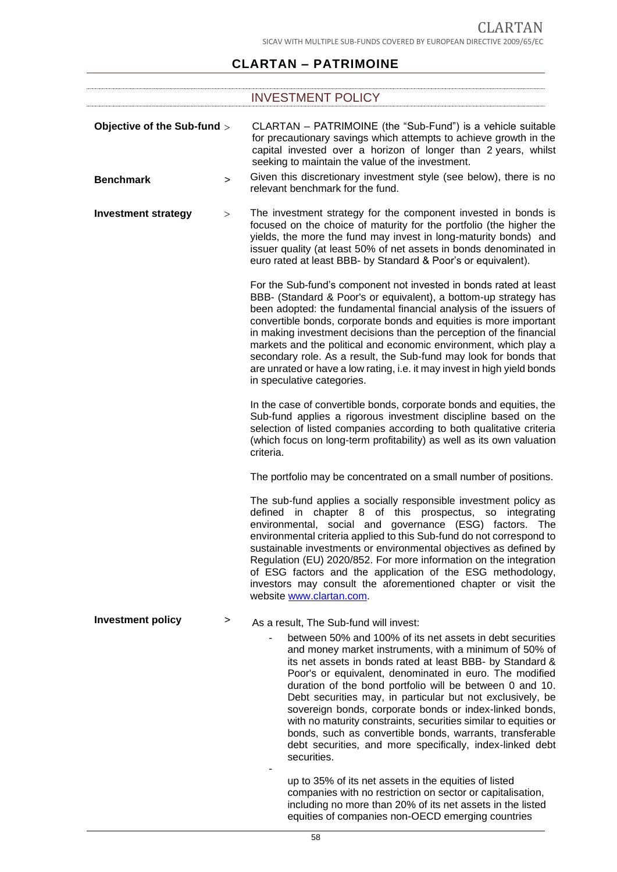# **CLARTAN – PATRIMOINE**

|                             |        | <b>INVESTMENT POLICY</b>                                                                                                                                                                                                                                                                                                                                                                                                                                                                                                                                                                                                                    |
|-----------------------------|--------|---------------------------------------------------------------------------------------------------------------------------------------------------------------------------------------------------------------------------------------------------------------------------------------------------------------------------------------------------------------------------------------------------------------------------------------------------------------------------------------------------------------------------------------------------------------------------------------------------------------------------------------------|
| Objective of the Sub-fund > |        | CLARTAN - PATRIMOINE (the "Sub-Fund") is a vehicle suitable<br>for precautionary savings which attempts to achieve growth in the<br>capital invested over a horizon of longer than 2 years, whilst<br>seeking to maintain the value of the investment.                                                                                                                                                                                                                                                                                                                                                                                      |
| <b>Benchmark</b>            | $\geq$ | Given this discretionary investment style (see below), there is no<br>relevant benchmark for the fund.                                                                                                                                                                                                                                                                                                                                                                                                                                                                                                                                      |
| <b>Investment strategy</b>  | >      | The investment strategy for the component invested in bonds is<br>focused on the choice of maturity for the portfolio (the higher the<br>yields, the more the fund may invest in long-maturity bonds) and<br>issuer quality (at least 50% of net assets in bonds denominated in<br>euro rated at least BBB- by Standard & Poor's or equivalent).                                                                                                                                                                                                                                                                                            |
|                             |        | For the Sub-fund's component not invested in bonds rated at least<br>BBB- (Standard & Poor's or equivalent), a bottom-up strategy has<br>been adopted: the fundamental financial analysis of the issuers of<br>convertible bonds, corporate bonds and equities is more important<br>in making investment decisions than the perception of the financial<br>markets and the political and economic environment, which play a<br>secondary role. As a result, the Sub-fund may look for bonds that<br>are unrated or have a low rating, i.e. it may invest in high yield bonds<br>in speculative categories.                                  |
|                             |        | In the case of convertible bonds, corporate bonds and equities, the<br>Sub-fund applies a rigorous investment discipline based on the<br>selection of listed companies according to both qualitative criteria<br>(which focus on long-term profitability) as well as its own valuation<br>criteria.                                                                                                                                                                                                                                                                                                                                         |
|                             |        | The portfolio may be concentrated on a small number of positions.                                                                                                                                                                                                                                                                                                                                                                                                                                                                                                                                                                           |
|                             |        | The sub-fund applies a socially responsible investment policy as<br>chapter 8 of this prospectus, so integrating<br>defined<br>in<br>environmental, social and governance (ESG) factors. The<br>environmental criteria applied to this Sub-fund do not correspond to<br>sustainable investments or environmental objectives as defined by<br>Regulation (EU) 2020/852. For more information on the integration<br>of ESG factors and the application of the ESG methodology,<br>investors may consult the aforementioned chapter or visit the<br>website www.clartan.com.                                                                   |
| <b>Investment policy</b>    | >      | As a result, The Sub-fund will invest:                                                                                                                                                                                                                                                                                                                                                                                                                                                                                                                                                                                                      |
|                             |        | between 50% and 100% of its net assets in debt securities<br>and money market instruments, with a minimum of 50% of<br>its net assets in bonds rated at least BBB- by Standard &<br>Poor's or equivalent, denominated in euro. The modified<br>duration of the bond portfolio will be between 0 and 10.<br>Debt securities may, in particular but not exclusively, be<br>sovereign bonds, corporate bonds or index-linked bonds,<br>with no maturity constraints, securities similar to equities or<br>bonds, such as convertible bonds, warrants, transferable<br>debt securities, and more specifically, index-linked debt<br>securities. |

up to 35% of its net assets in the equities of listed companies with no restriction on sector or capitalisation, including no more than 20% of its net assets in the listed equities of companies non-OECD emerging countries

-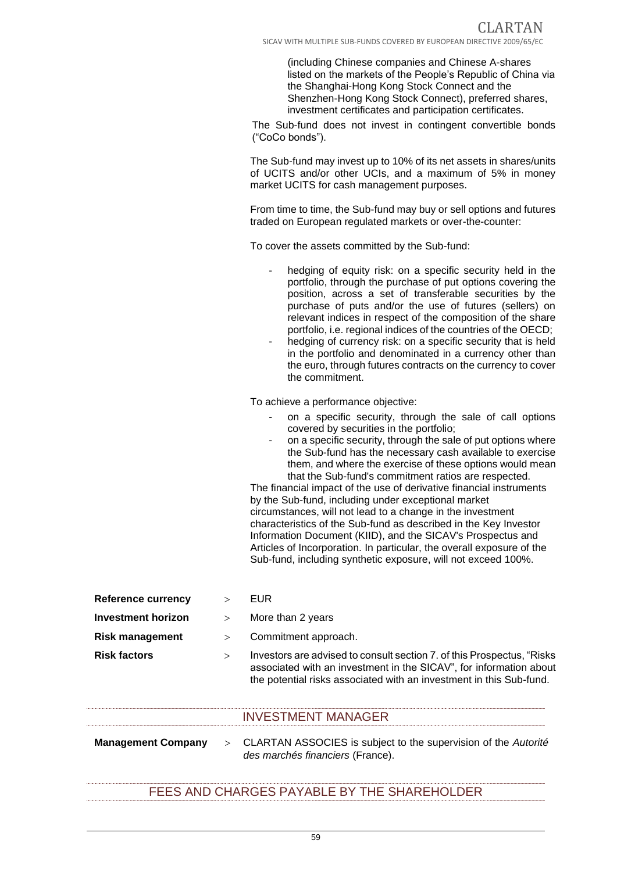(including Chinese companies and Chinese A-shares listed on the markets of the People's Republic of China via the Shanghai-Hong Kong Stock Connect and the Shenzhen-Hong Kong Stock Connect), preferred shares, investment certificates and participation certificates.

The Sub-fund does not invest in contingent convertible bonds ("CoCo bonds").

The Sub-fund may invest up to 10% of its net assets in shares/units of UCITS and/or other UCIs, and a maximum of 5% in money market UCITS for cash management purposes.

From time to time, the Sub-fund may buy or sell options and futures traded on European regulated markets or over-the-counter:

To cover the assets committed by the Sub-fund:

- hedging of equity risk: on a specific security held in the portfolio, through the purchase of put options covering the position, across a set of transferable securities by the purchase of puts and/or the use of futures (sellers) on relevant indices in respect of the composition of the share portfolio, i.e. regional indices of the countries of the OECD;
- hedging of currency risk: on a specific security that is held in the portfolio and denominated in a currency other than the euro, through futures contracts on the currency to cover the commitment.

To achieve a performance objective:

- on a specific security, through the sale of call options covered by securities in the portfolio;
- on a specific security, through the sale of put options where the Sub-fund has the necessary cash available to exercise them, and where the exercise of these options would mean that the Sub-fund's commitment ratios are respected.

The financial impact of the use of derivative financial instruments by the Sub-fund, including under exceptional market circumstances, will not lead to a change in the investment characteristics of the Sub-fund as described in the Key Investor Information Document (KIID), and the SICAV's Prospectus and Articles of Incorporation. In particular, the overall exposure of the Sub-fund, including synthetic exposure, will not exceed 100%.

| <b>Reference currency</b> | $\mathbf{L}$ | EUR.                                                                                                                                                                                                                 |
|---------------------------|--------------|----------------------------------------------------------------------------------------------------------------------------------------------------------------------------------------------------------------------|
| <b>Investment horizon</b> | $\geq$       | More than 2 years                                                                                                                                                                                                    |
| <b>Risk management</b>    | $\geq$       | Commitment approach.                                                                                                                                                                                                 |
| <b>Risk factors</b>       | $\geq$       | Investors are advised to consult section 7. of this Prospectus, "Risks"<br>associated with an investment in the SICAV", for information about<br>the potential risks associated with an investment in this Sub-fund. |

### INVESTMENT MANAGER

**Management Company** CLARTAN ASSOCIES is subject to the supervision of the *Autorité des marchés financiers* (France).

# FEES AND CHARGES PAYABLE BY THE SHAREHOLDER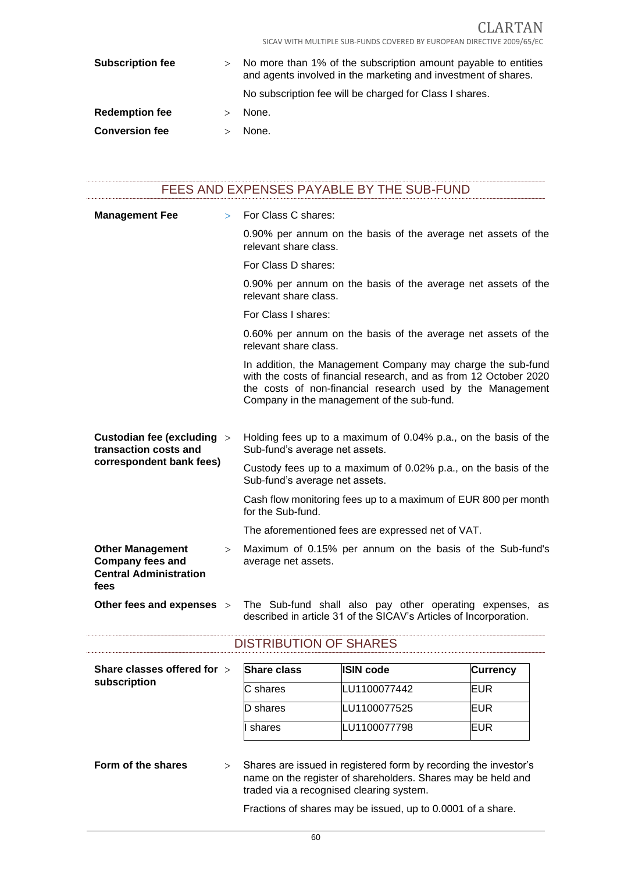CLARTAN SICAV WITH MULTIPLE SUB-FUNDS COVERED BY EUROPEAN DIRECTIVE 2009/65/EC

| <b>Subscription fee</b> | $\geq$ | No more than 1% of the subscription amount payable to entities<br>and agents involved in the marketing and investment of shares.<br>No subscription fee will be charged for Class I shares. |
|-------------------------|--------|---------------------------------------------------------------------------------------------------------------------------------------------------------------------------------------------|
| <b>Redemption fee</b>   |        | None.                                                                                                                                                                                       |
| <b>Conversion fee</b>   |        | None.                                                                                                                                                                                       |

| FEES AND EXPENSES PAYABLE BY THE SUB-FUND |  |
|-------------------------------------------|--|
|-------------------------------------------|--|

| <b>Management Fee</b>                                                                       | $\geq$ | For Class C shares:                                                                                                                                                                                                                          |
|---------------------------------------------------------------------------------------------|--------|----------------------------------------------------------------------------------------------------------------------------------------------------------------------------------------------------------------------------------------------|
|                                                                                             |        | 0.90% per annum on the basis of the average net assets of the<br>relevant share class.                                                                                                                                                       |
|                                                                                             |        | For Class D shares:                                                                                                                                                                                                                          |
|                                                                                             |        | 0.90% per annum on the basis of the average net assets of the<br>relevant share class.                                                                                                                                                       |
|                                                                                             |        | For Class I shares:                                                                                                                                                                                                                          |
|                                                                                             |        | 0.60% per annum on the basis of the average net assets of the<br>relevant share class.                                                                                                                                                       |
|                                                                                             |        | In addition, the Management Company may charge the sub-fund<br>with the costs of financial research, and as from 12 October 2020<br>the costs of non-financial research used by the Management<br>Company in the management of the sub-fund. |
| Custodian fee (excluding ><br>transaction costs and<br>correspondent bank fees)             |        | Holding fees up to a maximum of 0.04% p.a., on the basis of the<br>Sub-fund's average net assets.                                                                                                                                            |
|                                                                                             |        | Custody fees up to a maximum of 0.02% p.a., on the basis of the<br>Sub-fund's average net assets.                                                                                                                                            |
|                                                                                             |        | Cash flow monitoring fees up to a maximum of EUR 800 per month<br>for the Sub-fund.                                                                                                                                                          |
|                                                                                             |        | The aforementioned fees are expressed net of VAT.                                                                                                                                                                                            |
| <b>Other Management</b><br><b>Company fees and</b><br><b>Central Administration</b><br>fees | >      | Maximum of 0.15% per annum on the basis of the Sub-fund's<br>average net assets.                                                                                                                                                             |
| Other fees and expenses >                                                                   |        | The Sub-fund shall also pay other operating expenses, as<br>described in article 31 of the SICAV's Articles of Incorporation.                                                                                                                |

| Share classes offered for >  | <b>Share class</b> | <b>ISIN code</b>                                                                                                                                                             | <b>Currency</b> |
|------------------------------|--------------------|------------------------------------------------------------------------------------------------------------------------------------------------------------------------------|-----------------|
| subscription                 | C shares           | LU1100077442                                                                                                                                                                 | <b>EUR</b>      |
|                              | D shares           | LU1100077525                                                                                                                                                                 | <b>EUR</b>      |
|                              | shares             | LU1100077798                                                                                                                                                                 | <b>EUR</b>      |
|                              |                    |                                                                                                                                                                              |                 |
| Form of the shares<br>$\geq$ |                    | Shares are issued in registered form by recording the investor's<br>name on the register of shareholders. Shares may be held and<br>traded via a recognised clearing system. |                 |

Fractions of shares may be issued, up to 0.0001 of a share.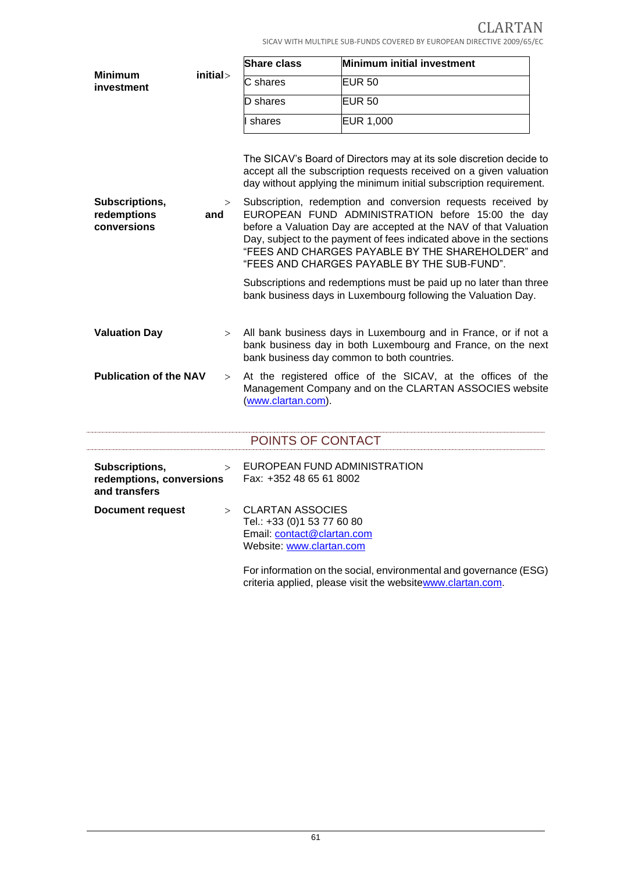CLARTAN SICAV WITH MULTIPLE SUB-FUNDS COVERED BY EUROPEAN DIRECTIVE 2009/65/EC

|                                              |                                    | <b>Share class</b>                                                                                              | Minimum initial investment                                                                                                                                                                                                                                                                                                                                                                                                                                                                                                                                                                                                                               |
|----------------------------------------------|------------------------------------|-----------------------------------------------------------------------------------------------------------------|----------------------------------------------------------------------------------------------------------------------------------------------------------------------------------------------------------------------------------------------------------------------------------------------------------------------------------------------------------------------------------------------------------------------------------------------------------------------------------------------------------------------------------------------------------------------------------------------------------------------------------------------------------|
| <b>Minimum</b><br>investment                 | initial>                           | C shares                                                                                                        | EUR <sub>50</sub>                                                                                                                                                                                                                                                                                                                                                                                                                                                                                                                                                                                                                                        |
|                                              |                                    | D shares                                                                                                        | EUR <sub>50</sub>                                                                                                                                                                                                                                                                                                                                                                                                                                                                                                                                                                                                                                        |
|                                              |                                    | shares                                                                                                          | <b>EUR 1,000</b>                                                                                                                                                                                                                                                                                                                                                                                                                                                                                                                                                                                                                                         |
| Subscriptions,<br>redemptions<br>conversions | ><br>and                           |                                                                                                                 | The SICAV's Board of Directors may at its sole discretion decide to<br>accept all the subscription requests received on a given valuation<br>day without applying the minimum initial subscription requirement.<br>Subscription, redemption and conversion requests received by<br>EUROPEAN FUND ADMINISTRATION before 15:00 the day<br>before a Valuation Day are accepted at the NAV of that Valuation<br>Day, subject to the payment of fees indicated above in the sections<br>"FEES AND CHARGES PAYABLE BY THE SHAREHOLDER" and<br>"FEES AND CHARGES PAYABLE BY THE SUB-FUND".<br>Subscriptions and redemptions must be paid up no later than three |
| <b>Valuation Day</b>                         | $\geq$                             |                                                                                                                 | bank business days in Luxembourg following the Valuation Day.<br>All bank business days in Luxembourg and in France, or if not a<br>bank business day in both Luxembourg and France, on the next<br>bank business day common to both countries.                                                                                                                                                                                                                                                                                                                                                                                                          |
| <b>Publication of the NAV</b>                | >                                  | (www.clartan.com).                                                                                              | At the registered office of the SICAV, at the offices of the<br>Management Company and on the CLARTAN ASSOCIES website                                                                                                                                                                                                                                                                                                                                                                                                                                                                                                                                   |
|                                              |                                    | POINTS OF CONTACT                                                                                               |                                                                                                                                                                                                                                                                                                                                                                                                                                                                                                                                                                                                                                                          |
| Subscriptions,<br>and transfers              | $\geq$<br>redemptions, conversions |                                                                                                                 | EUROPEAN FUND ADMINISTRATION<br>Fax: +352 48 65 61 8002                                                                                                                                                                                                                                                                                                                                                                                                                                                                                                                                                                                                  |
| <b>Document request</b>                      | $\geq$                             | <b>CLARTAN ASSOCIES</b><br>Tel.: +33 (0)1 53 77 60 80<br>Email: contact@clartan.com<br>Website: www.clartan.com | For information on the social, environmental and governance (ESG)                                                                                                                                                                                                                                                                                                                                                                                                                                                                                                                                                                                        |

criteria applied, please visit the websitewww.clartan.com.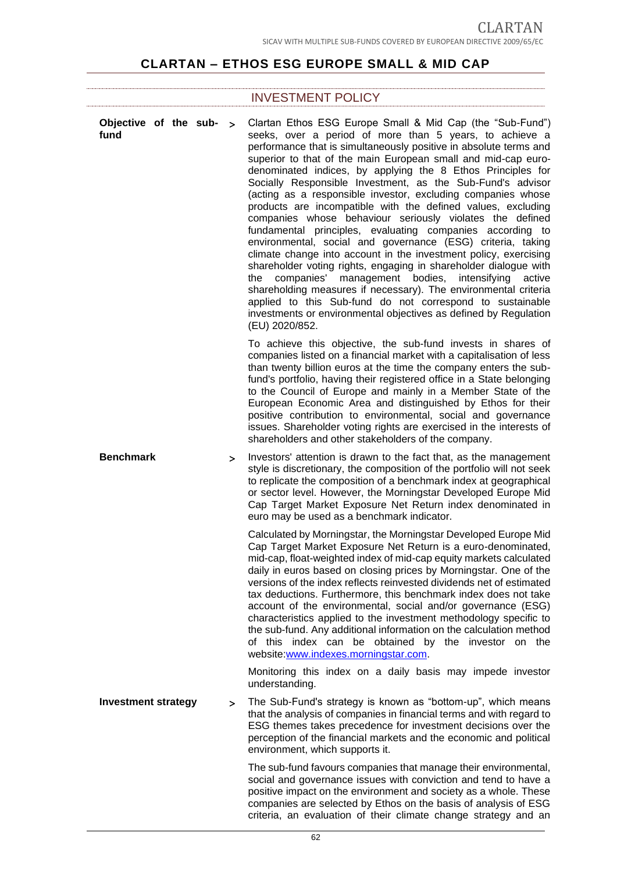# **CLARTAN – ETHOS ESG EUROPE SMALL & MID CAP**

## INVESTMENT POLICY

| Objective of the sub- $>$<br>fund |   | Clartan Ethos ESG Europe Small & Mid Cap (the "Sub-Fund")<br>seeks, over a period of more than 5 years, to achieve a<br>performance that is simultaneously positive in absolute terms and<br>superior to that of the main European small and mid-cap euro-<br>denominated indices, by applying the 8 Ethos Principles for<br>Socially Responsible Investment, as the Sub-Fund's advisor<br>(acting as a responsible investor, excluding companies whose<br>products are incompatible with the defined values, excluding<br>companies whose behaviour seriously violates the defined<br>fundamental principles, evaluating companies according to<br>environmental, social and governance (ESG) criteria, taking<br>climate change into account in the investment policy, exercising<br>shareholder voting rights, engaging in shareholder dialogue with<br>companies'<br>management bodies, intensifying<br>the<br>active<br>shareholding measures if necessary). The environmental criteria<br>applied to this Sub-fund do not correspond to sustainable<br>investments or environmental objectives as defined by Regulation<br>(EU) 2020/852. |
|-----------------------------------|---|-------------------------------------------------------------------------------------------------------------------------------------------------------------------------------------------------------------------------------------------------------------------------------------------------------------------------------------------------------------------------------------------------------------------------------------------------------------------------------------------------------------------------------------------------------------------------------------------------------------------------------------------------------------------------------------------------------------------------------------------------------------------------------------------------------------------------------------------------------------------------------------------------------------------------------------------------------------------------------------------------------------------------------------------------------------------------------------------------------------------------------------------------|
|                                   |   | To achieve this objective, the sub-fund invests in shares of<br>companies listed on a financial market with a capitalisation of less<br>than twenty billion euros at the time the company enters the sub-<br>fund's portfolio, having their registered office in a State belonging<br>to the Council of Europe and mainly in a Member State of the<br>European Economic Area and distinguished by Ethos for their<br>positive contribution to environmental, social and governance<br>issues. Shareholder voting rights are exercised in the interests of<br>shareholders and other stakeholders of the company.                                                                                                                                                                                                                                                                                                                                                                                                                                                                                                                                |
| <b>Benchmark</b>                  | > | Investors' attention is drawn to the fact that, as the management<br>style is discretionary, the composition of the portfolio will not seek<br>to replicate the composition of a benchmark index at geographical<br>or sector level. However, the Morningstar Developed Europe Mid<br>Cap Target Market Exposure Net Return index denominated in<br>euro may be used as a benchmark indicator.                                                                                                                                                                                                                                                                                                                                                                                                                                                                                                                                                                                                                                                                                                                                                  |
|                                   |   | Calculated by Morningstar, the Morningstar Developed Europe Mid<br>Cap Target Market Exposure Net Return is a euro-denominated,<br>mid-cap, float-weighted index of mid-cap equity markets calculated<br>daily in euros based on closing prices by Morningstar. One of the<br>versions of the index reflects reinvested dividends net of estimated<br>tax deductions. Furthermore, this benchmark index does not take<br>account of the environmental, social and/or governance (ESG)<br>characteristics applied to the investment methodology specific to<br>the sub-fund. Any additional information on the calculation method<br>of this index can be obtained by the investor on the<br>website www.indexes.morningstar.com.                                                                                                                                                                                                                                                                                                                                                                                                                |
|                                   |   | Monitoring this index on a daily basis may impede investor<br>understanding.                                                                                                                                                                                                                                                                                                                                                                                                                                                                                                                                                                                                                                                                                                                                                                                                                                                                                                                                                                                                                                                                    |
| <b>Investment strategy</b>        | > | The Sub-Fund's strategy is known as "bottom-up", which means<br>that the analysis of companies in financial terms and with regard to<br>ESG themes takes precedence for investment decisions over the<br>perception of the financial markets and the economic and political<br>environment, which supports it.                                                                                                                                                                                                                                                                                                                                                                                                                                                                                                                                                                                                                                                                                                                                                                                                                                  |
|                                   |   | The sub-fund favours companies that manage their environmental,<br>social and governance issues with conviction and tend to have a<br>positive impact on the environment and society as a whole. These<br>companies are selected by Ethos on the basis of analysis of ESG                                                                                                                                                                                                                                                                                                                                                                                                                                                                                                                                                                                                                                                                                                                                                                                                                                                                       |

criteria, an evaluation of their climate change strategy and an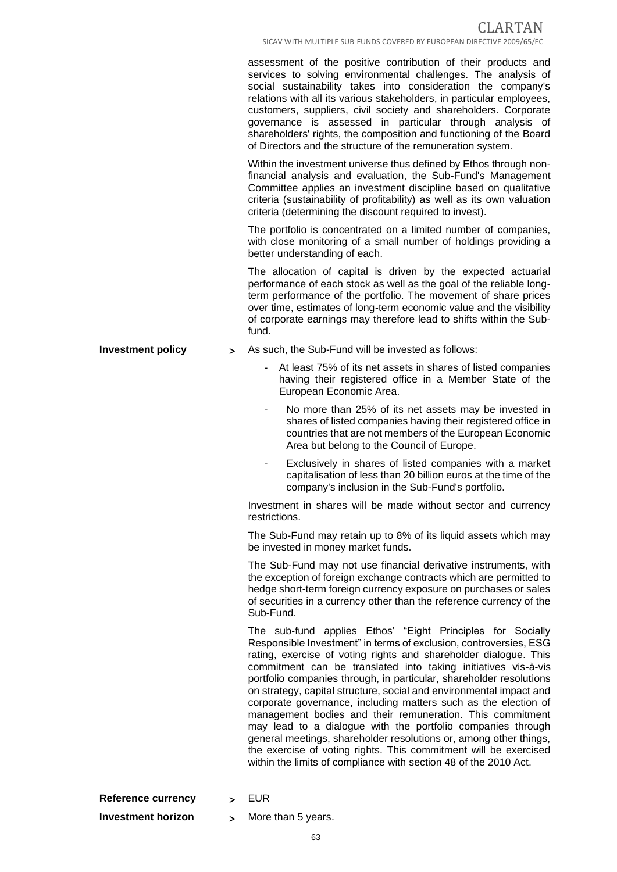assessment of the positive contribution of their products and services to solving environmental challenges. The analysis of social sustainability takes into consideration the company's relations with all its various stakeholders, in particular employees, customers, suppliers, civil society and shareholders. Corporate governance is assessed in particular through analysis of shareholders' rights, the composition and functioning of the Board of Directors and the structure of the remuneration system.

Within the investment universe thus defined by Ethos through nonfinancial analysis and evaluation, the Sub-Fund's Management Committee applies an investment discipline based on qualitative criteria (sustainability of profitability) as well as its own valuation criteria (determining the discount required to invest).

The portfolio is concentrated on a limited number of companies, with close monitoring of a small number of holdings providing a better understanding of each.

The allocation of capital is driven by the expected actuarial performance of each stock as well as the goal of the reliable longterm performance of the portfolio. The movement of share prices over time, estimates of long-term economic value and the visibility of corporate earnings may therefore lead to shifts within the Subfund.

- **Investment policy**  $\rightarrow$  As such, the Sub-Fund will be invested as follows:
	- At least 75% of its net assets in shares of listed companies having their registered office in a Member State of the European Economic Area.
	- No more than 25% of its net assets may be invested in shares of listed companies having their registered office in countries that are not members of the European Economic Area but belong to the Council of Europe.
	- Exclusively in shares of listed companies with a market capitalisation of less than 20 billion euros at the time of the company's inclusion in the Sub-Fund's portfolio.

Investment in shares will be made without sector and currency restrictions.

The Sub-Fund may retain up to 8% of its liquid assets which may be invested in money market funds.

The Sub-Fund may not use financial derivative instruments, with the exception of foreign exchange contracts which are permitted to hedge short-term foreign currency exposure on purchases or sales of securities in a currency other than the reference currency of the Sub-Fund.

The sub-fund applies Ethos' "Eight Principles for Socially Responsible Investment" in terms of exclusion, controversies, ESG rating, exercise of voting rights and shareholder dialogue. This commitment can be translated into taking initiatives vis-à-vis portfolio companies through, in particular, shareholder resolutions on strategy, capital structure, social and environmental impact and corporate governance, including matters such as the election of management bodies and their remuneration. This commitment may lead to a dialogue with the portfolio companies through general meetings, shareholder resolutions or, among other things, the exercise of voting rights. This commitment will be exercised within the limits of compliance with section 48 of the 2010 Act.

**Reference currency**  $\rightarrow$  EUR

**Investment horizon** > More than 5 years.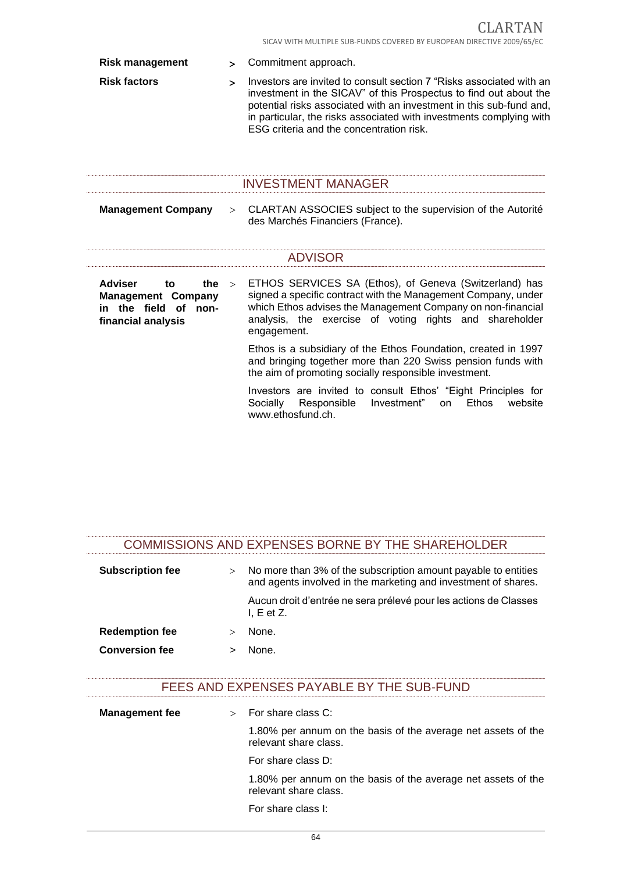| <b>Risk management</b> |                                                                                                           | $\geq$       | Commitment approach.                                                                                                                                                                                                                                                                                                                |
|------------------------|-----------------------------------------------------------------------------------------------------------|--------------|-------------------------------------------------------------------------------------------------------------------------------------------------------------------------------------------------------------------------------------------------------------------------------------------------------------------------------------|
|                        | <b>Risk factors</b>                                                                                       | $\mathbf{v}$ | Investors are invited to consult section 7 "Risks associated with an<br>investment in the SICAV" of this Prospectus to find out about the<br>potential risks associated with an investment in this sub-fund and,<br>in particular, the risks associated with investments complying with<br>ESG criteria and the concentration risk. |
|                        |                                                                                                           |              | <b>INVESTMENT MANAGER</b>                                                                                                                                                                                                                                                                                                           |
|                        | <b>Management Company</b>                                                                                 | $\geq$       | CLARTAN ASSOCIES subject to the supervision of the Autorité<br>des Marchés Financiers (France).                                                                                                                                                                                                                                     |
|                        |                                                                                                           |              | <b>ADVISOR</b>                                                                                                                                                                                                                                                                                                                      |
|                        | <b>Adviser</b><br>the<br>to<br><b>Management Company</b><br>in the field of<br>non-<br>financial analysis | $\geq$       | ETHOS SERVICES SA (Ethos), of Geneva (Switzerland) has<br>signed a specific contract with the Management Company, under<br>which Ethos advises the Management Company on non-financial<br>analysis, the exercise of voting rights and shareholder<br>engagement.                                                                    |
|                        |                                                                                                           |              | Ethos is a subsidiary of the Ethos Foundation, created in 1997<br>and bringing together more than 220 Swiss pension funds with<br>the aim of promoting socially responsible investment.                                                                                                                                             |
|                        |                                                                                                           |              | Investors are invited to consult Ethos' "Eight Principles for<br>Investment"<br><b>Ethos</b><br>Socially<br>Responsible<br>website<br>on.                                                                                                                                                                                           |

|                         |        | COMMISSIONS AND EXPENSES BORNE BY THE SHAREHOLDER                                                                                |
|-------------------------|--------|----------------------------------------------------------------------------------------------------------------------------------|
| <b>Subscription fee</b> | $\geq$ | No more than 3% of the subscription amount payable to entities<br>and agents involved in the marketing and investment of shares. |
|                         |        | Aucun droit d'entrée ne sera prélevé pour les actions de Classes<br>$L E$ et Z.                                                  |
| <b>Redemption fee</b>   |        | None.                                                                                                                            |
| <b>Conversion fee</b>   |        | None                                                                                                                             |

www.ethosfund.ch.

## FEES AND EXPENSES PAYABLE BY THE SUB-FUND

| <b>Management fee</b> | For share class C:                                                                     |
|-----------------------|----------------------------------------------------------------------------------------|
|                       | 1.80% per annum on the basis of the average net assets of the<br>relevant share class. |
|                       | For share class D:                                                                     |
|                       | 1.80% per annum on the basis of the average net assets of the<br>relevant share class. |
|                       | For share class I:                                                                     |

64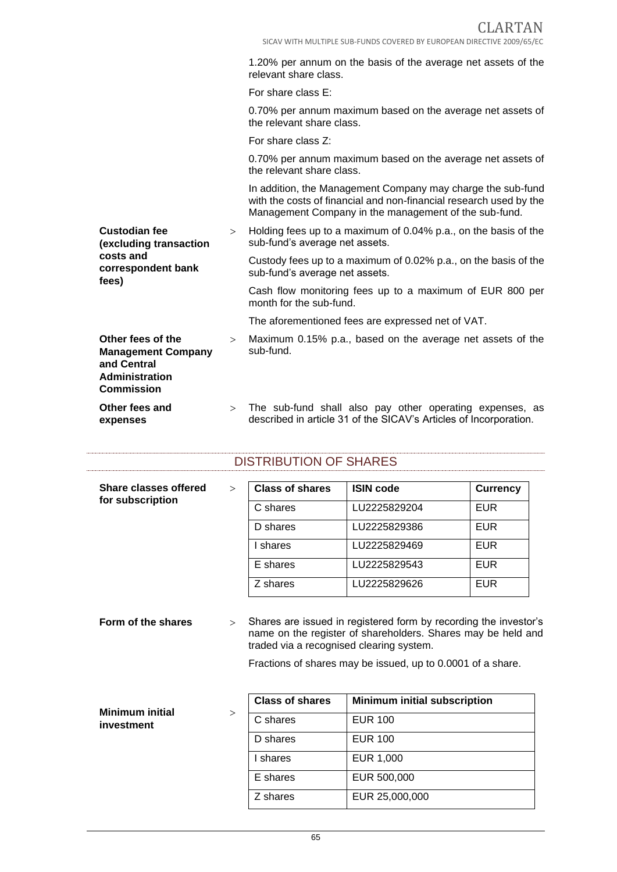1.20% per annum on the basis of the average net assets of the relevant share class.

For share class E:

0.70% per annum maximum based on the average net assets of the relevant share class.

For share class Z:

**fees)**

**Commission**

**Other fees and expenses**

0.70% per annum maximum based on the average net assets of the relevant share class.

In addition, the Management Company may charge the sub-fund with the costs of financial and non-financial research used by the Management Company in the management of the sub-fund.

**Custodian fee (excluding transaction costs and**  > Holding fees up to a maximum of 0.04% p.a., on the basis of the sub-fund's average net assets.

**correspondent bank**  Custody fees up to a maximum of 0.02% p.a., on the basis of the sub-fund's average net assets.

> Cash flow monitoring fees up to a maximum of EUR 800 per month for the sub-fund.

The aforementioned fees are expressed net of VAT.

- **Other fees of the Management Company and Central Administration**  Maximum 0.15% p.a., based on the average net assets of the sub-fund.
	- > The sub-fund shall also pay other operating expenses, as described in article 31 of the SICAV's Articles of Incorporation.

### DISTRIBUTION OF SHARES

| <b>Share classes offered</b><br>for subscription | $\geq$ | <b>Class of shares</b> | <b>ISIN code</b> | <b>Currency</b> |
|--------------------------------------------------|--------|------------------------|------------------|-----------------|
|                                                  |        | C shares               | LU2225829204     | <b>EUR</b>      |
|                                                  |        | D shares               | LU2225829386     | <b>EUR</b>      |
|                                                  |        | I shares               | LU2225829469     | <b>EUR</b>      |
|                                                  |        | E shares               | LU2225829543     | <b>EUR</b>      |
|                                                  |        | Z shares               | LU2225829626     | <b>EUR</b>      |
|                                                  |        |                        |                  |                 |

**Form of the shares**  $\geq$  Shares are issued in registered form by recording the investor's name on the register of shareholders. Shares may be held and traded via a recognised clearing system.

Fractions of shares may be issued, up to 0.0001 of a share.

| <b>Minimum initial</b><br>$\geq$ | <b>Class of shares</b> | <b>Minimum initial subscription</b> |
|----------------------------------|------------------------|-------------------------------------|
| investment                       | C shares               | <b>EUR 100</b>                      |
|                                  | D shares               | <b>EUR 100</b>                      |
|                                  | shares                 | EUR 1,000                           |
|                                  | E shares               | EUR 500,000                         |
|                                  | Z shares               | EUR 25,000,000                      |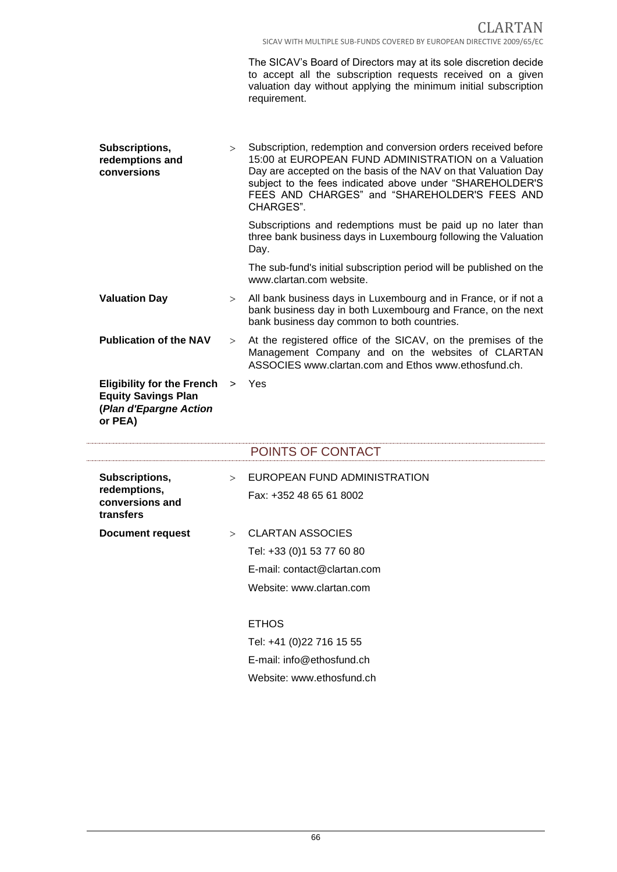The SICAV's Board of Directors may at its sole discretion decide to accept all the subscription requests received on a given valuation day without applying the minimum initial subscription requirement.

| Subscriptions,<br>redemptions and<br>conversions                                                     |   | Subscription, redemption and conversion orders received before<br>$\geq$<br>15:00 at EUROPEAN FUND ADMINISTRATION on a Valuation<br>Day are accepted on the basis of the NAV on that Valuation Day<br>subject to the fees indicated above under "SHAREHOLDER'S<br>FEES AND CHARGES" and "SHAREHOLDER'S FEES AND<br>CHARGES". |
|------------------------------------------------------------------------------------------------------|---|------------------------------------------------------------------------------------------------------------------------------------------------------------------------------------------------------------------------------------------------------------------------------------------------------------------------------|
|                                                                                                      |   | Subscriptions and redemptions must be paid up no later than<br>three bank business days in Luxembourg following the Valuation<br>Day.                                                                                                                                                                                        |
|                                                                                                      |   | The sub-fund's initial subscription period will be published on the<br>www.clartan.com website.                                                                                                                                                                                                                              |
| <b>Valuation Day</b>                                                                                 | > | All bank business days in Luxembourg and in France, or if not a<br>bank business day in both Luxembourg and France, on the next<br>bank business day common to both countries.                                                                                                                                               |
| <b>Publication of the NAV</b>                                                                        |   | > At the registered office of the SICAV, on the premises of the<br>Management Company and on the websites of CLARTAN<br>ASSOCIES www.clartan.com and Ethos www.ethosfund.ch.                                                                                                                                                 |
| <b>Eligibility for the French</b><br><b>Equity Savings Plan</b><br>(Plan d'Epargne Action<br>or PEA) |   | > Yes                                                                                                                                                                                                                                                                                                                        |

|                                              |        | POINTS OF CONTACT            |
|----------------------------------------------|--------|------------------------------|
| Subscriptions,                               | $\geq$ | EUROPEAN FUND ADMINISTRATION |
| redemptions,<br>conversions and<br>transfers |        | Fax: +352 48 65 61 8002      |
| <b>Document request</b>                      |        | > CLARTAN ASSOCIES           |
|                                              |        | Tel: +33 (0) 1 53 77 60 80   |
|                                              |        | E-mail: contact@clartan.com  |
|                                              |        | Website: www.clartan.com     |
|                                              |        |                              |
|                                              |        | <b>ETHOS</b>                 |
|                                              |        | Tel: +41 (0)22 716 15 55     |
|                                              |        | E-mail: info@ethosfund.ch    |
|                                              |        | Website: www.ethosfund.ch    |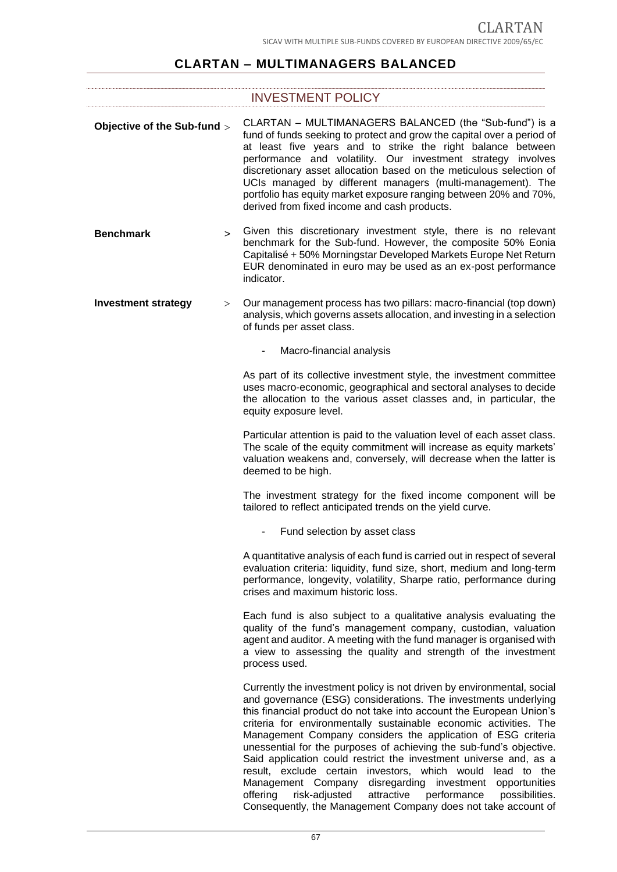# **CLARTAN – MULTIMANAGERS BALANCED**

# INVESTMENT POLICY

| Objective of the Sub-fund >     | CLARTAN - MULTIMANAGERS BALANCED (the "Sub-fund") is a<br>fund of funds seeking to protect and grow the capital over a period of<br>at least five years and to strike the right balance between<br>performance and volatility. Our investment strategy involves<br>discretionary asset allocation based on the meticulous selection of<br>UCIs managed by different managers (multi-management). The<br>portfolio has equity market exposure ranging between 20% and 70%,<br>derived from fixed income and cash products.                                                                                                                                                                                                                                              |
|---------------------------------|------------------------------------------------------------------------------------------------------------------------------------------------------------------------------------------------------------------------------------------------------------------------------------------------------------------------------------------------------------------------------------------------------------------------------------------------------------------------------------------------------------------------------------------------------------------------------------------------------------------------------------------------------------------------------------------------------------------------------------------------------------------------|
| <b>Benchmark</b><br>$\geq$      | Given this discretionary investment style, there is no relevant<br>benchmark for the Sub-fund. However, the composite 50% Eonia<br>Capitalisé + 50% Morningstar Developed Markets Europe Net Return<br>EUR denominated in euro may be used as an ex-post performance<br>indicator.                                                                                                                                                                                                                                                                                                                                                                                                                                                                                     |
| <b>Investment strategy</b><br>> | Our management process has two pillars: macro-financial (top down)<br>analysis, which governs assets allocation, and investing in a selection<br>of funds per asset class.                                                                                                                                                                                                                                                                                                                                                                                                                                                                                                                                                                                             |
|                                 | Macro-financial analysis                                                                                                                                                                                                                                                                                                                                                                                                                                                                                                                                                                                                                                                                                                                                               |
|                                 | As part of its collective investment style, the investment committee<br>uses macro-economic, geographical and sectoral analyses to decide<br>the allocation to the various asset classes and, in particular, the<br>equity exposure level.                                                                                                                                                                                                                                                                                                                                                                                                                                                                                                                             |
|                                 | Particular attention is paid to the valuation level of each asset class.<br>The scale of the equity commitment will increase as equity markets'<br>valuation weakens and, conversely, will decrease when the latter is<br>deemed to be high.                                                                                                                                                                                                                                                                                                                                                                                                                                                                                                                           |
|                                 | The investment strategy for the fixed income component will be<br>tailored to reflect anticipated trends on the yield curve.                                                                                                                                                                                                                                                                                                                                                                                                                                                                                                                                                                                                                                           |
|                                 | Fund selection by asset class<br>$\overline{\phantom{a}}$                                                                                                                                                                                                                                                                                                                                                                                                                                                                                                                                                                                                                                                                                                              |
|                                 | A quantitative analysis of each fund is carried out in respect of several<br>evaluation criteria: liquidity, fund size, short, medium and long-term<br>performance, longevity, volatility, Sharpe ratio, performance during<br>crises and maximum historic loss.                                                                                                                                                                                                                                                                                                                                                                                                                                                                                                       |
|                                 | Each fund is also subject to a qualitative analysis evaluating the<br>quality of the fund's management company, custodian, valuation<br>agent and auditor. A meeting with the fund manager is organised with<br>a view to assessing the quality and strength of the investment<br>process used.                                                                                                                                                                                                                                                                                                                                                                                                                                                                        |
|                                 | Currently the investment policy is not driven by environmental, social<br>and governance (ESG) considerations. The investments underlying<br>this financial product do not take into account the European Union's<br>criteria for environmentally sustainable economic activities. The<br>Management Company considers the application of ESG criteria<br>unessential for the purposes of achieving the sub-fund's objective.<br>Said application could restrict the investment universe and, as a<br>result, exclude certain investors, which would lead to the<br>Management Company disregarding investment opportunities<br>offering<br>risk-adjusted<br>attractive performance<br>possibilities.<br>Consequently, the Management Company does not take account of |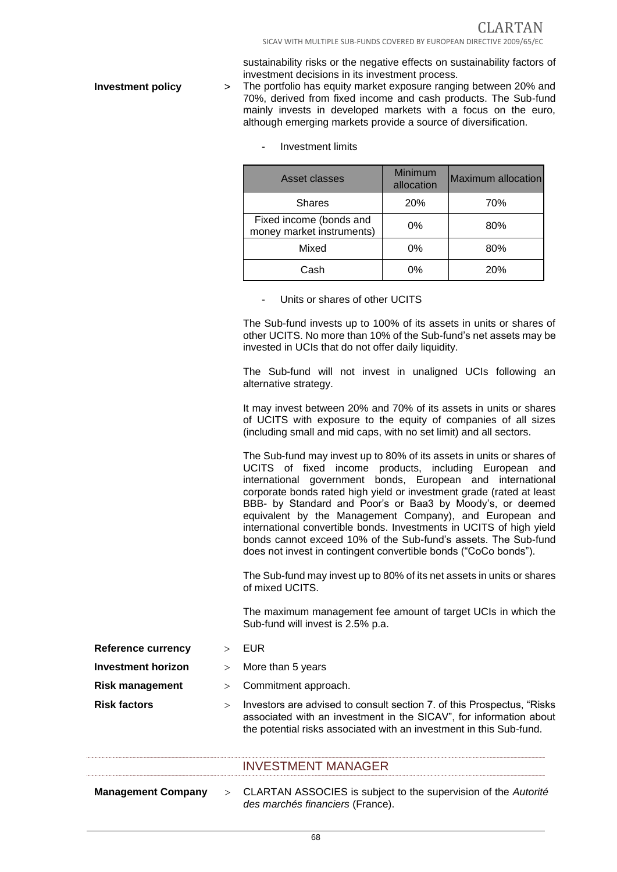sustainability risks or the negative effects on sustainability factors of investment decisions in its investment process.

**Investment policy** > The portfolio has equity market exposure ranging between 20% and 70%, derived from fixed income and cash products. The Sub-fund mainly invests in developed markets with a focus on the euro, although emerging markets provide a source of diversification.

| Asset classes                                        | Minimum<br>allocation | Maximum allocation |
|------------------------------------------------------|-----------------------|--------------------|
| <b>Shares</b>                                        | 20%                   | 70%                |
| Fixed income (bonds and<br>money market instruments) | 0%                    | 80%                |
| Mixed                                                | 0%                    | 80%                |
| Cash                                                 | 0%                    | 20%                |

- Investment limits

Units or shares of other UCITS

The Sub-fund invests up to 100% of its assets in units or shares of other UCITS. No more than 10% of the Sub-fund's net assets may be invested in UCIs that do not offer daily liquidity.

The Sub-fund will not invest in unaligned UCIs following an alternative strategy.

It may invest between 20% and 70% of its assets in units or shares of UCITS with exposure to the equity of companies of all sizes (including small and mid caps, with no set limit) and all sectors.

The Sub-fund may invest up to 80% of its assets in units or shares of UCITS of fixed income products, including European and international government bonds, European and international corporate bonds rated high yield or investment grade (rated at least BBB- by Standard and Poor's or Baa3 by Moody's, or deemed equivalent by the Management Company), and European and international convertible bonds. Investments in UCITS of high yield bonds cannot exceed 10% of the Sub-fund's assets. The Sub-fund does not invest in contingent convertible bonds ("CoCo bonds").

The Sub-fund may invest up to 80% of its net assets in units or shares of mixed UCITS.

The maximum management fee amount of target UCIs in which the Sub-fund will invest is 2.5% p.a.

| <b>Reference currency</b> |  | EUR |
|---------------------------|--|-----|
|                           |  |     |

- 
- **Investment horizon** > More than 5 years

- **Risk management** > Commitment approach.
- **Risk factors Investors** are advised to consult section 7. of this Prospectus, "Risks associated with an investment in the SICAV", for information about the potential risks associated with an investment in this Sub-fund.

# INVESTMENT MANAGER

**Management Company** CLARTAN ASSOCIES is subject to the supervision of the *Autorité des marchés financiers* (France).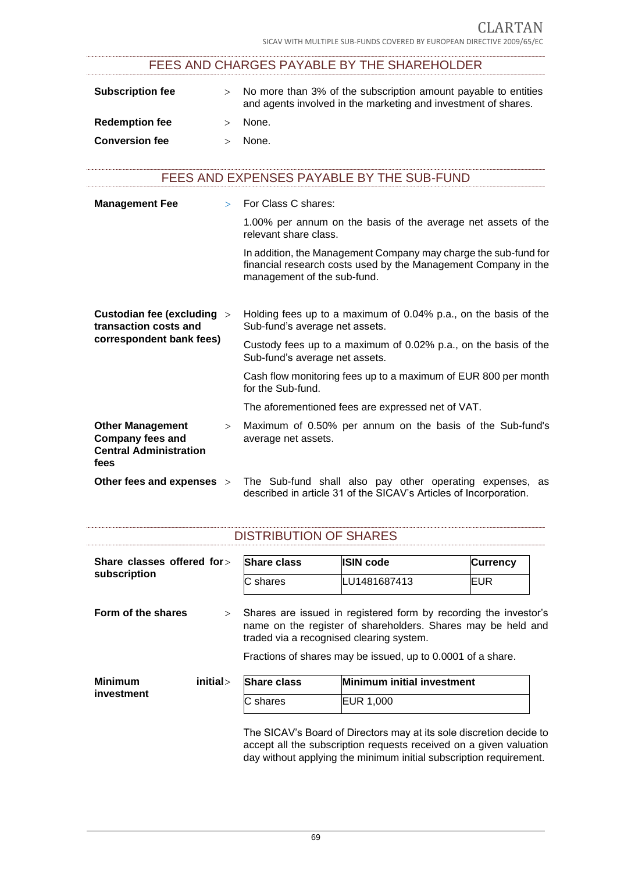# FEES AND CHARGES PAYABLE BY THE SHAREHOLDER

| <b>Subscription fee</b> | No more than 3% of the subscription amount payable to entities<br>and agents involved in the marketing and investment of shares. |
|-------------------------|----------------------------------------------------------------------------------------------------------------------------------|
| <b>Redemption fee</b>   | None.                                                                                                                            |
| <b>Conversion fee</b>   | None.                                                                                                                            |

# FEES AND EXPENSES PAYABLE BY THE SUB-FUND

| <b>Management Fee</b>                                                                       |        | For Class C shares:                                                                                                                                              |
|---------------------------------------------------------------------------------------------|--------|------------------------------------------------------------------------------------------------------------------------------------------------------------------|
|                                                                                             |        | 1.00% per annum on the basis of the average net assets of the<br>relevant share class.                                                                           |
|                                                                                             |        | In addition, the Management Company may charge the sub-fund for<br>financial research costs used by the Management Company in the<br>management of the sub-fund. |
| Custodian fee (excluding ><br>transaction costs and                                         |        | Holding fees up to a maximum of 0.04% p.a., on the basis of the<br>Sub-fund's average net assets.                                                                |
| correspondent bank fees)                                                                    |        | Custody fees up to a maximum of 0.02% p.a., on the basis of the<br>Sub-fund's average net assets.                                                                |
|                                                                                             |        | Cash flow monitoring fees up to a maximum of EUR 800 per month<br>for the Sub-fund.                                                                              |
|                                                                                             |        | The aforementioned fees are expressed net of VAT.                                                                                                                |
| <b>Other Management</b><br><b>Company fees and</b><br><b>Central Administration</b><br>fees | $\geq$ | Maximum of 0.50% per annum on the basis of the Sub-fund's<br>average net assets.                                                                                 |
| Other fees and expenses >                                                                   |        | The Sub-fund shall also pay other operating expenses, as<br>described in article 31 of the SICAV's Articles of Incorporation.                                    |

| Share classes offered for><br>subscription | <b>Share class</b> | <b>ISIN code</b>                                                                                                                 | <b>Currency</b> |
|--------------------------------------------|--------------------|----------------------------------------------------------------------------------------------------------------------------------|-----------------|
|                                            | C shares           | LU1481687413                                                                                                                     | <b>EUR</b>      |
| Form of the shares                         | $\geq$             |                                                                                                                                  |                 |
|                                            |                    | Shares are issued in registered form by recording the investor's<br>name on the register of shareholders. Shares may be held and |                 |
|                                            |                    | traded via a recognised clearing system.<br>Fractions of shares may be issued, up to 0.0001 of a share.                          |                 |
| initial><br><b>Minimum</b>                 | <b>Share class</b> | Minimum initial investment                                                                                                       |                 |

The SICAV's Board of Directors may at its sole discretion decide to accept all the subscription requests received on a given valuation day without applying the minimum initial subscription requirement.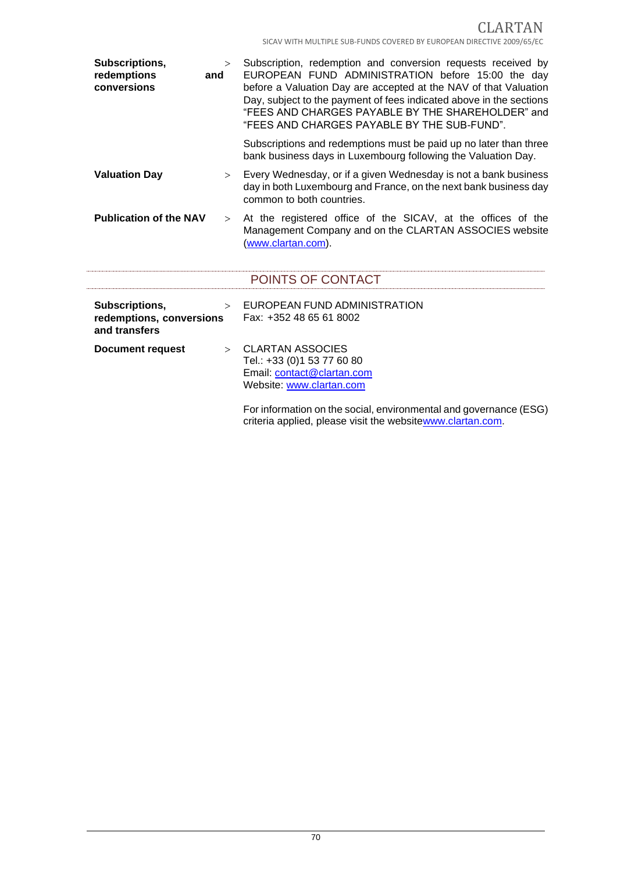CLARTAN SICAV WITH MULTIPLE SUB-FUNDS COVERED BY EUROPEAN DIRECTIVE 2009/65/EC

| Subscriptions,<br>redemptions<br>conversions                | $\geq$<br>and | Subscription, redemption and conversion requests received by<br>EUROPEAN FUND ADMINISTRATION before 15:00 the day<br>before a Valuation Day are accepted at the NAV of that Valuation<br>Day, subject to the payment of fees indicated above in the sections<br>"FEES AND CHARGES PAYABLE BY THE SHAREHOLDER" and<br>"FEES AND CHARGES PAYABLE BY THE SUB-FUND". |
|-------------------------------------------------------------|---------------|------------------------------------------------------------------------------------------------------------------------------------------------------------------------------------------------------------------------------------------------------------------------------------------------------------------------------------------------------------------|
|                                                             |               | Subscriptions and redemptions must be paid up no later than three<br>bank business days in Luxembourg following the Valuation Day.                                                                                                                                                                                                                               |
| <b>Valuation Day</b>                                        | $\geq$        | Every Wednesday, or if a given Wednesday is not a bank business<br>day in both Luxembourg and France, on the next bank business day<br>common to both countries.                                                                                                                                                                                                 |
| <b>Publication of the NAV</b>                               | $\geq$        | At the registered office of the SICAV, at the offices of the<br>Management Company and on the CLARTAN ASSOCIES website<br>(www.clartan.com).                                                                                                                                                                                                                     |
|                                                             |               | POINTS OF CONTACT                                                                                                                                                                                                                                                                                                                                                |
| Subscriptions,<br>redemptions, conversions<br>and transfers | $\geq$        | EUROPEAN FUND ADMINISTRATION<br>Fax: +352 48 65 61 8002                                                                                                                                                                                                                                                                                                          |
| Document request                                            | $\geq$        | <b>CLARTAN ASSOCIES</b><br>Tel.: +33 (0)1 53 77 60 80<br>Email: contact@clartan.com<br>Website: www.clartan.com<br>For information on the social, environmental and governance (ESG)<br>criteria applied, please visit the websitewww.clartan.com.                                                                                                               |

j.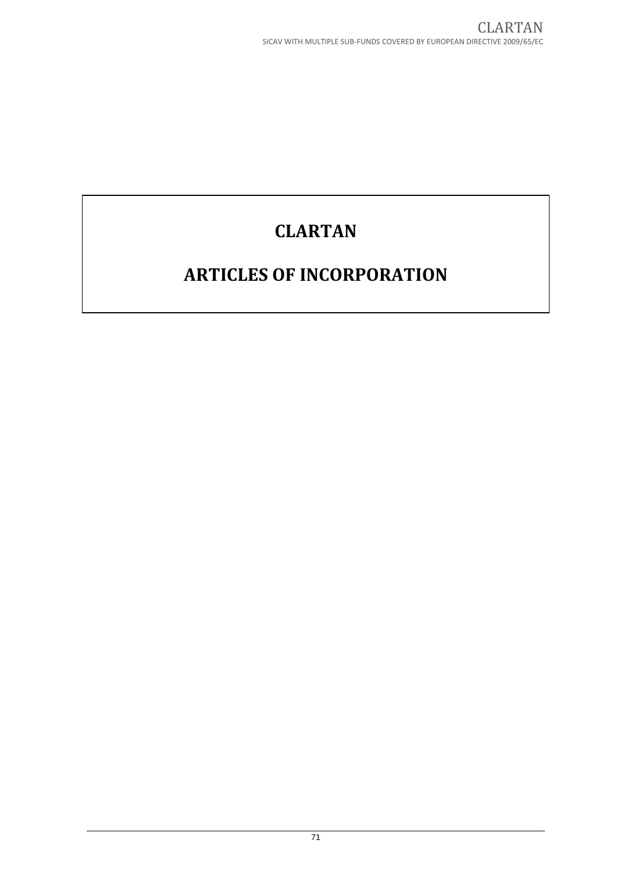# **CLARTAN**

# **ARTICLES OF INCORPORATION**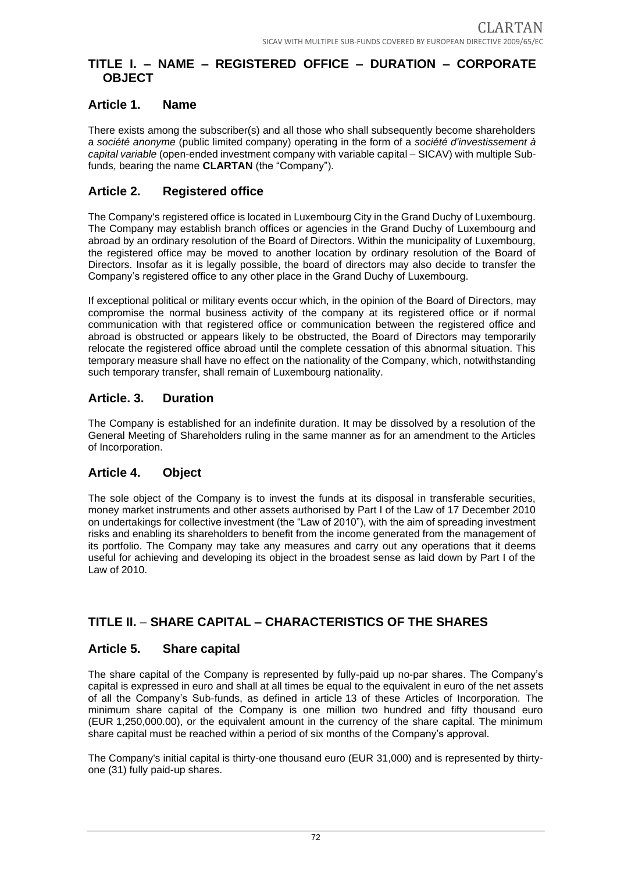# **TITLE I. – NAME – REGISTERED OFFICE – DURATION – CORPORATE OBJECT**

# **Article 1. Name**

There exists among the subscriber(s) and all those who shall subsequently become shareholders a *société anonyme* (public limited company) operating in the form of a *société d'investissement à capital variable* (open-ended investment company with variable capital – SICAV) with multiple Subfunds, bearing the name **CLARTAN** (the "Company").

# **Article 2. Registered office**

The Company's registered office is located in Luxembourg City in the Grand Duchy of Luxembourg. The Company may establish branch offices or agencies in the Grand Duchy of Luxembourg and abroad by an ordinary resolution of the Board of Directors. Within the municipality of Luxembourg, the registered office may be moved to another location by ordinary resolution of the Board of Directors. Insofar as it is legally possible, the board of directors may also decide to transfer the Company's registered office to any other place in the Grand Duchy of Luxembourg.

If exceptional political or military events occur which, in the opinion of the Board of Directors, may compromise the normal business activity of the company at its registered office or if normal communication with that registered office or communication between the registered office and abroad is obstructed or appears likely to be obstructed, the Board of Directors may temporarily relocate the registered office abroad until the complete cessation of this abnormal situation. This temporary measure shall have no effect on the nationality of the Company, which, notwithstanding such temporary transfer, shall remain of Luxembourg nationality.

# **Article. 3. Duration**

The Company is established for an indefinite duration. It may be dissolved by a resolution of the General Meeting of Shareholders ruling in the same manner as for an amendment to the Articles of Incorporation.

# **Article 4. Object**

The sole object of the Company is to invest the funds at its disposal in transferable securities, money market instruments and other assets authorised by Part I of the Law of 17 December 2010 on undertakings for collective investment (the "Law of 2010"), with the aim of spreading investment risks and enabling its shareholders to benefit from the income generated from the management of its portfolio. The Company may take any measures and carry out any operations that it deems useful for achieving and developing its object in the broadest sense as laid down by Part I of the Law of 2010.

# **TITLE II.** – **SHARE CAPITAL – CHARACTERISTICS OF THE SHARES**

## **Article 5. Share capital**

The share capital of the Company is represented by fully-paid up no-par shares. The Company's capital is expressed in euro and shall at all times be equal to the equivalent in euro of the net assets of all the Company's Sub-funds, as defined in article 13 of these Articles of Incorporation. The minimum share capital of the Company is one million two hundred and fifty thousand euro (EUR 1,250,000.00), or the equivalent amount in the currency of the share capital. The minimum share capital must be reached within a period of six months of the Company's approval.

The Company's initial capital is thirty-one thousand euro (EUR 31,000) and is represented by thirtyone (31) fully paid-up shares.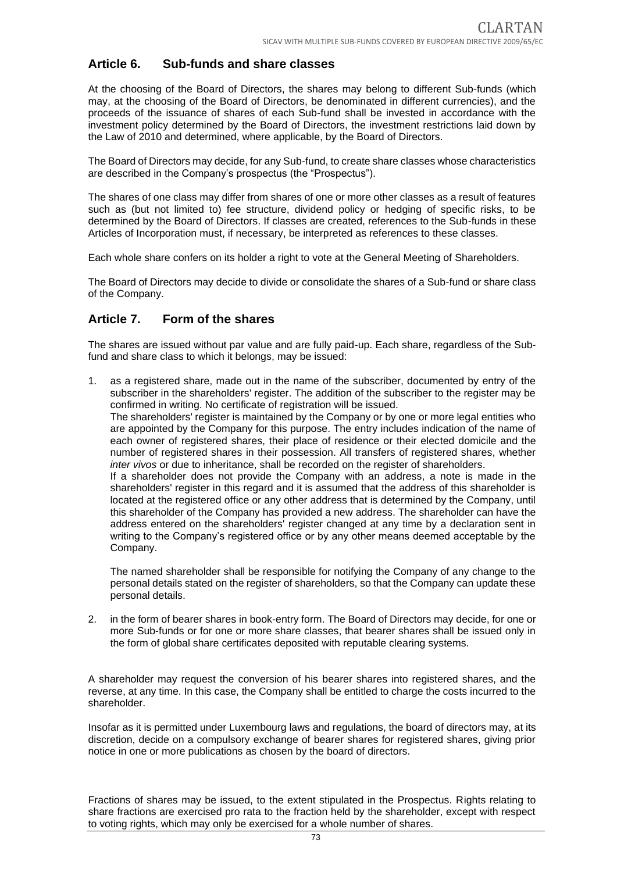## **Article 6. Sub-funds and share classes**

At the choosing of the Board of Directors, the shares may belong to different Sub-funds (which may, at the choosing of the Board of Directors, be denominated in different currencies), and the proceeds of the issuance of shares of each Sub-fund shall be invested in accordance with the investment policy determined by the Board of Directors, the investment restrictions laid down by the Law of 2010 and determined, where applicable, by the Board of Directors.

The Board of Directors may decide, for any Sub-fund, to create share classes whose characteristics are described in the Company's prospectus (the "Prospectus").

The shares of one class may differ from shares of one or more other classes as a result of features such as (but not limited to) fee structure, dividend policy or hedging of specific risks, to be determined by the Board of Directors. If classes are created, references to the Sub-funds in these Articles of Incorporation must, if necessary, be interpreted as references to these classes.

Each whole share confers on its holder a right to vote at the General Meeting of Shareholders.

The Board of Directors may decide to divide or consolidate the shares of a Sub-fund or share class of the Company.

## **Article 7. Form of the shares**

The shares are issued without par value and are fully paid-up. Each share, regardless of the Subfund and share class to which it belongs, may be issued:

1. as a registered share, made out in the name of the subscriber, documented by entry of the subscriber in the shareholders' register. The addition of the subscriber to the register may be confirmed in writing. No certificate of registration will be issued.

The shareholders' register is maintained by the Company or by one or more legal entities who are appointed by the Company for this purpose. The entry includes indication of the name of each owner of registered shares, their place of residence or their elected domicile and the number of registered shares in their possession. All transfers of registered shares, whether *inter vivos* or due to inheritance, shall be recorded on the register of shareholders.

If a shareholder does not provide the Company with an address, a note is made in the shareholders' register in this regard and it is assumed that the address of this shareholder is located at the registered office or any other address that is determined by the Company, until this shareholder of the Company has provided a new address. The shareholder can have the address entered on the shareholders' register changed at any time by a declaration sent in writing to the Company's registered office or by any other means deemed acceptable by the Company.

The named shareholder shall be responsible for notifying the Company of any change to the personal details stated on the register of shareholders, so that the Company can update these personal details.

2. in the form of bearer shares in book-entry form. The Board of Directors may decide, for one or more Sub-funds or for one or more share classes, that bearer shares shall be issued only in the form of global share certificates deposited with reputable clearing systems.

A shareholder may request the conversion of his bearer shares into registered shares, and the reverse, at any time. In this case, the Company shall be entitled to charge the costs incurred to the shareholder.

Insofar as it is permitted under Luxembourg laws and regulations, the board of directors may, at its discretion, decide on a compulsory exchange of bearer shares for registered shares, giving prior notice in one or more publications as chosen by the board of directors.

Fractions of shares may be issued, to the extent stipulated in the Prospectus. Rights relating to share fractions are exercised pro rata to the fraction held by the shareholder, except with respect to voting rights, which may only be exercised for a whole number of shares.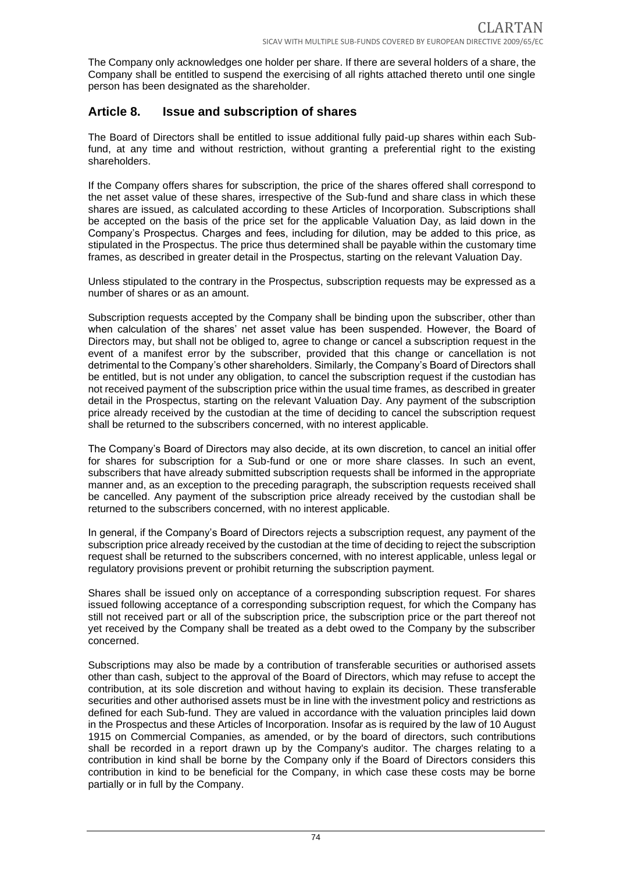The Company only acknowledges one holder per share. If there are several holders of a share, the Company shall be entitled to suspend the exercising of all rights attached thereto until one single person has been designated as the shareholder.

## **Article 8. Issue and subscription of shares**

The Board of Directors shall be entitled to issue additional fully paid-up shares within each Subfund, at any time and without restriction, without granting a preferential right to the existing shareholders.

If the Company offers shares for subscription, the price of the shares offered shall correspond to the net asset value of these shares, irrespective of the Sub-fund and share class in which these shares are issued, as calculated according to these Articles of Incorporation. Subscriptions shall be accepted on the basis of the price set for the applicable Valuation Day, as laid down in the Company's Prospectus. Charges and fees, including for dilution, may be added to this price, as stipulated in the Prospectus. The price thus determined shall be payable within the customary time frames, as described in greater detail in the Prospectus, starting on the relevant Valuation Day.

Unless stipulated to the contrary in the Prospectus, subscription requests may be expressed as a number of shares or as an amount.

Subscription requests accepted by the Company shall be binding upon the subscriber, other than when calculation of the shares' net asset value has been suspended. However, the Board of Directors may, but shall not be obliged to, agree to change or cancel a subscription request in the event of a manifest error by the subscriber, provided that this change or cancellation is not detrimental to the Company's other shareholders. Similarly, the Company's Board of Directors shall be entitled, but is not under any obligation, to cancel the subscription request if the custodian has not received payment of the subscription price within the usual time frames, as described in greater detail in the Prospectus, starting on the relevant Valuation Day. Any payment of the subscription price already received by the custodian at the time of deciding to cancel the subscription request shall be returned to the subscribers concerned, with no interest applicable.

The Company's Board of Directors may also decide, at its own discretion, to cancel an initial offer for shares for subscription for a Sub-fund or one or more share classes. In such an event, subscribers that have already submitted subscription requests shall be informed in the appropriate manner and, as an exception to the preceding paragraph, the subscription requests received shall be cancelled. Any payment of the subscription price already received by the custodian shall be returned to the subscribers concerned, with no interest applicable.

In general, if the Company's Board of Directors rejects a subscription request, any payment of the subscription price already received by the custodian at the time of deciding to reject the subscription request shall be returned to the subscribers concerned, with no interest applicable, unless legal or regulatory provisions prevent or prohibit returning the subscription payment.

Shares shall be issued only on acceptance of a corresponding subscription request. For shares issued following acceptance of a corresponding subscription request, for which the Company has still not received part or all of the subscription price, the subscription price or the part thereof not yet received by the Company shall be treated as a debt owed to the Company by the subscriber concerned.

Subscriptions may also be made by a contribution of transferable securities or authorised assets other than cash, subject to the approval of the Board of Directors, which may refuse to accept the contribution, at its sole discretion and without having to explain its decision. These transferable securities and other authorised assets must be in line with the investment policy and restrictions as defined for each Sub-fund. They are valued in accordance with the valuation principles laid down in the Prospectus and these Articles of Incorporation. Insofar as is required by the law of 10 August 1915 on Commercial Companies, as amended, or by the board of directors, such contributions shall be recorded in a report drawn up by the Company's auditor. The charges relating to a contribution in kind shall be borne by the Company only if the Board of Directors considers this contribution in kind to be beneficial for the Company, in which case these costs may be borne partially or in full by the Company.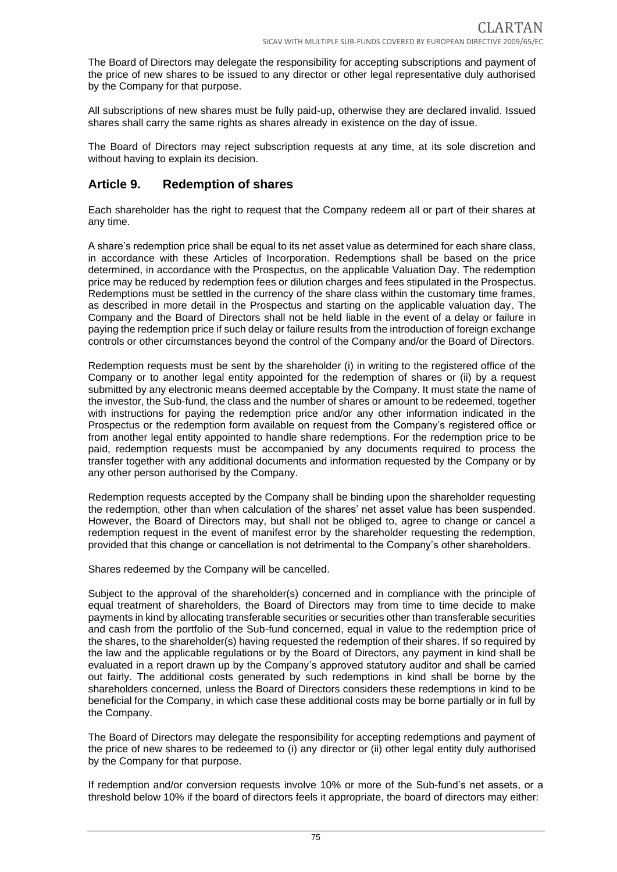The Board of Directors may delegate the responsibility for accepting subscriptions and payment of the price of new shares to be issued to any director or other legal representative duly authorised by the Company for that purpose.

All subscriptions of new shares must be fully paid-up, otherwise they are declared invalid. Issued shares shall carry the same rights as shares already in existence on the day of issue.

The Board of Directors may reject subscription requests at any time, at its sole discretion and without having to explain its decision.

## **Article 9. Redemption of shares**

Each shareholder has the right to request that the Company redeem all or part of their shares at any time.

A share's redemption price shall be equal to its net asset value as determined for each share class, in accordance with these Articles of Incorporation. Redemptions shall be based on the price determined, in accordance with the Prospectus, on the applicable Valuation Day. The redemption price may be reduced by redemption fees or dilution charges and fees stipulated in the Prospectus. Redemptions must be settled in the currency of the share class within the customary time frames, as described in more detail in the Prospectus and starting on the applicable valuation day. The Company and the Board of Directors shall not be held liable in the event of a delay or failure in paying the redemption price if such delay or failure results from the introduction of foreign exchange controls or other circumstances beyond the control of the Company and/or the Board of Directors.

Redemption requests must be sent by the shareholder (i) in writing to the registered office of the Company or to another legal entity appointed for the redemption of shares or (ii) by a request submitted by any electronic means deemed acceptable by the Company. It must state the name of the investor, the Sub-fund, the class and the number of shares or amount to be redeemed, together with instructions for paying the redemption price and/or any other information indicated in the Prospectus or the redemption form available on request from the Company's registered office or from another legal entity appointed to handle share redemptions. For the redemption price to be paid, redemption requests must be accompanied by any documents required to process the transfer together with any additional documents and information requested by the Company or by any other person authorised by the Company.

Redemption requests accepted by the Company shall be binding upon the shareholder requesting the redemption, other than when calculation of the shares' net asset value has been suspended. However, the Board of Directors may, but shall not be obliged to, agree to change or cancel a redemption request in the event of manifest error by the shareholder requesting the redemption, provided that this change or cancellation is not detrimental to the Company's other shareholders.

Shares redeemed by the Company will be cancelled.

Subject to the approval of the shareholder(s) concerned and in compliance with the principle of equal treatment of shareholders, the Board of Directors may from time to time decide to make payments in kind by allocating transferable securities or securities other than transferable securities and cash from the portfolio of the Sub-fund concerned, equal in value to the redemption price of the shares, to the shareholder(s) having requested the redemption of their shares. If so required by the law and the applicable regulations or by the Board of Directors, any payment in kind shall be evaluated in a report drawn up by the Company's approved statutory auditor and shall be carried out fairly. The additional costs generated by such redemptions in kind shall be borne by the shareholders concerned, unless the Board of Directors considers these redemptions in kind to be beneficial for the Company, in which case these additional costs may be borne partially or in full by the Company.

The Board of Directors may delegate the responsibility for accepting redemptions and payment of the price of new shares to be redeemed to (i) any director or (ii) other legal entity duly authorised by the Company for that purpose.

If redemption and/or conversion requests involve 10% or more of the Sub-fund's net assets, or a threshold below 10% if the board of directors feels it appropriate, the board of directors may either: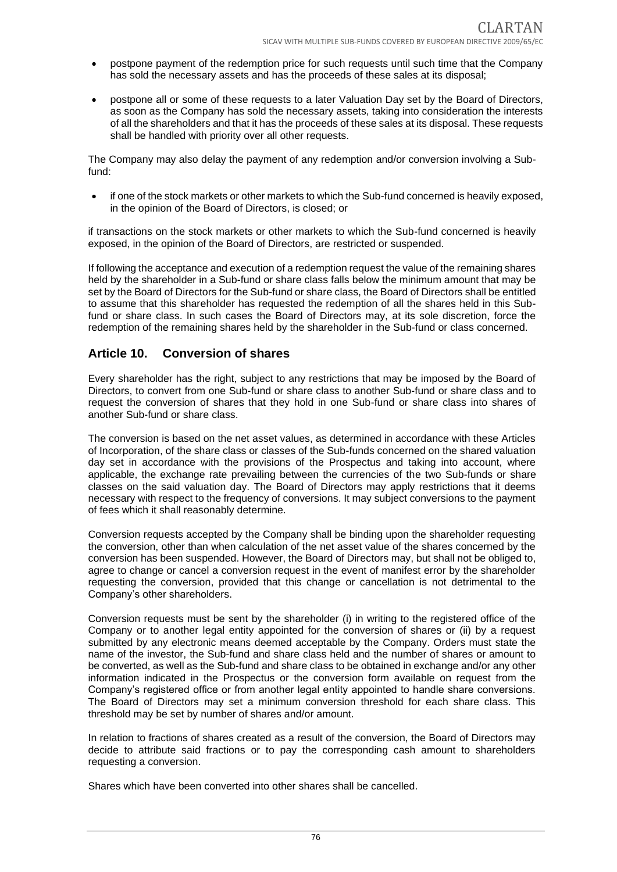- postpone payment of the redemption price for such requests until such time that the Company has sold the necessary assets and has the proceeds of these sales at its disposal;
- postpone all or some of these requests to a later Valuation Day set by the Board of Directors, as soon as the Company has sold the necessary assets, taking into consideration the interests of all the shareholders and that it has the proceeds of these sales at its disposal. These requests shall be handled with priority over all other requests.

The Company may also delay the payment of any redemption and/or conversion involving a Subfund:

• if one of the stock markets or other markets to which the Sub-fund concerned is heavily exposed, in the opinion of the Board of Directors, is closed; or

if transactions on the stock markets or other markets to which the Sub-fund concerned is heavily exposed, in the opinion of the Board of Directors, are restricted or suspended.

If following the acceptance and execution of a redemption request the value of the remaining shares held by the shareholder in a Sub-fund or share class falls below the minimum amount that may be set by the Board of Directors for the Sub-fund or share class, the Board of Directors shall be entitled to assume that this shareholder has requested the redemption of all the shares held in this Subfund or share class. In such cases the Board of Directors may, at its sole discretion, force the redemption of the remaining shares held by the shareholder in the Sub-fund or class concerned.

## **Article 10. Conversion of shares**

Every shareholder has the right, subject to any restrictions that may be imposed by the Board of Directors, to convert from one Sub-fund or share class to another Sub-fund or share class and to request the conversion of shares that they hold in one Sub-fund or share class into shares of another Sub-fund or share class.

The conversion is based on the net asset values, as determined in accordance with these Articles of Incorporation, of the share class or classes of the Sub-funds concerned on the shared valuation day set in accordance with the provisions of the Prospectus and taking into account, where applicable, the exchange rate prevailing between the currencies of the two Sub-funds or share classes on the said valuation day. The Board of Directors may apply restrictions that it deems necessary with respect to the frequency of conversions. It may subject conversions to the payment of fees which it shall reasonably determine.

Conversion requests accepted by the Company shall be binding upon the shareholder requesting the conversion, other than when calculation of the net asset value of the shares concerned by the conversion has been suspended. However, the Board of Directors may, but shall not be obliged to, agree to change or cancel a conversion request in the event of manifest error by the shareholder requesting the conversion, provided that this change or cancellation is not detrimental to the Company's other shareholders.

Conversion requests must be sent by the shareholder (i) in writing to the registered office of the Company or to another legal entity appointed for the conversion of shares or (ii) by a request submitted by any electronic means deemed acceptable by the Company. Orders must state the name of the investor, the Sub-fund and share class held and the number of shares or amount to be converted, as well as the Sub-fund and share class to be obtained in exchange and/or any other information indicated in the Prospectus or the conversion form available on request from the Company's registered office or from another legal entity appointed to handle share conversions. The Board of Directors may set a minimum conversion threshold for each share class. This threshold may be set by number of shares and/or amount.

In relation to fractions of shares created as a result of the conversion, the Board of Directors may decide to attribute said fractions or to pay the corresponding cash amount to shareholders requesting a conversion.

Shares which have been converted into other shares shall be cancelled.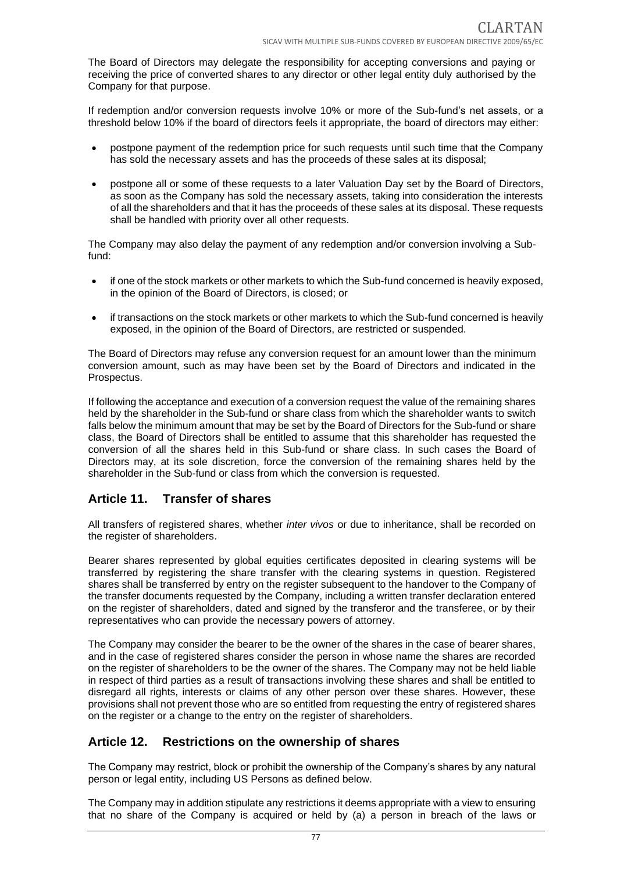The Board of Directors may delegate the responsibility for accepting conversions and paying or receiving the price of converted shares to any director or other legal entity duly authorised by the Company for that purpose.

If redemption and/or conversion requests involve 10% or more of the Sub-fund's net assets, or a threshold below 10% if the board of directors feels it appropriate, the board of directors may either:

- postpone payment of the redemption price for such requests until such time that the Company has sold the necessary assets and has the proceeds of these sales at its disposal;
- postpone all or some of these requests to a later Valuation Day set by the Board of Directors, as soon as the Company has sold the necessary assets, taking into consideration the interests of all the shareholders and that it has the proceeds of these sales at its disposal. These requests shall be handled with priority over all other requests.

The Company may also delay the payment of any redemption and/or conversion involving a Subfund:

- if one of the stock markets or other markets to which the Sub-fund concerned is heavily exposed, in the opinion of the Board of Directors, is closed; or
- if transactions on the stock markets or other markets to which the Sub-fund concerned is heavily exposed, in the opinion of the Board of Directors, are restricted or suspended.

The Board of Directors may refuse any conversion request for an amount lower than the minimum conversion amount, such as may have been set by the Board of Directors and indicated in the Prospectus.

If following the acceptance and execution of a conversion request the value of the remaining shares held by the shareholder in the Sub-fund or share class from which the shareholder wants to switch falls below the minimum amount that may be set by the Board of Directors for the Sub-fund or share class, the Board of Directors shall be entitled to assume that this shareholder has requested the conversion of all the shares held in this Sub-fund or share class. In such cases the Board of Directors may, at its sole discretion, force the conversion of the remaining shares held by the shareholder in the Sub-fund or class from which the conversion is requested.

# **Article 11. Transfer of shares**

All transfers of registered shares, whether *inter vivos* or due to inheritance, shall be recorded on the register of shareholders.

Bearer shares represented by global equities certificates deposited in clearing systems will be transferred by registering the share transfer with the clearing systems in question. Registered shares shall be transferred by entry on the register subsequent to the handover to the Company of the transfer documents requested by the Company, including a written transfer declaration entered on the register of shareholders, dated and signed by the transferor and the transferee, or by their representatives who can provide the necessary powers of attorney.

The Company may consider the bearer to be the owner of the shares in the case of bearer shares, and in the case of registered shares consider the person in whose name the shares are recorded on the register of shareholders to be the owner of the shares. The Company may not be held liable in respect of third parties as a result of transactions involving these shares and shall be entitled to disregard all rights, interests or claims of any other person over these shares. However, these provisions shall not prevent those who are so entitled from requesting the entry of registered shares on the register or a change to the entry on the register of shareholders.

## **Article 12. Restrictions on the ownership of shares**

The Company may restrict, block or prohibit the ownership of the Company's shares by any natural person or legal entity, including US Persons as defined below.

The Company may in addition stipulate any restrictions it deems appropriate with a view to ensuring that no share of the Company is acquired or held by (a) a person in breach of the laws or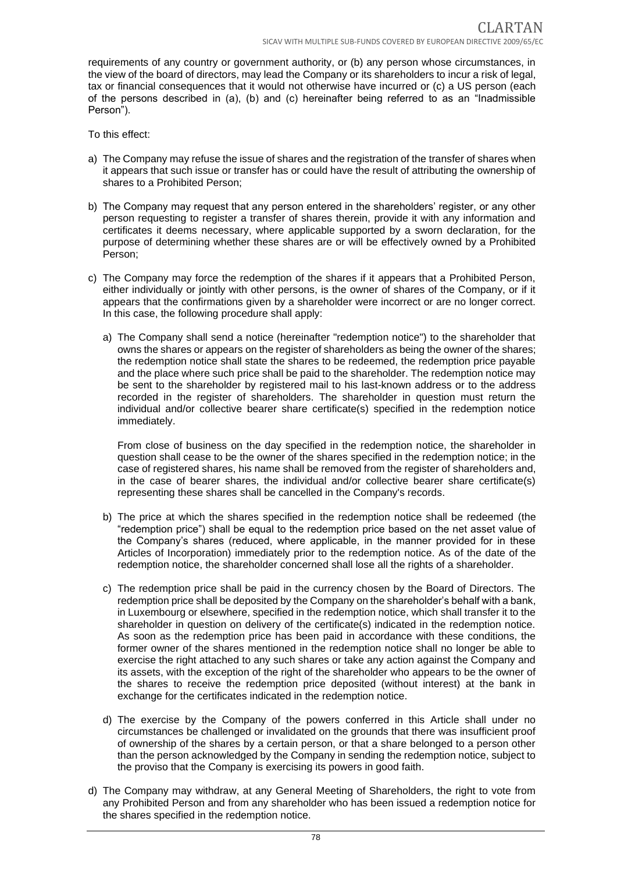requirements of any country or government authority, or (b) any person whose circumstances, in the view of the board of directors, may lead the Company or its shareholders to incur a risk of legal, tax or financial consequences that it would not otherwise have incurred or (c) a US person (each of the persons described in (a), (b) and (c) hereinafter being referred to as an "Inadmissible Person").

To this effect:

- a) The Company may refuse the issue of shares and the registration of the transfer of shares when it appears that such issue or transfer has or could have the result of attributing the ownership of shares to a Prohibited Person;
- b) The Company may request that any person entered in the shareholders' register, or any other person requesting to register a transfer of shares therein, provide it with any information and certificates it deems necessary, where applicable supported by a sworn declaration, for the purpose of determining whether these shares are or will be effectively owned by a Prohibited Person;
- c) The Company may force the redemption of the shares if it appears that a Prohibited Person, either individually or jointly with other persons, is the owner of shares of the Company, or if it appears that the confirmations given by a shareholder were incorrect or are no longer correct. In this case, the following procedure shall apply:
	- a) The Company shall send a notice (hereinafter "redemption notice") to the shareholder that owns the shares or appears on the register of shareholders as being the owner of the shares; the redemption notice shall state the shares to be redeemed, the redemption price payable and the place where such price shall be paid to the shareholder. The redemption notice may be sent to the shareholder by registered mail to his last-known address or to the address recorded in the register of shareholders. The shareholder in question must return the individual and/or collective bearer share certificate(s) specified in the redemption notice immediately.

From close of business on the day specified in the redemption notice, the shareholder in question shall cease to be the owner of the shares specified in the redemption notice; in the case of registered shares, his name shall be removed from the register of shareholders and, in the case of bearer shares, the individual and/or collective bearer share certificate(s) representing these shares shall be cancelled in the Company's records.

- b) The price at which the shares specified in the redemption notice shall be redeemed (the "redemption price") shall be equal to the redemption price based on the net asset value of the Company's shares (reduced, where applicable, in the manner provided for in these Articles of Incorporation) immediately prior to the redemption notice. As of the date of the redemption notice, the shareholder concerned shall lose all the rights of a shareholder.
- c) The redemption price shall be paid in the currency chosen by the Board of Directors. The redemption price shall be deposited by the Company on the shareholder's behalf with a bank, in Luxembourg or elsewhere, specified in the redemption notice, which shall transfer it to the shareholder in question on delivery of the certificate(s) indicated in the redemption notice. As soon as the redemption price has been paid in accordance with these conditions, the former owner of the shares mentioned in the redemption notice shall no longer be able to exercise the right attached to any such shares or take any action against the Company and its assets, with the exception of the right of the shareholder who appears to be the owner of the shares to receive the redemption price deposited (without interest) at the bank in exchange for the certificates indicated in the redemption notice.
- d) The exercise by the Company of the powers conferred in this Article shall under no circumstances be challenged or invalidated on the grounds that there was insufficient proof of ownership of the shares by a certain person, or that a share belonged to a person other than the person acknowledged by the Company in sending the redemption notice, subject to the proviso that the Company is exercising its powers in good faith.
- d) The Company may withdraw, at any General Meeting of Shareholders, the right to vote from any Prohibited Person and from any shareholder who has been issued a redemption notice for the shares specified in the redemption notice.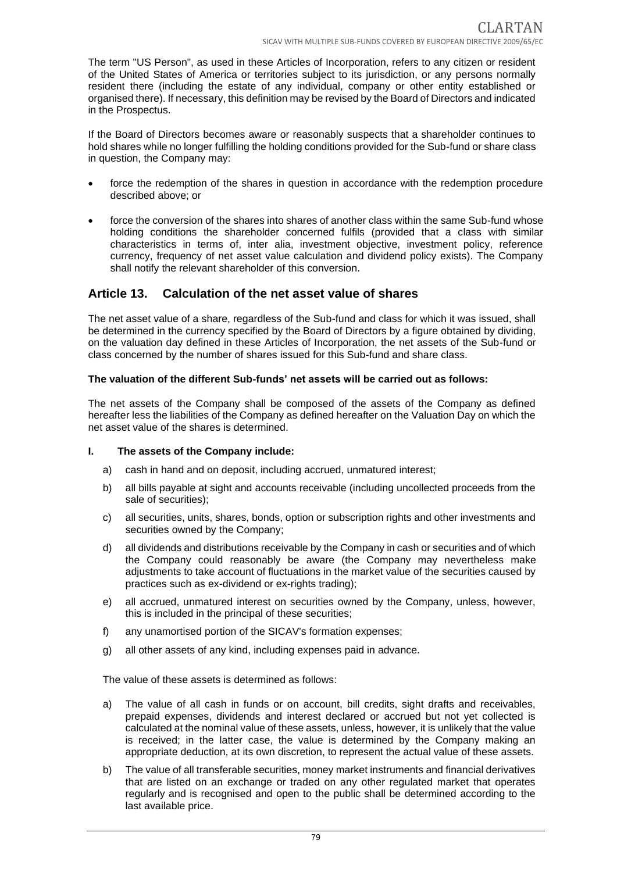The term "US Person", as used in these Articles of Incorporation, refers to any citizen or resident of the United States of America or territories subject to its jurisdiction, or any persons normally resident there (including the estate of any individual, company or other entity established or organised there). If necessary, this definition may be revised by the Board of Directors and indicated in the Prospectus.

If the Board of Directors becomes aware or reasonably suspects that a shareholder continues to hold shares while no longer fulfilling the holding conditions provided for the Sub-fund or share class in question, the Company may:

- force the redemption of the shares in question in accordance with the redemption procedure described above; or
- force the conversion of the shares into shares of another class within the same Sub-fund whose holding conditions the shareholder concerned fulfils (provided that a class with similar characteristics in terms of, inter alia, investment objective, investment policy, reference currency, frequency of net asset value calculation and dividend policy exists). The Company shall notify the relevant shareholder of this conversion.

## **Article 13. Calculation of the net asset value of shares**

The net asset value of a share, regardless of the Sub-fund and class for which it was issued, shall be determined in the currency specified by the Board of Directors by a figure obtained by dividing, on the valuation day defined in these Articles of Incorporation, the net assets of the Sub-fund or class concerned by the number of shares issued for this Sub-fund and share class.

#### **The valuation of the different Sub-funds' net assets will be carried out as follows:**

The net assets of the Company shall be composed of the assets of the Company as defined hereafter less the liabilities of the Company as defined hereafter on the Valuation Day on which the net asset value of the shares is determined.

#### **I. The assets of the Company include:**

- a) cash in hand and on deposit, including accrued, unmatured interest;
- b) all bills payable at sight and accounts receivable (including uncollected proceeds from the sale of securities);
- c) all securities, units, shares, bonds, option or subscription rights and other investments and securities owned by the Company;
- d) all dividends and distributions receivable by the Company in cash or securities and of which the Company could reasonably be aware (the Company may nevertheless make adjustments to take account of fluctuations in the market value of the securities caused by practices such as ex-dividend or ex-rights trading);
- e) all accrued, unmatured interest on securities owned by the Company, unless, however, this is included in the principal of these securities;
- f) any unamortised portion of the SICAV's formation expenses;
- g) all other assets of any kind, including expenses paid in advance.

The value of these assets is determined as follows:

- a) The value of all cash in funds or on account, bill credits, sight drafts and receivables, prepaid expenses, dividends and interest declared or accrued but not yet collected is calculated at the nominal value of these assets, unless, however, it is unlikely that the value is received; in the latter case, the value is determined by the Company making an appropriate deduction, at its own discretion, to represent the actual value of these assets.
- b) The value of all transferable securities, money market instruments and financial derivatives that are listed on an exchange or traded on any other regulated market that operates regularly and is recognised and open to the public shall be determined according to the last available price.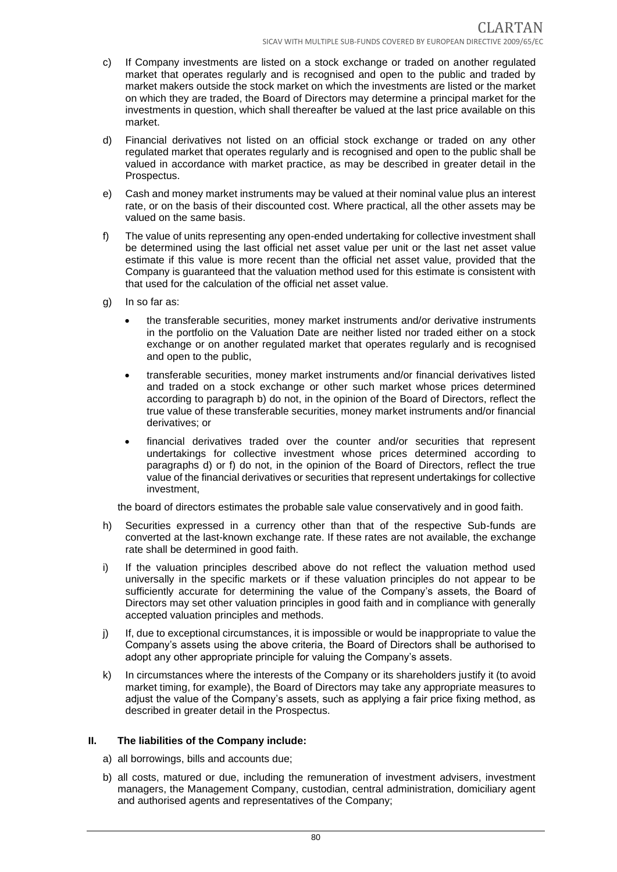- c) If Company investments are listed on a stock exchange or traded on another regulated market that operates regularly and is recognised and open to the public and traded by market makers outside the stock market on which the investments are listed or the market on which they are traded, the Board of Directors may determine a principal market for the investments in question, which shall thereafter be valued at the last price available on this market.
- d) Financial derivatives not listed on an official stock exchange or traded on any other regulated market that operates regularly and is recognised and open to the public shall be valued in accordance with market practice, as may be described in greater detail in the Prospectus.
- e) Cash and money market instruments may be valued at their nominal value plus an interest rate, or on the basis of their discounted cost. Where practical, all the other assets may be valued on the same basis.
- f) The value of units representing any open-ended undertaking for collective investment shall be determined using the last official net asset value per unit or the last net asset value estimate if this value is more recent than the official net asset value, provided that the Company is guaranteed that the valuation method used for this estimate is consistent with that used for the calculation of the official net asset value.
- g) In so far as:
	- the transferable securities, money market instruments and/or derivative instruments in the portfolio on the Valuation Date are neither listed nor traded either on a stock exchange or on another regulated market that operates regularly and is recognised and open to the public,
	- transferable securities, money market instruments and/or financial derivatives listed and traded on a stock exchange or other such market whose prices determined according to paragraph b) do not, in the opinion of the Board of Directors, reflect the true value of these transferable securities, money market instruments and/or financial derivatives; or
	- financial derivatives traded over the counter and/or securities that represent undertakings for collective investment whose prices determined according to paragraphs d) or f) do not, in the opinion of the Board of Directors, reflect the true value of the financial derivatives or securities that represent undertakings for collective investment,

the board of directors estimates the probable sale value conservatively and in good faith.

- h) Securities expressed in a currency other than that of the respective Sub-funds are converted at the last-known exchange rate. If these rates are not available, the exchange rate shall be determined in good faith.
- i) If the valuation principles described above do not reflect the valuation method used universally in the specific markets or if these valuation principles do not appear to be sufficiently accurate for determining the value of the Company's assets, the Board of Directors may set other valuation principles in good faith and in compliance with generally accepted valuation principles and methods.
- j) If, due to exceptional circumstances, it is impossible or would be inappropriate to value the Company's assets using the above criteria, the Board of Directors shall be authorised to adopt any other appropriate principle for valuing the Company's assets.
- k) In circumstances where the interests of the Company or its shareholders justify it (to avoid market timing, for example), the Board of Directors may take any appropriate measures to adjust the value of the Company's assets, such as applying a fair price fixing method, as described in greater detail in the Prospectus.

#### **II. The liabilities of the Company include:**

- a) all borrowings, bills and accounts due;
- b) all costs, matured or due, including the remuneration of investment advisers, investment managers, the Management Company, custodian, central administration, domiciliary agent and authorised agents and representatives of the Company;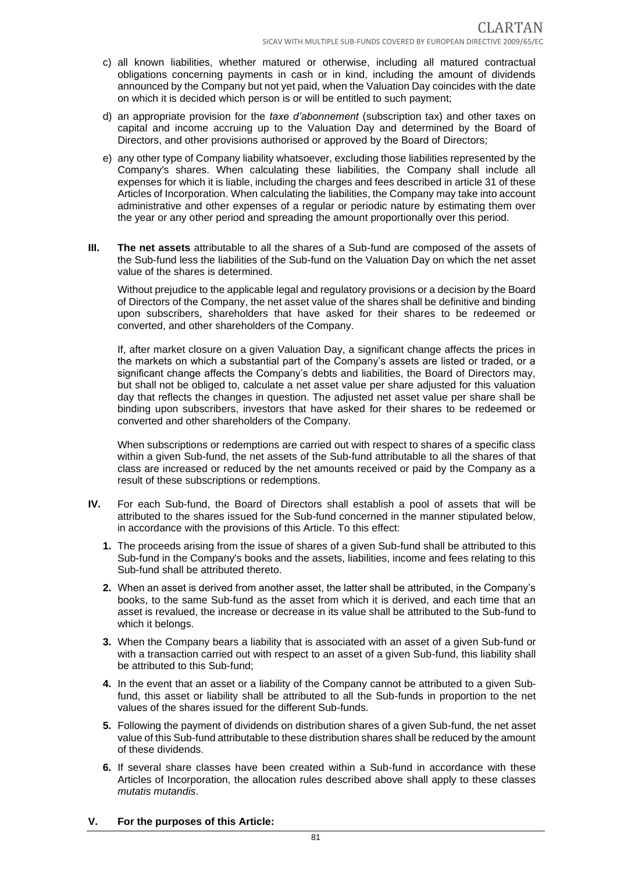- c) all known liabilities, whether matured or otherwise, including all matured contractual obligations concerning payments in cash or in kind, including the amount of dividends announced by the Company but not yet paid, when the Valuation Day coincides with the date on which it is decided which person is or will be entitled to such payment;
- d) an appropriate provision for the *taxe d'abonnement* (subscription tax) and other taxes on capital and income accruing up to the Valuation Day and determined by the Board of Directors, and other provisions authorised or approved by the Board of Directors;
- e) any other type of Company liability whatsoever, excluding those liabilities represented by the Company's shares. When calculating these liabilities, the Company shall include all expenses for which it is liable, including the charges and fees described in article 31 of these Articles of Incorporation. When calculating the liabilities, the Company may take into account administrative and other expenses of a regular or periodic nature by estimating them over the year or any other period and spreading the amount proportionally over this period.
- **III. The net assets** attributable to all the shares of a Sub-fund are composed of the assets of the Sub-fund less the liabilities of the Sub-fund on the Valuation Day on which the net asset value of the shares is determined.

Without prejudice to the applicable legal and regulatory provisions or a decision by the Board of Directors of the Company, the net asset value of the shares shall be definitive and binding upon subscribers, shareholders that have asked for their shares to be redeemed or converted, and other shareholders of the Company.

If, after market closure on a given Valuation Day, a significant change affects the prices in the markets on which a substantial part of the Company's assets are listed or traded, or a significant change affects the Company's debts and liabilities, the Board of Directors may, but shall not be obliged to, calculate a net asset value per share adjusted for this valuation day that reflects the changes in question. The adjusted net asset value per share shall be binding upon subscribers, investors that have asked for their shares to be redeemed or converted and other shareholders of the Company.

When subscriptions or redemptions are carried out with respect to shares of a specific class within a given Sub-fund, the net assets of the Sub-fund attributable to all the shares of that class are increased or reduced by the net amounts received or paid by the Company as a result of these subscriptions or redemptions.

- **IV.** For each Sub-fund, the Board of Directors shall establish a pool of assets that will be attributed to the shares issued for the Sub-fund concerned in the manner stipulated below, in accordance with the provisions of this Article. To this effect:
	- **1.** The proceeds arising from the issue of shares of a given Sub-fund shall be attributed to this Sub-fund in the Company's books and the assets, liabilities, income and fees relating to this Sub-fund shall be attributed thereto.
	- **2.** When an asset is derived from another asset, the latter shall be attributed, in the Company's books, to the same Sub-fund as the asset from which it is derived, and each time that an asset is revalued, the increase or decrease in its value shall be attributed to the Sub-fund to which it belongs.
	- **3.** When the Company bears a liability that is associated with an asset of a given Sub-fund or with a transaction carried out with respect to an asset of a given Sub-fund, this liability shall be attributed to this Sub-fund;
	- **4.** In the event that an asset or a liability of the Company cannot be attributed to a given Subfund, this asset or liability shall be attributed to all the Sub-funds in proportion to the net values of the shares issued for the different Sub-funds.
	- **5.** Following the payment of dividends on distribution shares of a given Sub-fund, the net asset value of this Sub-fund attributable to these distribution shares shall be reduced by the amount of these dividends.
	- **6.** If several share classes have been created within a Sub-fund in accordance with these Articles of Incorporation, the allocation rules described above shall apply to these classes *mutatis mutandis*.

#### **V. For the purposes of this Article:**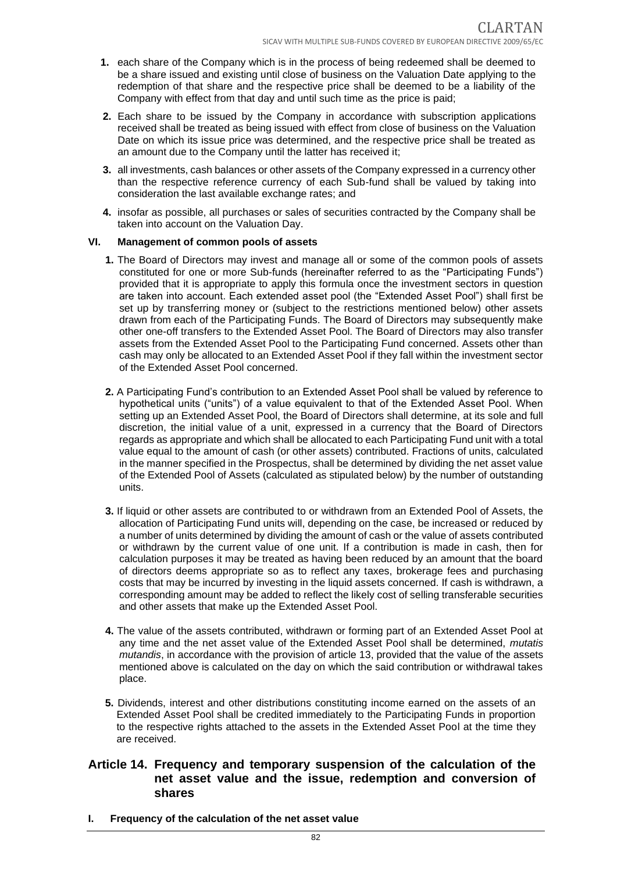- **1.** each share of the Company which is in the process of being redeemed shall be deemed to be a share issued and existing until close of business on the Valuation Date applying to the redemption of that share and the respective price shall be deemed to be a liability of the Company with effect from that day and until such time as the price is paid;
- **2.** Each share to be issued by the Company in accordance with subscription applications received shall be treated as being issued with effect from close of business on the Valuation Date on which its issue price was determined, and the respective price shall be treated as an amount due to the Company until the latter has received it;
- **3.** all investments, cash balances or other assets of the Company expressed in a currency other than the respective reference currency of each Sub-fund shall be valued by taking into consideration the last available exchange rates; and
- **4.** insofar as possible, all purchases or sales of securities contracted by the Company shall be taken into account on the Valuation Day.

#### **VI. Management of common pools of assets**

- **1.** The Board of Directors may invest and manage all or some of the common pools of assets constituted for one or more Sub-funds (hereinafter referred to as the "Participating Funds") provided that it is appropriate to apply this formula once the investment sectors in question are taken into account. Each extended asset pool (the "Extended Asset Pool") shall first be set up by transferring money or (subject to the restrictions mentioned below) other assets drawn from each of the Participating Funds. The Board of Directors may subsequently make other one-off transfers to the Extended Asset Pool. The Board of Directors may also transfer assets from the Extended Asset Pool to the Participating Fund concerned. Assets other than cash may only be allocated to an Extended Asset Pool if they fall within the investment sector of the Extended Asset Pool concerned.
- **2.** A Participating Fund's contribution to an Extended Asset Pool shall be valued by reference to hypothetical units ("units") of a value equivalent to that of the Extended Asset Pool. When setting up an Extended Asset Pool, the Board of Directors shall determine, at its sole and full discretion, the initial value of a unit, expressed in a currency that the Board of Directors regards as appropriate and which shall be allocated to each Participating Fund unit with a total value equal to the amount of cash (or other assets) contributed. Fractions of units, calculated in the manner specified in the Prospectus, shall be determined by dividing the net asset value of the Extended Pool of Assets (calculated as stipulated below) by the number of outstanding units.
- **3.** If liquid or other assets are contributed to or withdrawn from an Extended Pool of Assets, the allocation of Participating Fund units will, depending on the case, be increased or reduced by a number of units determined by dividing the amount of cash or the value of assets contributed or withdrawn by the current value of one unit. If a contribution is made in cash, then for calculation purposes it may be treated as having been reduced by an amount that the board of directors deems appropriate so as to reflect any taxes, brokerage fees and purchasing costs that may be incurred by investing in the liquid assets concerned. If cash is withdrawn, a corresponding amount may be added to reflect the likely cost of selling transferable securities and other assets that make up the Extended Asset Pool.
- **4.** The value of the assets contributed, withdrawn or forming part of an Extended Asset Pool at any time and the net asset value of the Extended Asset Pool shall be determined, *mutatis mutandis*, in accordance with the provision of article 13, provided that the value of the assets mentioned above is calculated on the day on which the said contribution or withdrawal takes place.
- **5.** Dividends, interest and other distributions constituting income earned on the assets of an Extended Asset Pool shall be credited immediately to the Participating Funds in proportion to the respective rights attached to the assets in the Extended Asset Pool at the time they are received.

#### **Article 14. Frequency and temporary suspension of the calculation of the net asset value and the issue, redemption and conversion of shares**

**I. Frequency of the calculation of the net asset value**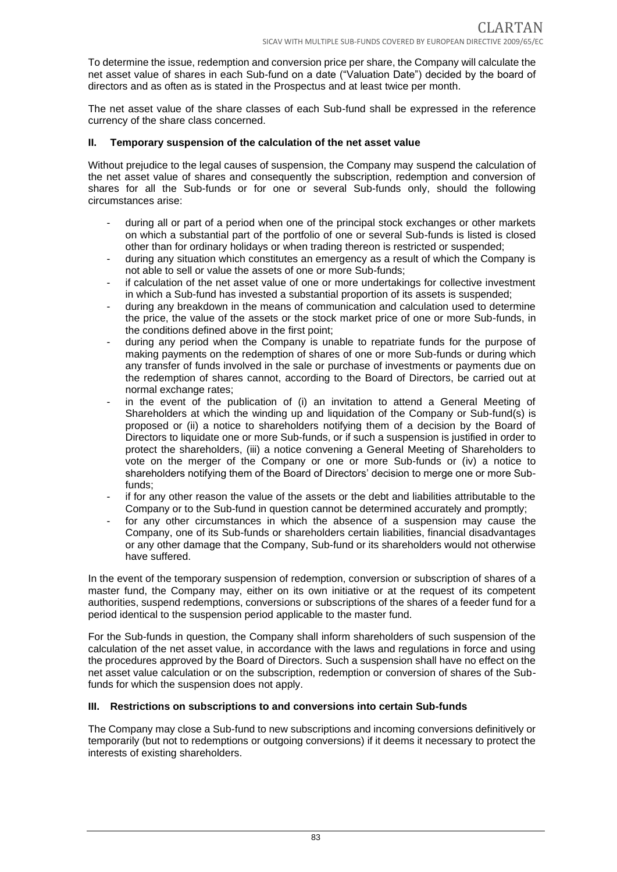To determine the issue, redemption and conversion price per share, the Company will calculate the net asset value of shares in each Sub-fund on a date ("Valuation Date") decided by the board of directors and as often as is stated in the Prospectus and at least twice per month.

The net asset value of the share classes of each Sub-fund shall be expressed in the reference currency of the share class concerned.

#### **II. Temporary suspension of the calculation of the net asset value**

Without prejudice to the legal causes of suspension, the Company may suspend the calculation of the net asset value of shares and consequently the subscription, redemption and conversion of shares for all the Sub-funds or for one or several Sub-funds only, should the following circumstances arise:

- during all or part of a period when one of the principal stock exchanges or other markets on which a substantial part of the portfolio of one or several Sub-funds is listed is closed other than for ordinary holidays or when trading thereon is restricted or suspended;
- during any situation which constitutes an emergency as a result of which the Company is not able to sell or value the assets of one or more Sub-funds;
- if calculation of the net asset value of one or more undertakings for collective investment in which a Sub-fund has invested a substantial proportion of its assets is suspended;
- during any breakdown in the means of communication and calculation used to determine the price, the value of the assets or the stock market price of one or more Sub-funds, in the conditions defined above in the first point;
- during any period when the Company is unable to repatriate funds for the purpose of making payments on the redemption of shares of one or more Sub-funds or during which any transfer of funds involved in the sale or purchase of investments or payments due on the redemption of shares cannot, according to the Board of Directors, be carried out at normal exchange rates;
- in the event of the publication of (i) an invitation to attend a General Meeting of Shareholders at which the winding up and liquidation of the Company or Sub-fund(s) is proposed or (ii) a notice to shareholders notifying them of a decision by the Board of Directors to liquidate one or more Sub-funds, or if such a suspension is justified in order to protect the shareholders, (iii) a notice convening a General Meeting of Shareholders to vote on the merger of the Company or one or more Sub-funds or (iv) a notice to shareholders notifying them of the Board of Directors' decision to merge one or more Subfunds;
- if for any other reason the value of the assets or the debt and liabilities attributable to the Company or to the Sub-fund in question cannot be determined accurately and promptly;
- for any other circumstances in which the absence of a suspension may cause the Company, one of its Sub-funds or shareholders certain liabilities, financial disadvantages or any other damage that the Company, Sub-fund or its shareholders would not otherwise have suffered.

In the event of the temporary suspension of redemption, conversion or subscription of shares of a master fund, the Company may, either on its own initiative or at the request of its competent authorities, suspend redemptions, conversions or subscriptions of the shares of a feeder fund for a period identical to the suspension period applicable to the master fund.

For the Sub-funds in question, the Company shall inform shareholders of such suspension of the calculation of the net asset value, in accordance with the laws and regulations in force and using the procedures approved by the Board of Directors. Such a suspension shall have no effect on the net asset value calculation or on the subscription, redemption or conversion of shares of the Subfunds for which the suspension does not apply.

#### **III. Restrictions on subscriptions to and conversions into certain Sub-funds**

The Company may close a Sub-fund to new subscriptions and incoming conversions definitively or temporarily (but not to redemptions or outgoing conversions) if it deems it necessary to protect the interests of existing shareholders.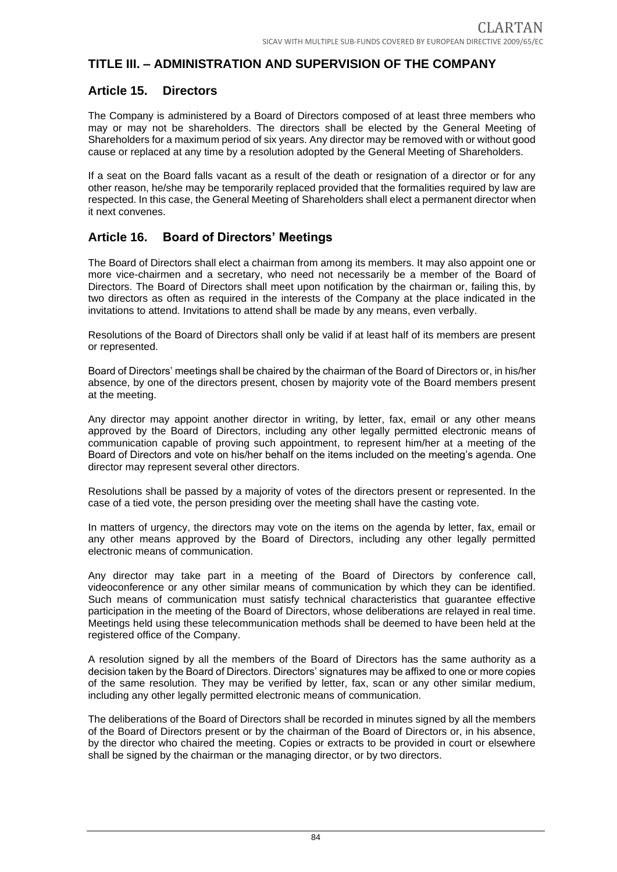# **TITLE III. – ADMINISTRATION AND SUPERVISION OF THE COMPANY**

#### **Article 15. Directors**

The Company is administered by a Board of Directors composed of at least three members who may or may not be shareholders. The directors shall be elected by the General Meeting of Shareholders for a maximum period of six years. Any director may be removed with or without good cause or replaced at any time by a resolution adopted by the General Meeting of Shareholders.

If a seat on the Board falls vacant as a result of the death or resignation of a director or for any other reason, he/she may be temporarily replaced provided that the formalities required by law are respected. In this case, the General Meeting of Shareholders shall elect a permanent director when it next convenes.

## **Article 16. Board of Directors' Meetings**

The Board of Directors shall elect a chairman from among its members. It may also appoint one or more vice-chairmen and a secretary, who need not necessarily be a member of the Board of Directors. The Board of Directors shall meet upon notification by the chairman or, failing this, by two directors as often as required in the interests of the Company at the place indicated in the invitations to attend. Invitations to attend shall be made by any means, even verbally.

Resolutions of the Board of Directors shall only be valid if at least half of its members are present or represented.

Board of Directors' meetings shall be chaired by the chairman of the Board of Directors or, in his/her absence, by one of the directors present, chosen by majority vote of the Board members present at the meeting.

Any director may appoint another director in writing, by letter, fax, email or any other means approved by the Board of Directors, including any other legally permitted electronic means of communication capable of proving such appointment, to represent him/her at a meeting of the Board of Directors and vote on his/her behalf on the items included on the meeting's agenda. One director may represent several other directors.

Resolutions shall be passed by a majority of votes of the directors present or represented. In the case of a tied vote, the person presiding over the meeting shall have the casting vote.

In matters of urgency, the directors may vote on the items on the agenda by letter, fax, email or any other means approved by the Board of Directors, including any other legally permitted electronic means of communication.

Any director may take part in a meeting of the Board of Directors by conference call, videoconference or any other similar means of communication by which they can be identified. Such means of communication must satisfy technical characteristics that guarantee effective participation in the meeting of the Board of Directors, whose deliberations are relayed in real time. Meetings held using these telecommunication methods shall be deemed to have been held at the registered office of the Company.

A resolution signed by all the members of the Board of Directors has the same authority as a decision taken by the Board of Directors. Directors' signatures may be affixed to one or more copies of the same resolution. They may be verified by letter, fax, scan or any other similar medium, including any other legally permitted electronic means of communication.

The deliberations of the Board of Directors shall be recorded in minutes signed by all the members of the Board of Directors present or by the chairman of the Board of Directors or, in his absence, by the director who chaired the meeting. Copies or extracts to be provided in court or elsewhere shall be signed by the chairman or the managing director, or by two directors.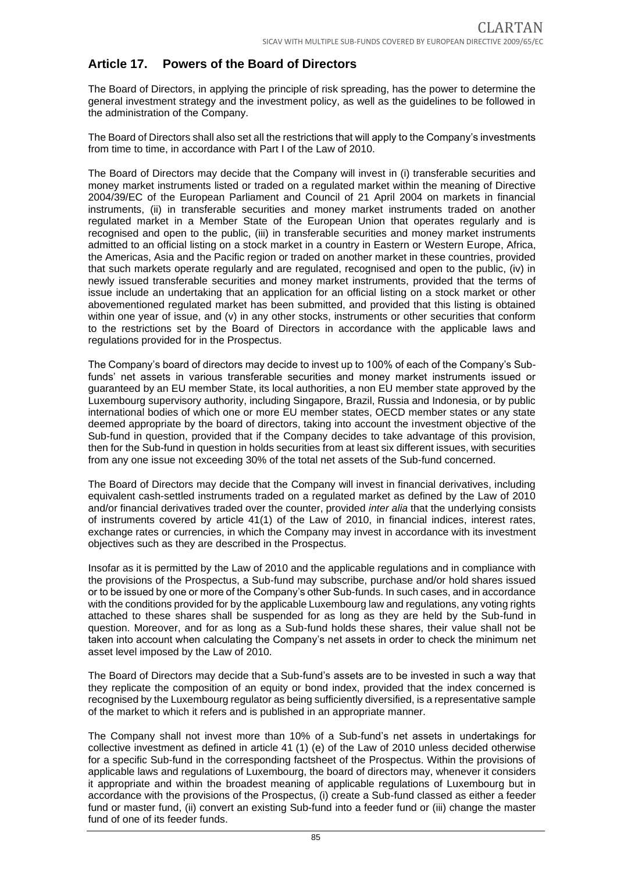## **Article 17. Powers of the Board of Directors**

The Board of Directors, in applying the principle of risk spreading, has the power to determine the general investment strategy and the investment policy, as well as the guidelines to be followed in the administration of the Company.

The Board of Directors shall also set all the restrictions that will apply to the Company's investments from time to time, in accordance with Part I of the Law of 2010.

The Board of Directors may decide that the Company will invest in (i) transferable securities and money market instruments listed or traded on a regulated market within the meaning of Directive 2004/39/EC of the European Parliament and Council of 21 April 2004 on markets in financial instruments, (ii) in transferable securities and money market instruments traded on another regulated market in a Member State of the European Union that operates regularly and is recognised and open to the public, (iii) in transferable securities and money market instruments admitted to an official listing on a stock market in a country in Eastern or Western Europe, Africa, the Americas, Asia and the Pacific region or traded on another market in these countries, provided that such markets operate regularly and are regulated, recognised and open to the public, (iv) in newly issued transferable securities and money market instruments, provided that the terms of issue include an undertaking that an application for an official listing on a stock market or other abovementioned regulated market has been submitted, and provided that this listing is obtained within one year of issue, and (v) in any other stocks, instruments or other securities that conform to the restrictions set by the Board of Directors in accordance with the applicable laws and regulations provided for in the Prospectus.

The Company's board of directors may decide to invest up to 100% of each of the Company's Subfunds' net assets in various transferable securities and money market instruments issued or guaranteed by an EU member State, its local authorities, a non EU member state approved by the Luxembourg supervisory authority, including Singapore, Brazil, Russia and Indonesia, or by public international bodies of which one or more EU member states, OECD member states or any state deemed appropriate by the board of directors, taking into account the investment objective of the Sub-fund in question, provided that if the Company decides to take advantage of this provision, then for the Sub-fund in question in holds securities from at least six different issues, with securities from any one issue not exceeding 30% of the total net assets of the Sub-fund concerned.

The Board of Directors may decide that the Company will invest in financial derivatives, including equivalent cash-settled instruments traded on a regulated market as defined by the Law of 2010 and/or financial derivatives traded over the counter, provided *inter alia* that the underlying consists of instruments covered by article 41(1) of the Law of 2010, in financial indices, interest rates, exchange rates or currencies, in which the Company may invest in accordance with its investment objectives such as they are described in the Prospectus.

Insofar as it is permitted by the Law of 2010 and the applicable regulations and in compliance with the provisions of the Prospectus, a Sub-fund may subscribe, purchase and/or hold shares issued or to be issued by one or more of the Company's other Sub-funds. In such cases, and in accordance with the conditions provided for by the applicable Luxembourg law and regulations, any voting rights attached to these shares shall be suspended for as long as they are held by the Sub-fund in question. Moreover, and for as long as a Sub-fund holds these shares, their value shall not be taken into account when calculating the Company's net assets in order to check the minimum net asset level imposed by the Law of 2010.

The Board of Directors may decide that a Sub-fund's assets are to be invested in such a way that they replicate the composition of an equity or bond index, provided that the index concerned is recognised by the Luxembourg regulator as being sufficiently diversified, is a representative sample of the market to which it refers and is published in an appropriate manner.

The Company shall not invest more than 10% of a Sub-fund's net assets in undertakings for collective investment as defined in article 41 (1) (e) of the Law of 2010 unless decided otherwise for a specific Sub-fund in the corresponding factsheet of the Prospectus. Within the provisions of applicable laws and regulations of Luxembourg, the board of directors may, whenever it considers it appropriate and within the broadest meaning of applicable regulations of Luxembourg but in accordance with the provisions of the Prospectus, (i) create a Sub-fund classed as either a feeder fund or master fund, (ii) convert an existing Sub-fund into a feeder fund or (iii) change the master fund of one of its feeder funds.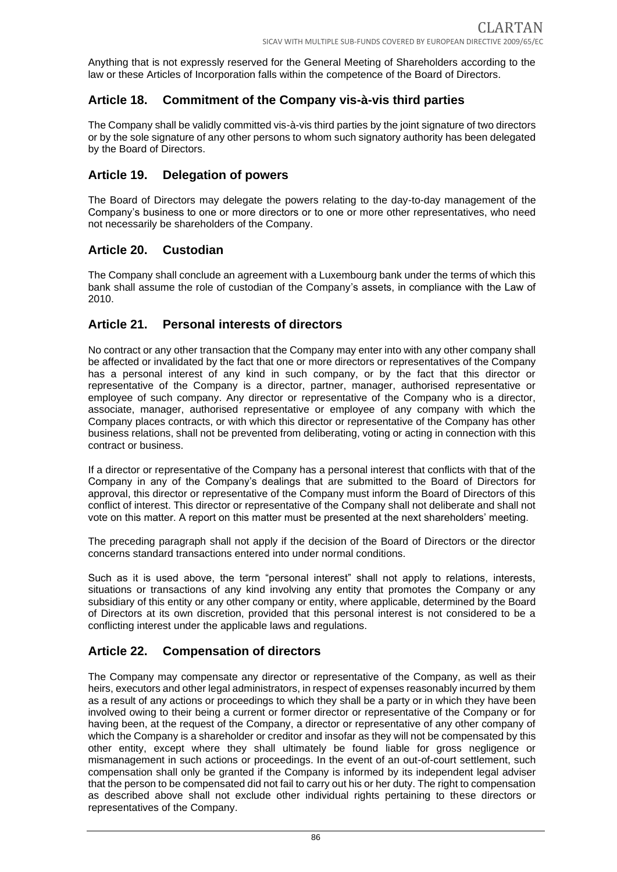Anything that is not expressly reserved for the General Meeting of Shareholders according to the law or these Articles of Incorporation falls within the competence of the Board of Directors.

# **Article 18. Commitment of the Company vis-à-vis third parties**

The Company shall be validly committed vis-à-vis third parties by the joint signature of two directors or by the sole signature of any other persons to whom such signatory authority has been delegated by the Board of Directors.

## **Article 19. Delegation of powers**

The Board of Directors may delegate the powers relating to the day-to-day management of the Company's business to one or more directors or to one or more other representatives, who need not necessarily be shareholders of the Company.

## **Article 20. Custodian**

The Company shall conclude an agreement with a Luxembourg bank under the terms of which this bank shall assume the role of custodian of the Company's assets, in compliance with the Law of 2010.

## **Article 21. Personal interests of directors**

No contract or any other transaction that the Company may enter into with any other company shall be affected or invalidated by the fact that one or more directors or representatives of the Company has a personal interest of any kind in such company, or by the fact that this director or representative of the Company is a director, partner, manager, authorised representative or employee of such company. Any director or representative of the Company who is a director, associate, manager, authorised representative or employee of any company with which the Company places contracts, or with which this director or representative of the Company has other business relations, shall not be prevented from deliberating, voting or acting in connection with this contract or business.

If a director or representative of the Company has a personal interest that conflicts with that of the Company in any of the Company's dealings that are submitted to the Board of Directors for approval, this director or representative of the Company must inform the Board of Directors of this conflict of interest. This director or representative of the Company shall not deliberate and shall not vote on this matter. A report on this matter must be presented at the next shareholders' meeting.

The preceding paragraph shall not apply if the decision of the Board of Directors or the director concerns standard transactions entered into under normal conditions.

Such as it is used above, the term "personal interest" shall not apply to relations, interests, situations or transactions of any kind involving any entity that promotes the Company or any subsidiary of this entity or any other company or entity, where applicable, determined by the Board of Directors at its own discretion, provided that this personal interest is not considered to be a conflicting interest under the applicable laws and regulations.

## **Article 22. Compensation of directors**

The Company may compensate any director or representative of the Company, as well as their heirs, executors and other legal administrators, in respect of expenses reasonably incurred by them as a result of any actions or proceedings to which they shall be a party or in which they have been involved owing to their being a current or former director or representative of the Company or for having been, at the request of the Company, a director or representative of any other company of which the Company is a shareholder or creditor and insofar as they will not be compensated by this other entity, except where they shall ultimately be found liable for gross negligence or mismanagement in such actions or proceedings. In the event of an out-of-court settlement, such compensation shall only be granted if the Company is informed by its independent legal adviser that the person to be compensated did not fail to carry out his or her duty. The right to compensation as described above shall not exclude other individual rights pertaining to these directors or representatives of the Company.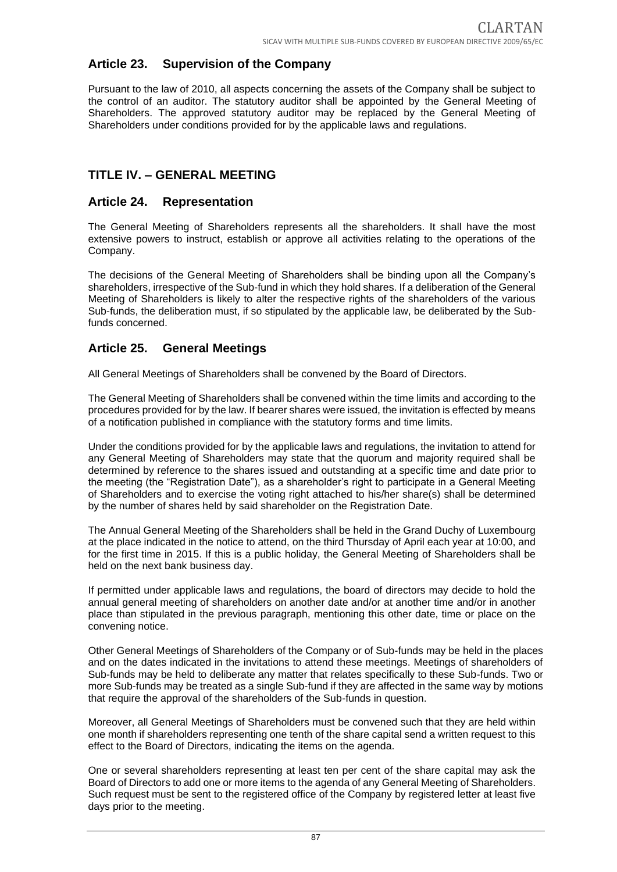## **Article 23. Supervision of the Company**

Pursuant to the law of 2010, all aspects concerning the assets of the Company shall be subject to the control of an auditor. The statutory auditor shall be appointed by the General Meeting of Shareholders. The approved statutory auditor may be replaced by the General Meeting of Shareholders under conditions provided for by the applicable laws and regulations.

## **TITLE IV. – GENERAL MEETING**

#### **Article 24. Representation**

The General Meeting of Shareholders represents all the shareholders. It shall have the most extensive powers to instruct, establish or approve all activities relating to the operations of the Company.

The decisions of the General Meeting of Shareholders shall be binding upon all the Company's shareholders, irrespective of the Sub-fund in which they hold shares. If a deliberation of the General Meeting of Shareholders is likely to alter the respective rights of the shareholders of the various Sub-funds, the deliberation must, if so stipulated by the applicable law, be deliberated by the Subfunds concerned.

## **Article 25. General Meetings**

All General Meetings of Shareholders shall be convened by the Board of Directors.

The General Meeting of Shareholders shall be convened within the time limits and according to the procedures provided for by the law. If bearer shares were issued, the invitation is effected by means of a notification published in compliance with the statutory forms and time limits.

Under the conditions provided for by the applicable laws and regulations, the invitation to attend for any General Meeting of Shareholders may state that the quorum and majority required shall be determined by reference to the shares issued and outstanding at a specific time and date prior to the meeting (the "Registration Date"), as a shareholder's right to participate in a General Meeting of Shareholders and to exercise the voting right attached to his/her share(s) shall be determined by the number of shares held by said shareholder on the Registration Date.

The Annual General Meeting of the Shareholders shall be held in the Grand Duchy of Luxembourg at the place indicated in the notice to attend, on the third Thursday of April each year at 10:00, and for the first time in 2015. If this is a public holiday, the General Meeting of Shareholders shall be held on the next bank business day.

If permitted under applicable laws and regulations, the board of directors may decide to hold the annual general meeting of shareholders on another date and/or at another time and/or in another place than stipulated in the previous paragraph, mentioning this other date, time or place on the convening notice.

Other General Meetings of Shareholders of the Company or of Sub-funds may be held in the places and on the dates indicated in the invitations to attend these meetings. Meetings of shareholders of Sub-funds may be held to deliberate any matter that relates specifically to these Sub-funds. Two or more Sub-funds may be treated as a single Sub-fund if they are affected in the same way by motions that require the approval of the shareholders of the Sub-funds in question.

Moreover, all General Meetings of Shareholders must be convened such that they are held within one month if shareholders representing one tenth of the share capital send a written request to this effect to the Board of Directors, indicating the items on the agenda.

One or several shareholders representing at least ten per cent of the share capital may ask the Board of Directors to add one or more items to the agenda of any General Meeting of Shareholders. Such request must be sent to the registered office of the Company by registered letter at least five days prior to the meeting.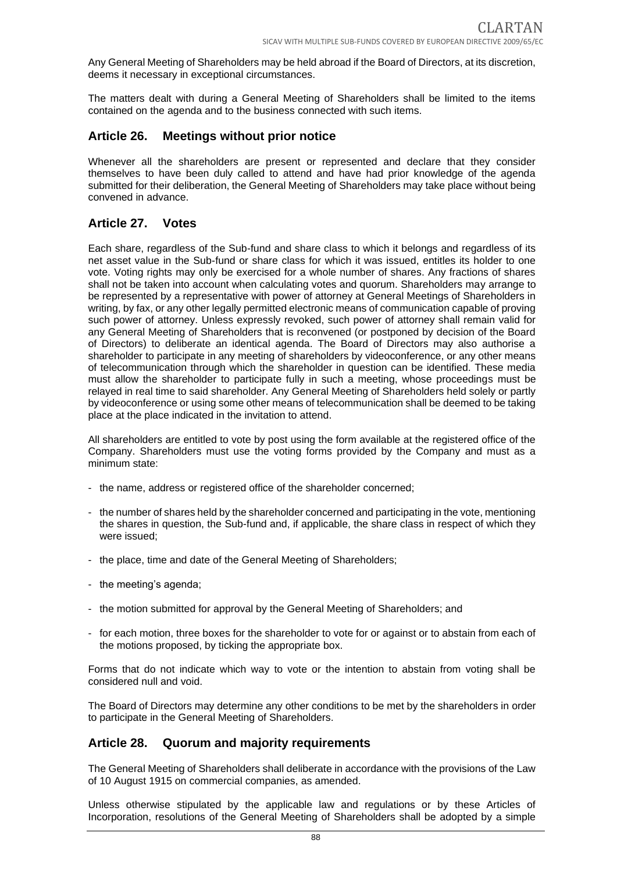Any General Meeting of Shareholders may be held abroad if the Board of Directors, at its discretion, deems it necessary in exceptional circumstances.

The matters dealt with during a General Meeting of Shareholders shall be limited to the items contained on the agenda and to the business connected with such items.

## **Article 26. Meetings without prior notice**

Whenever all the shareholders are present or represented and declare that they consider themselves to have been duly called to attend and have had prior knowledge of the agenda submitted for their deliberation, the General Meeting of Shareholders may take place without being convened in advance.

## **Article 27. Votes**

Each share, regardless of the Sub-fund and share class to which it belongs and regardless of its net asset value in the Sub-fund or share class for which it was issued, entitles its holder to one vote. Voting rights may only be exercised for a whole number of shares. Any fractions of shares shall not be taken into account when calculating votes and quorum. Shareholders may arrange to be represented by a representative with power of attorney at General Meetings of Shareholders in writing, by fax, or any other legally permitted electronic means of communication capable of proving such power of attorney. Unless expressly revoked, such power of attorney shall remain valid for any General Meeting of Shareholders that is reconvened (or postponed by decision of the Board of Directors) to deliberate an identical agenda. The Board of Directors may also authorise a shareholder to participate in any meeting of shareholders by videoconference, or any other means of telecommunication through which the shareholder in question can be identified. These media must allow the shareholder to participate fully in such a meeting, whose proceedings must be relayed in real time to said shareholder. Any General Meeting of Shareholders held solely or partly by videoconference or using some other means of telecommunication shall be deemed to be taking place at the place indicated in the invitation to attend.

All shareholders are entitled to vote by post using the form available at the registered office of the Company. Shareholders must use the voting forms provided by the Company and must as a minimum state:

- the name, address or registered office of the shareholder concerned;
- the number of shares held by the shareholder concerned and participating in the vote, mentioning the shares in question, the Sub-fund and, if applicable, the share class in respect of which they were issued;
- the place, time and date of the General Meeting of Shareholders;
- the meeting's agenda;
- the motion submitted for approval by the General Meeting of Shareholders; and
- for each motion, three boxes for the shareholder to vote for or against or to abstain from each of the motions proposed, by ticking the appropriate box.

Forms that do not indicate which way to vote or the intention to abstain from voting shall be considered null and void.

The Board of Directors may determine any other conditions to be met by the shareholders in order to participate in the General Meeting of Shareholders.

#### **Article 28. Quorum and majority requirements**

The General Meeting of Shareholders shall deliberate in accordance with the provisions of the Law of 10 August 1915 on commercial companies, as amended.

Unless otherwise stipulated by the applicable law and regulations or by these Articles of Incorporation, resolutions of the General Meeting of Shareholders shall be adopted by a simple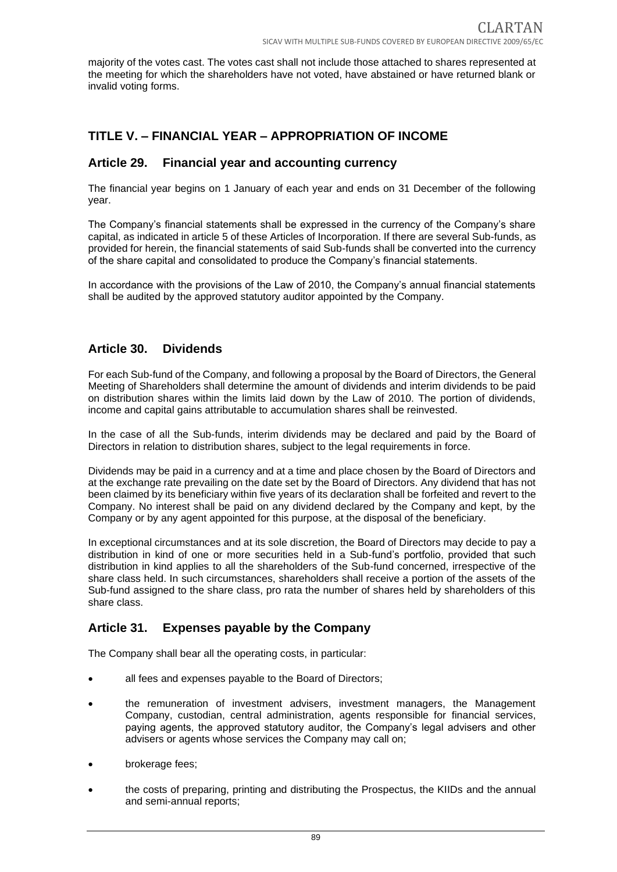majority of the votes cast. The votes cast shall not include those attached to shares represented at the meeting for which the shareholders have not voted, have abstained or have returned blank or invalid voting forms.

# **TITLE V. – FINANCIAL YEAR – APPROPRIATION OF INCOME**

#### **Article 29. Financial year and accounting currency**

The financial year begins on 1 January of each year and ends on 31 December of the following year.

The Company's financial statements shall be expressed in the currency of the Company's share capital, as indicated in article 5 of these Articles of Incorporation. If there are several Sub-funds, as provided for herein, the financial statements of said Sub-funds shall be converted into the currency of the share capital and consolidated to produce the Company's financial statements.

In accordance with the provisions of the Law of 2010, the Company's annual financial statements shall be audited by the approved statutory auditor appointed by the Company.

## **Article 30. Dividends**

For each Sub-fund of the Company, and following a proposal by the Board of Directors, the General Meeting of Shareholders shall determine the amount of dividends and interim dividends to be paid on distribution shares within the limits laid down by the Law of 2010. The portion of dividends, income and capital gains attributable to accumulation shares shall be reinvested.

In the case of all the Sub-funds, interim dividends may be declared and paid by the Board of Directors in relation to distribution shares, subject to the legal requirements in force.

Dividends may be paid in a currency and at a time and place chosen by the Board of Directors and at the exchange rate prevailing on the date set by the Board of Directors. Any dividend that has not been claimed by its beneficiary within five years of its declaration shall be forfeited and revert to the Company. No interest shall be paid on any dividend declared by the Company and kept, by the Company or by any agent appointed for this purpose, at the disposal of the beneficiary.

In exceptional circumstances and at its sole discretion, the Board of Directors may decide to pay a distribution in kind of one or more securities held in a Sub-fund's portfolio, provided that such distribution in kind applies to all the shareholders of the Sub-fund concerned, irrespective of the share class held. In such circumstances, shareholders shall receive a portion of the assets of the Sub-fund assigned to the share class, pro rata the number of shares held by shareholders of this share class.

## **Article 31. Expenses payable by the Company**

The Company shall bear all the operating costs, in particular:

- all fees and expenses payable to the Board of Directors;
- the remuneration of investment advisers, investment managers, the Management Company, custodian, central administration, agents responsible for financial services, paying agents, the approved statutory auditor, the Company's legal advisers and other advisers or agents whose services the Company may call on;
- brokerage fees;
- the costs of preparing, printing and distributing the Prospectus, the KIIDs and the annual and semi-annual reports;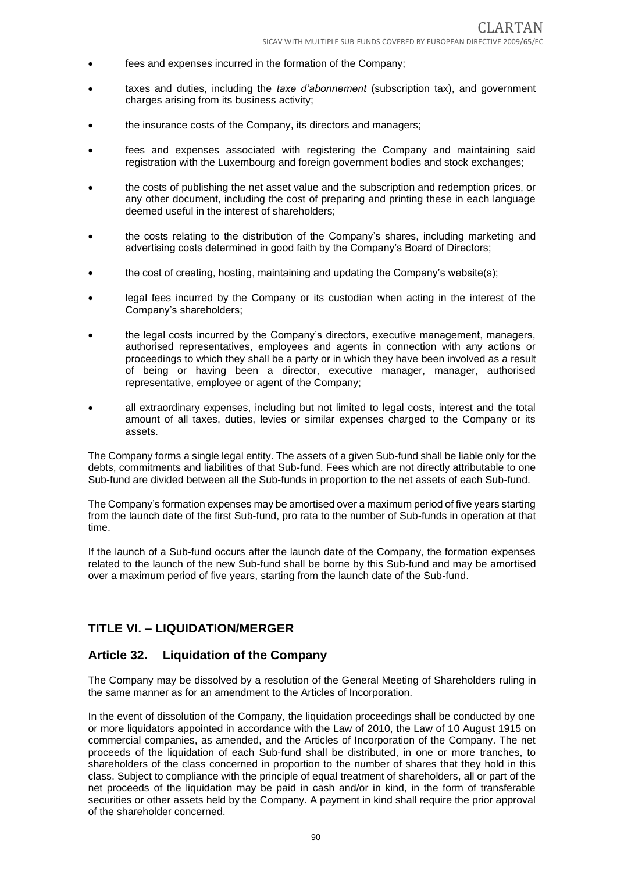- fees and expenses incurred in the formation of the Company;
- taxes and duties, including the *taxe d'abonnement* (subscription tax), and government charges arising from its business activity;
- the insurance costs of the Company, its directors and managers;
- fees and expenses associated with registering the Company and maintaining said registration with the Luxembourg and foreign government bodies and stock exchanges;
- the costs of publishing the net asset value and the subscription and redemption prices, or any other document, including the cost of preparing and printing these in each language deemed useful in the interest of shareholders;
- the costs relating to the distribution of the Company's shares, including marketing and advertising costs determined in good faith by the Company's Board of Directors;
- the cost of creating, hosting, maintaining and updating the Company's website(s);
- legal fees incurred by the Company or its custodian when acting in the interest of the Company's shareholders;
- the legal costs incurred by the Company's directors, executive management, managers, authorised representatives, employees and agents in connection with any actions or proceedings to which they shall be a party or in which they have been involved as a result of being or having been a director, executive manager, manager, authorised representative, employee or agent of the Company;
- all extraordinary expenses, including but not limited to legal costs, interest and the total amount of all taxes, duties, levies or similar expenses charged to the Company or its assets.

The Company forms a single legal entity. The assets of a given Sub-fund shall be liable only for the debts, commitments and liabilities of that Sub-fund. Fees which are not directly attributable to one Sub-fund are divided between all the Sub-funds in proportion to the net assets of each Sub-fund.

The Company's formation expenses may be amortised over a maximum period of five years starting from the launch date of the first Sub-fund, pro rata to the number of Sub-funds in operation at that time.

If the launch of a Sub-fund occurs after the launch date of the Company, the formation expenses related to the launch of the new Sub-fund shall be borne by this Sub-fund and may be amortised over a maximum period of five years, starting from the launch date of the Sub-fund.

## **TITLE VI. – LIQUIDATION/MERGER**

#### **Article 32. Liquidation of the Company**

The Company may be dissolved by a resolution of the General Meeting of Shareholders ruling in the same manner as for an amendment to the Articles of Incorporation.

In the event of dissolution of the Company, the liquidation proceedings shall be conducted by one or more liquidators appointed in accordance with the Law of 2010, the Law of 10 August 1915 on commercial companies, as amended, and the Articles of Incorporation of the Company. The net proceeds of the liquidation of each Sub-fund shall be distributed, in one or more tranches, to shareholders of the class concerned in proportion to the number of shares that they hold in this class. Subject to compliance with the principle of equal treatment of shareholders, all or part of the net proceeds of the liquidation may be paid in cash and/or in kind, in the form of transferable securities or other assets held by the Company. A payment in kind shall require the prior approval of the shareholder concerned.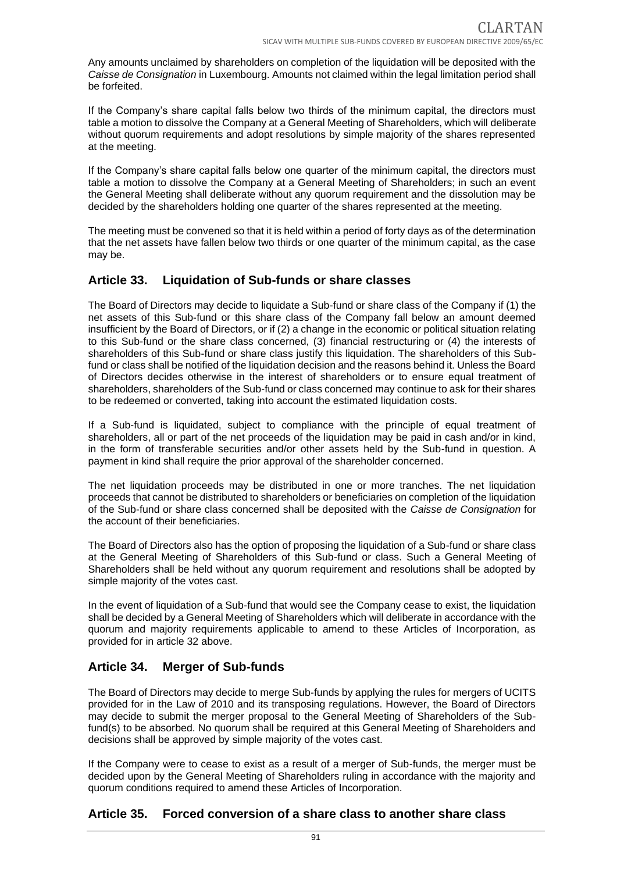Any amounts unclaimed by shareholders on completion of the liquidation will be deposited with the *Caisse de Consignation* in Luxembourg. Amounts not claimed within the legal limitation period shall be forfeited.

If the Company's share capital falls below two thirds of the minimum capital, the directors must table a motion to dissolve the Company at a General Meeting of Shareholders, which will deliberate without quorum requirements and adopt resolutions by simple majority of the shares represented at the meeting.

If the Company's share capital falls below one quarter of the minimum capital, the directors must table a motion to dissolve the Company at a General Meeting of Shareholders; in such an event the General Meeting shall deliberate without any quorum requirement and the dissolution may be decided by the shareholders holding one quarter of the shares represented at the meeting.

The meeting must be convened so that it is held within a period of forty days as of the determination that the net assets have fallen below two thirds or one quarter of the minimum capital, as the case may be.

## **Article 33. Liquidation of Sub-funds or share classes**

The Board of Directors may decide to liquidate a Sub-fund or share class of the Company if (1) the net assets of this Sub-fund or this share class of the Company fall below an amount deemed insufficient by the Board of Directors, or if (2) a change in the economic or political situation relating to this Sub-fund or the share class concerned, (3) financial restructuring or (4) the interests of shareholders of this Sub-fund or share class justify this liquidation. The shareholders of this Subfund or class shall be notified of the liquidation decision and the reasons behind it. Unless the Board of Directors decides otherwise in the interest of shareholders or to ensure equal treatment of shareholders, shareholders of the Sub-fund or class concerned may continue to ask for their shares to be redeemed or converted, taking into account the estimated liquidation costs.

If a Sub-fund is liquidated, subject to compliance with the principle of equal treatment of shareholders, all or part of the net proceeds of the liquidation may be paid in cash and/or in kind, in the form of transferable securities and/or other assets held by the Sub-fund in question. A payment in kind shall require the prior approval of the shareholder concerned.

The net liquidation proceeds may be distributed in one or more tranches. The net liquidation proceeds that cannot be distributed to shareholders or beneficiaries on completion of the liquidation of the Sub-fund or share class concerned shall be deposited with the *Caisse de Consignation* for the account of their beneficiaries.

The Board of Directors also has the option of proposing the liquidation of a Sub-fund or share class at the General Meeting of Shareholders of this Sub-fund or class. Such a General Meeting of Shareholders shall be held without any quorum requirement and resolutions shall be adopted by simple majority of the votes cast.

In the event of liquidation of a Sub-fund that would see the Company cease to exist, the liquidation shall be decided by a General Meeting of Shareholders which will deliberate in accordance with the quorum and majority requirements applicable to amend to these Articles of Incorporation, as provided for in article 32 above.

# **Article 34. Merger of Sub-funds**

The Board of Directors may decide to merge Sub-funds by applying the rules for mergers of UCITS provided for in the Law of 2010 and its transposing regulations. However, the Board of Directors may decide to submit the merger proposal to the General Meeting of Shareholders of the Subfund(s) to be absorbed. No quorum shall be required at this General Meeting of Shareholders and decisions shall be approved by simple majority of the votes cast.

If the Company were to cease to exist as a result of a merger of Sub-funds, the merger must be decided upon by the General Meeting of Shareholders ruling in accordance with the majority and quorum conditions required to amend these Articles of Incorporation.

## **Article 35. Forced conversion of a share class to another share class**